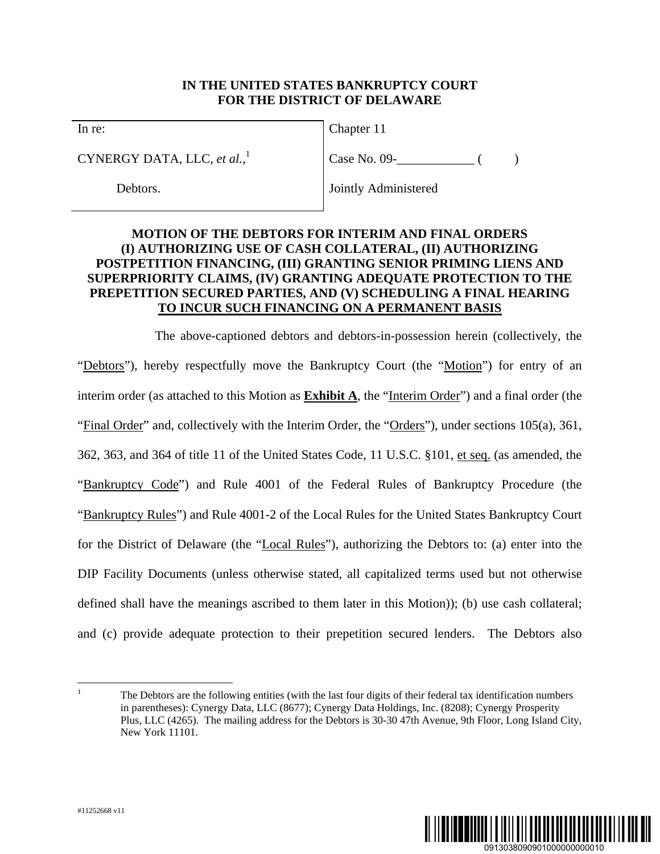## **IN THE UNITED STATES BANKRUPTCY COURT FOR THE DISTRICT OF DELAWARE**

In re:

CYNERGY DATA, LLC, *et al.*, 1

Debtors.

Chapter 11

 $Case No. 09 -$  ( )

Jointly Administered

# **MOTION OF THE DEBTORS FOR INTERIM AND FINAL ORDERS (I) AUTHORIZING USE OF CASH COLLATERAL, (II) AUTHORIZING POSTPETITION FINANCING, (III) GRANTING SENIOR PRIMING LIENS AND SUPERPRIORITY CLAIMS, (IV) GRANTING ADEQUATE PROTECTION TO THE PREPETITION SECURED PARTIES, AND (V) SCHEDULING A FINAL HEARING TO INCUR SUCH FINANCING ON A PERMANENT BASIS**

The above-captioned debtors and debtors-in-possession herein (collectively, the "Debtors"), hereby respectfully move the Bankruptcy Court (the "Motion") for entry of an interim order (as attached to this Motion as **Exhibit A**, the "Interim Order") and a final order (the "Final Order" and, collectively with the Interim Order, the "Orders"), under sections 105(a), 361, 362, 363, and 364 of title 11 of the United States Code, 11 U.S.C. §101, et seq. (as amended, the "Bankruptcy Code") and Rule 4001 of the Federal Rules of Bankruptcy Procedure (the "Bankruptcy Rules") and Rule 4001-2 of the Local Rules for the United States Bankruptcy Court for the District of Delaware (the "Local Rules"), authorizing the Debtors to: (a) enter into the DIP Facility Documents (unless otherwise stated, all capitalized terms used but not otherwise defined shall have the meanings ascribed to them later in this Motion)); (b) use cash collateral; and (c) provide adequate protection to their prepetition secured lenders. The Debtors also



 $\frac{1}{1}$ 

The Debtors are the following entities (with the last four digits of their federal tax identification numbers in parentheses): Cynergy Data, LLC (8677); Cynergy Data Holdings, Inc. (8208); Cynergy Prosperity Plus, LLC (4265). The mailing address for the Debtors is 30-30 47th Avenue, 9th Floor, Long Island City, New York 11101.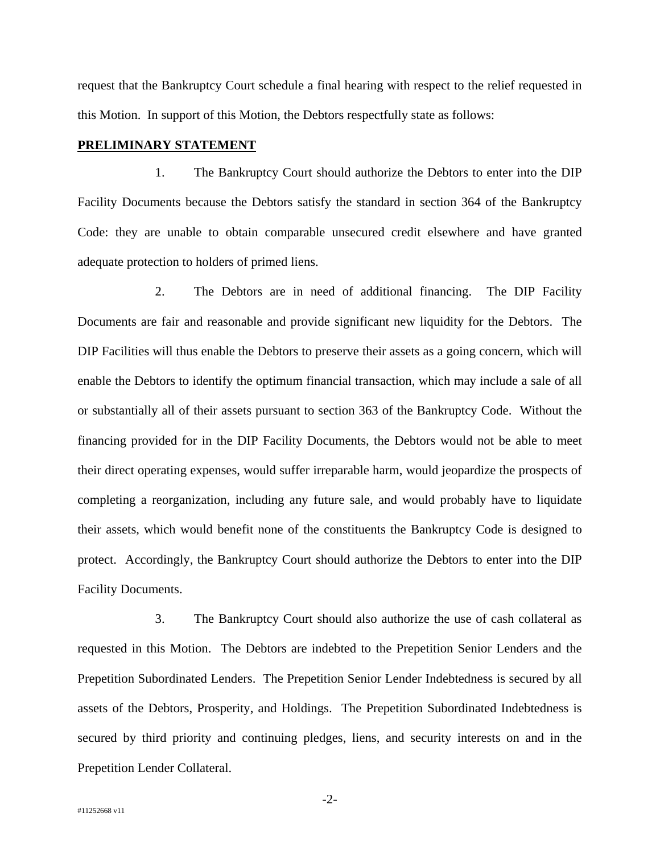request that the Bankruptcy Court schedule a final hearing with respect to the relief requested in this Motion. In support of this Motion, the Debtors respectfully state as follows:

## **PRELIMINARY STATEMENT**

1. The Bankruptcy Court should authorize the Debtors to enter into the DIP Facility Documents because the Debtors satisfy the standard in section 364 of the Bankruptcy Code: they are unable to obtain comparable unsecured credit elsewhere and have granted adequate protection to holders of primed liens.

2. The Debtors are in need of additional financing. The DIP Facility Documents are fair and reasonable and provide significant new liquidity for the Debtors. The DIP Facilities will thus enable the Debtors to preserve their assets as a going concern, which will enable the Debtors to identify the optimum financial transaction, which may include a sale of all or substantially all of their assets pursuant to section 363 of the Bankruptcy Code. Without the financing provided for in the DIP Facility Documents, the Debtors would not be able to meet their direct operating expenses, would suffer irreparable harm, would jeopardize the prospects of completing a reorganization, including any future sale, and would probably have to liquidate their assets, which would benefit none of the constituents the Bankruptcy Code is designed to protect. Accordingly, the Bankruptcy Court should authorize the Debtors to enter into the DIP Facility Documents.

3. The Bankruptcy Court should also authorize the use of cash collateral as requested in this Motion. The Debtors are indebted to the Prepetition Senior Lenders and the Prepetition Subordinated Lenders. The Prepetition Senior Lender Indebtedness is secured by all assets of the Debtors, Prosperity, and Holdings. The Prepetition Subordinated Indebtedness is secured by third priority and continuing pledges, liens, and security interests on and in the Prepetition Lender Collateral.

-2-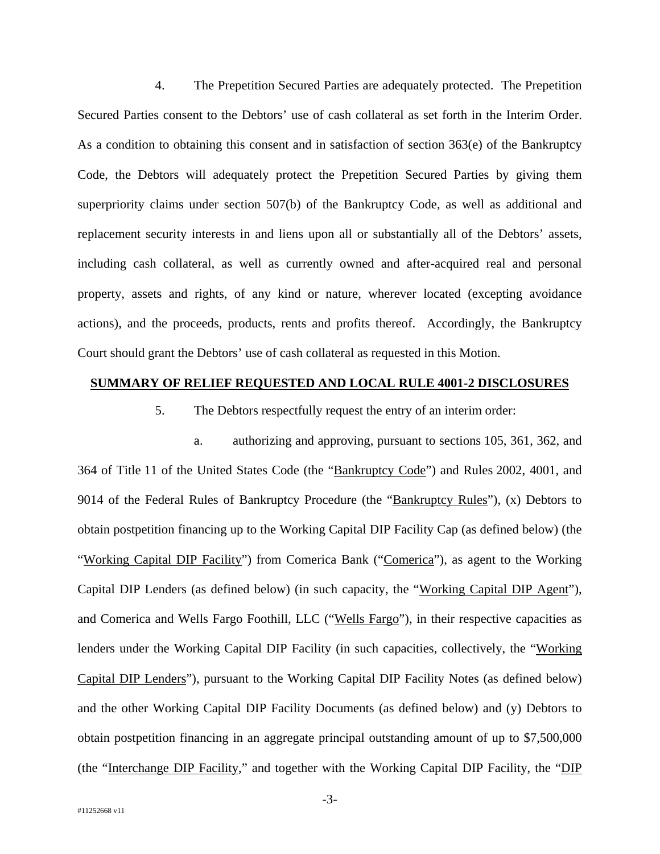4. The Prepetition Secured Parties are adequately protected. The Prepetition Secured Parties consent to the Debtors' use of cash collateral as set forth in the Interim Order. As a condition to obtaining this consent and in satisfaction of section 363(e) of the Bankruptcy Code, the Debtors will adequately protect the Prepetition Secured Parties by giving them superpriority claims under section 507(b) of the Bankruptcy Code, as well as additional and replacement security interests in and liens upon all or substantially all of the Debtors' assets, including cash collateral, as well as currently owned and after-acquired real and personal property, assets and rights, of any kind or nature, wherever located (excepting avoidance actions), and the proceeds, products, rents and profits thereof. Accordingly, the Bankruptcy Court should grant the Debtors' use of cash collateral as requested in this Motion.

## **SUMMARY OF RELIEF REQUESTED AND LOCAL RULE 4001-2 DISCLOSURES**

5. The Debtors respectfully request the entry of an interim order:

a. authorizing and approving, pursuant to sections 105, 361, 362, and 364 of Title 11 of the United States Code (the "Bankruptcy Code") and Rules 2002, 4001, and 9014 of the Federal Rules of Bankruptcy Procedure (the "Bankruptcy Rules"), (x) Debtors to obtain postpetition financing up to the Working Capital DIP Facility Cap (as defined below) (the "Working Capital DIP Facility") from Comerica Bank ("Comerica"), as agent to the Working Capital DIP Lenders (as defined below) (in such capacity, the "Working Capital DIP Agent"), and Comerica and Wells Fargo Foothill, LLC ("Wells Fargo"), in their respective capacities as lenders under the Working Capital DIP Facility (in such capacities, collectively, the "Working Capital DIP Lenders"), pursuant to the Working Capital DIP Facility Notes (as defined below) and the other Working Capital DIP Facility Documents (as defined below) and (y) Debtors to obtain postpetition financing in an aggregate principal outstanding amount of up to \$7,500,000 (the "Interchange DIP Facility," and together with the Working Capital DIP Facility, the "DIP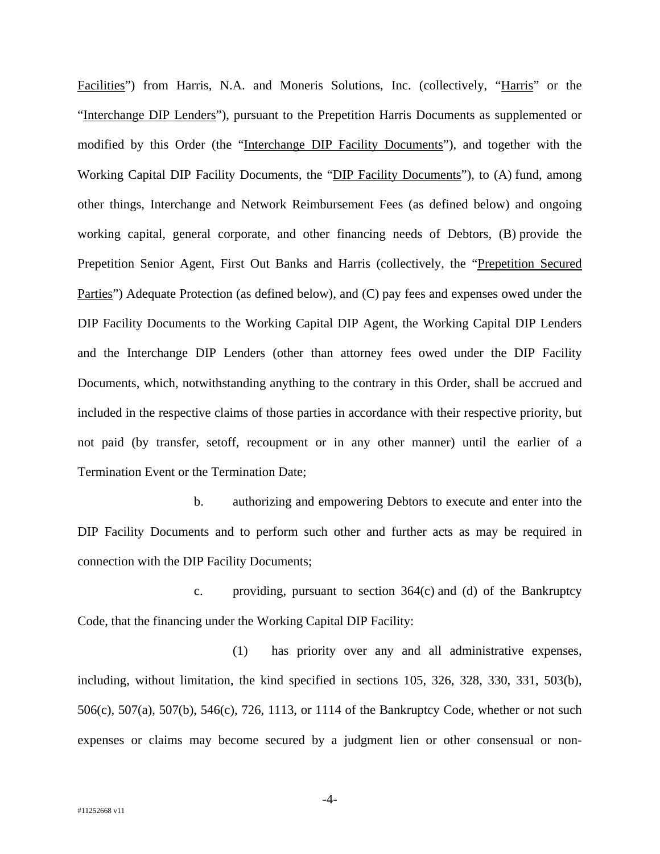Facilities") from Harris, N.A. and Moneris Solutions, Inc. (collectively, "Harris" or the "Interchange DIP Lenders"), pursuant to the Prepetition Harris Documents as supplemented or modified by this Order (the "Interchange DIP Facility Documents"), and together with the Working Capital DIP Facility Documents, the "DIP Facility Documents"), to (A) fund, among other things, Interchange and Network Reimbursement Fees (as defined below) and ongoing working capital, general corporate, and other financing needs of Debtors, (B) provide the Prepetition Senior Agent, First Out Banks and Harris (collectively, the "Prepetition Secured Parties") Adequate Protection (as defined below), and (C) pay fees and expenses owed under the DIP Facility Documents to the Working Capital DIP Agent, the Working Capital DIP Lenders and the Interchange DIP Lenders (other than attorney fees owed under the DIP Facility Documents, which, notwithstanding anything to the contrary in this Order, shall be accrued and included in the respective claims of those parties in accordance with their respective priority, but not paid (by transfer, setoff, recoupment or in any other manner) until the earlier of a Termination Event or the Termination Date;

b. authorizing and empowering Debtors to execute and enter into the DIP Facility Documents and to perform such other and further acts as may be required in connection with the DIP Facility Documents;

c. providing, pursuant to section 364(c) and (d) of the Bankruptcy Code, that the financing under the Working Capital DIP Facility:

(1) has priority over any and all administrative expenses, including, without limitation, the kind specified in sections 105, 326, 328, 330, 331, 503(b), 506(c), 507(a), 507(b), 546(c), 726, 1113, or 1114 of the Bankruptcy Code, whether or not such expenses or claims may become secured by a judgment lien or other consensual or non-

-4-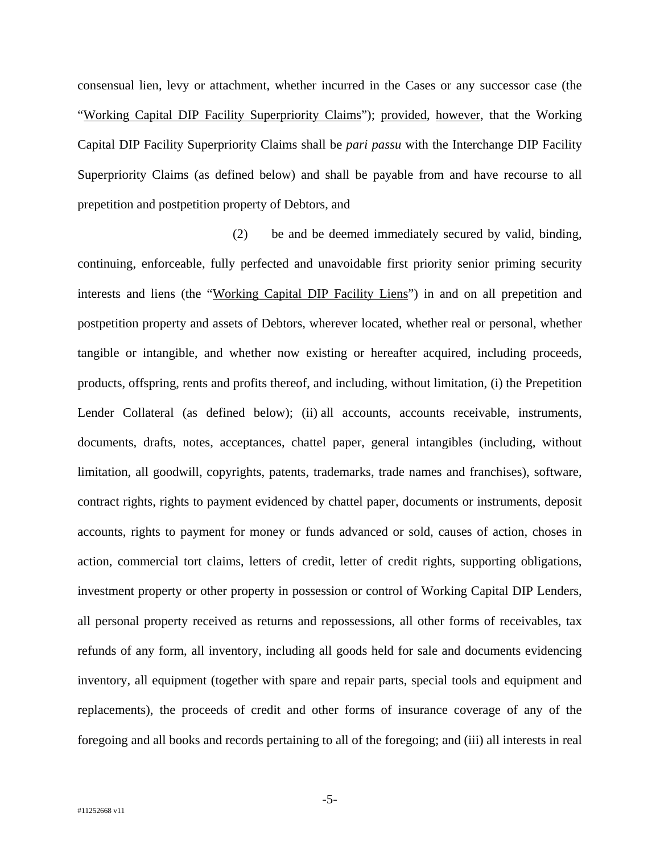consensual lien, levy or attachment, whether incurred in the Cases or any successor case (the "Working Capital DIP Facility Superpriority Claims"); provided, however, that the Working Capital DIP Facility Superpriority Claims shall be *pari passu* with the Interchange DIP Facility Superpriority Claims (as defined below) and shall be payable from and have recourse to all prepetition and postpetition property of Debtors, and

(2) be and be deemed immediately secured by valid, binding, continuing, enforceable, fully perfected and unavoidable first priority senior priming security interests and liens (the "Working Capital DIP Facility Liens") in and on all prepetition and postpetition property and assets of Debtors, wherever located, whether real or personal, whether tangible or intangible, and whether now existing or hereafter acquired, including proceeds, products, offspring, rents and profits thereof, and including, without limitation, (i) the Prepetition Lender Collateral (as defined below); (ii) all accounts, accounts receivable, instruments, documents, drafts, notes, acceptances, chattel paper, general intangibles (including, without limitation, all goodwill, copyrights, patents, trademarks, trade names and franchises), software, contract rights, rights to payment evidenced by chattel paper, documents or instruments, deposit accounts, rights to payment for money or funds advanced or sold, causes of action, choses in action, commercial tort claims, letters of credit, letter of credit rights, supporting obligations, investment property or other property in possession or control of Working Capital DIP Lenders, all personal property received as returns and repossessions, all other forms of receivables, tax refunds of any form, all inventory, including all goods held for sale and documents evidencing inventory, all equipment (together with spare and repair parts, special tools and equipment and replacements), the proceeds of credit and other forms of insurance coverage of any of the foregoing and all books and records pertaining to all of the foregoing; and (iii) all interests in real

-5-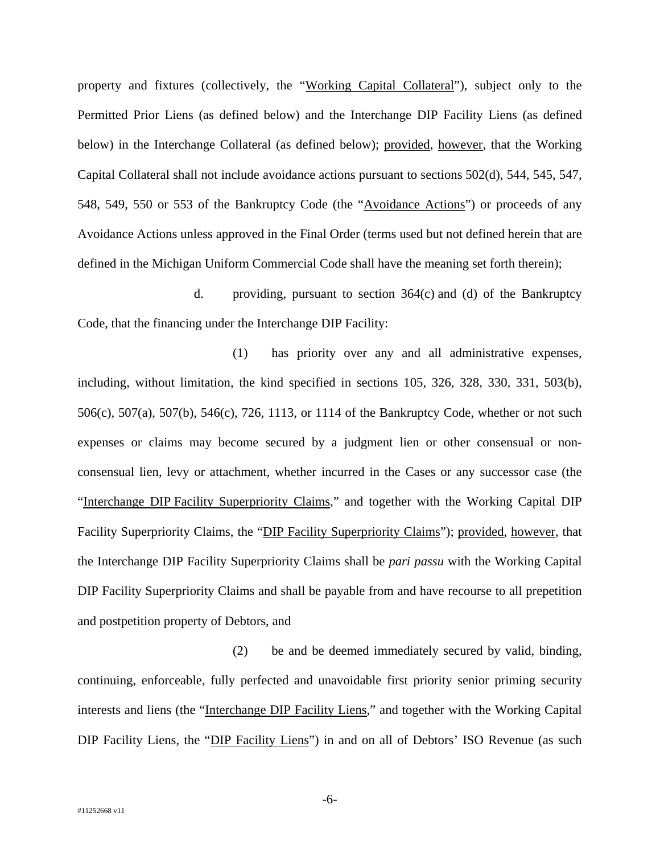property and fixtures (collectively, the "Working Capital Collateral"), subject only to the Permitted Prior Liens (as defined below) and the Interchange DIP Facility Liens (as defined below) in the Interchange Collateral (as defined below); provided, however, that the Working Capital Collateral shall not include avoidance actions pursuant to sections 502(d), 544, 545, 547, 548, 549, 550 or 553 of the Bankruptcy Code (the "Avoidance Actions") or proceeds of any Avoidance Actions unless approved in the Final Order (terms used but not defined herein that are defined in the Michigan Uniform Commercial Code shall have the meaning set forth therein);

d. providing, pursuant to section 364(c) and (d) of the Bankruptcy Code, that the financing under the Interchange DIP Facility:

(1) has priority over any and all administrative expenses, including, without limitation, the kind specified in sections 105, 326, 328, 330, 331, 503(b), 506(c), 507(a), 507(b), 546(c), 726, 1113, or 1114 of the Bankruptcy Code, whether or not such expenses or claims may become secured by a judgment lien or other consensual or nonconsensual lien, levy or attachment, whether incurred in the Cases or any successor case (the "Interchange DIP Facility Superpriority Claims," and together with the Working Capital DIP Facility Superpriority Claims, the "DIP Facility Superpriority Claims"); provided, however, that the Interchange DIP Facility Superpriority Claims shall be *pari passu* with the Working Capital DIP Facility Superpriority Claims and shall be payable from and have recourse to all prepetition and postpetition property of Debtors, and

(2) be and be deemed immediately secured by valid, binding, continuing, enforceable, fully perfected and unavoidable first priority senior priming security interests and liens (the "Interchange DIP Facility Liens," and together with the Working Capital DIP Facility Liens, the "DIP Facility Liens") in and on all of Debtors' ISO Revenue (as such

-6-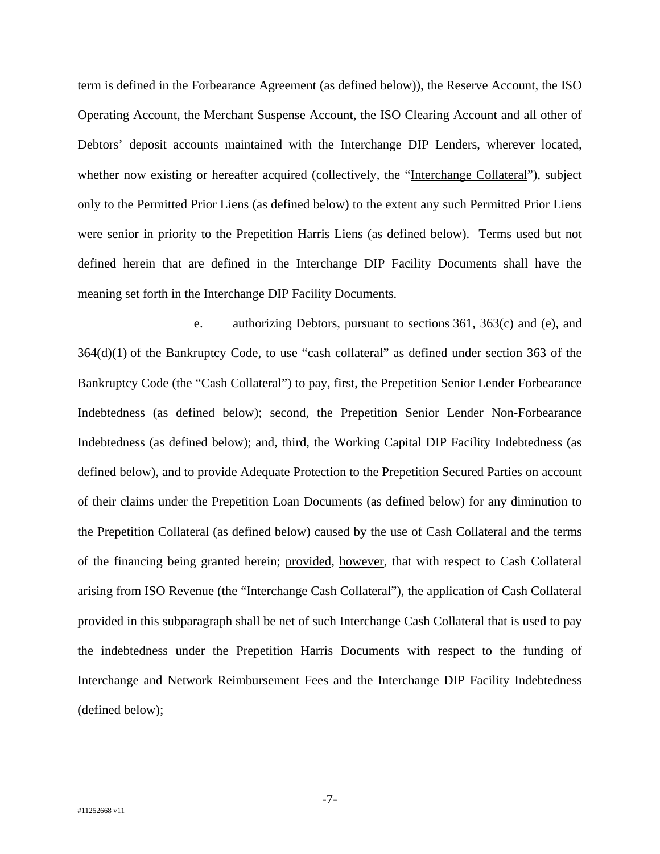term is defined in the Forbearance Agreement (as defined below)), the Reserve Account, the ISO Operating Account, the Merchant Suspense Account, the ISO Clearing Account and all other of Debtors' deposit accounts maintained with the Interchange DIP Lenders, wherever located, whether now existing or hereafter acquired (collectively, the "Interchange Collateral"), subject only to the Permitted Prior Liens (as defined below) to the extent any such Permitted Prior Liens were senior in priority to the Prepetition Harris Liens (as defined below). Terms used but not defined herein that are defined in the Interchange DIP Facility Documents shall have the meaning set forth in the Interchange DIP Facility Documents.

e. authorizing Debtors, pursuant to sections 361, 363(c) and (e), and 364(d)(1) of the Bankruptcy Code, to use "cash collateral" as defined under section 363 of the Bankruptcy Code (the "Cash Collateral") to pay, first, the Prepetition Senior Lender Forbearance Indebtedness (as defined below); second, the Prepetition Senior Lender Non-Forbearance Indebtedness (as defined below); and, third, the Working Capital DIP Facility Indebtedness (as defined below), and to provide Adequate Protection to the Prepetition Secured Parties on account of their claims under the Prepetition Loan Documents (as defined below) for any diminution to the Prepetition Collateral (as defined below) caused by the use of Cash Collateral and the terms of the financing being granted herein; provided, however, that with respect to Cash Collateral arising from ISO Revenue (the "Interchange Cash Collateral"), the application of Cash Collateral provided in this subparagraph shall be net of such Interchange Cash Collateral that is used to pay the indebtedness under the Prepetition Harris Documents with respect to the funding of Interchange and Network Reimbursement Fees and the Interchange DIP Facility Indebtedness (defined below);

-7-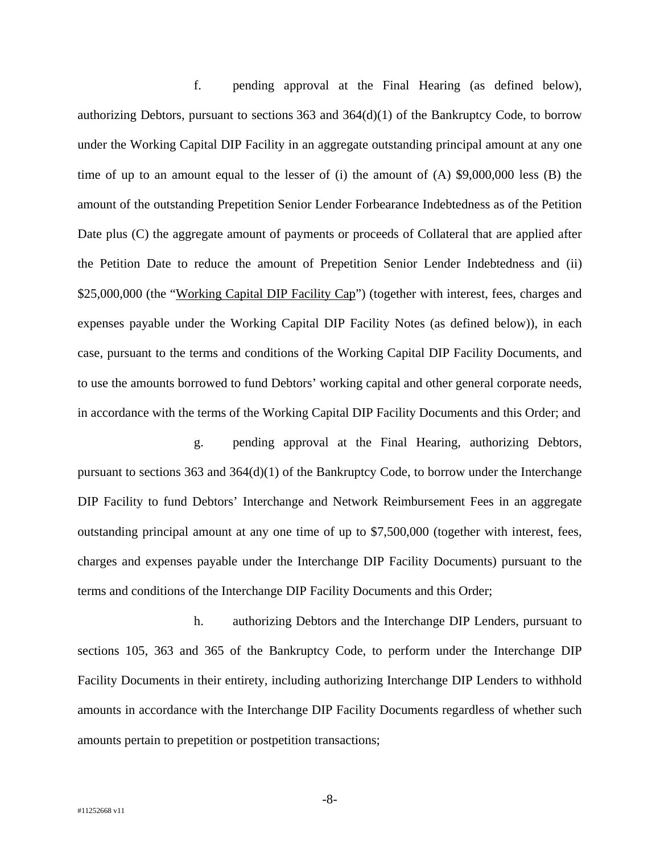f. pending approval at the Final Hearing (as defined below), authorizing Debtors, pursuant to sections  $363$  and  $364(d)(1)$  of the Bankruptcy Code, to borrow under the Working Capital DIP Facility in an aggregate outstanding principal amount at any one time of up to an amount equal to the lesser of (i) the amount of (A) \$9,000,000 less (B) the amount of the outstanding Prepetition Senior Lender Forbearance Indebtedness as of the Petition Date plus (C) the aggregate amount of payments or proceeds of Collateral that are applied after the Petition Date to reduce the amount of Prepetition Senior Lender Indebtedness and (ii) \$25,000,000 (the "Working Capital DIP Facility Cap") (together with interest, fees, charges and expenses payable under the Working Capital DIP Facility Notes (as defined below)), in each case, pursuant to the terms and conditions of the Working Capital DIP Facility Documents, and to use the amounts borrowed to fund Debtors' working capital and other general corporate needs, in accordance with the terms of the Working Capital DIP Facility Documents and this Order; and

g. pending approval at the Final Hearing, authorizing Debtors, pursuant to sections  $363$  and  $364(d)(1)$  of the Bankruptcy Code, to borrow under the Interchange DIP Facility to fund Debtors' Interchange and Network Reimbursement Fees in an aggregate outstanding principal amount at any one time of up to \$7,500,000 (together with interest, fees, charges and expenses payable under the Interchange DIP Facility Documents) pursuant to the terms and conditions of the Interchange DIP Facility Documents and this Order;

h. authorizing Debtors and the Interchange DIP Lenders, pursuant to sections 105, 363 and 365 of the Bankruptcy Code, to perform under the Interchange DIP Facility Documents in their entirety, including authorizing Interchange DIP Lenders to withhold amounts in accordance with the Interchange DIP Facility Documents regardless of whether such amounts pertain to prepetition or postpetition transactions;

-8-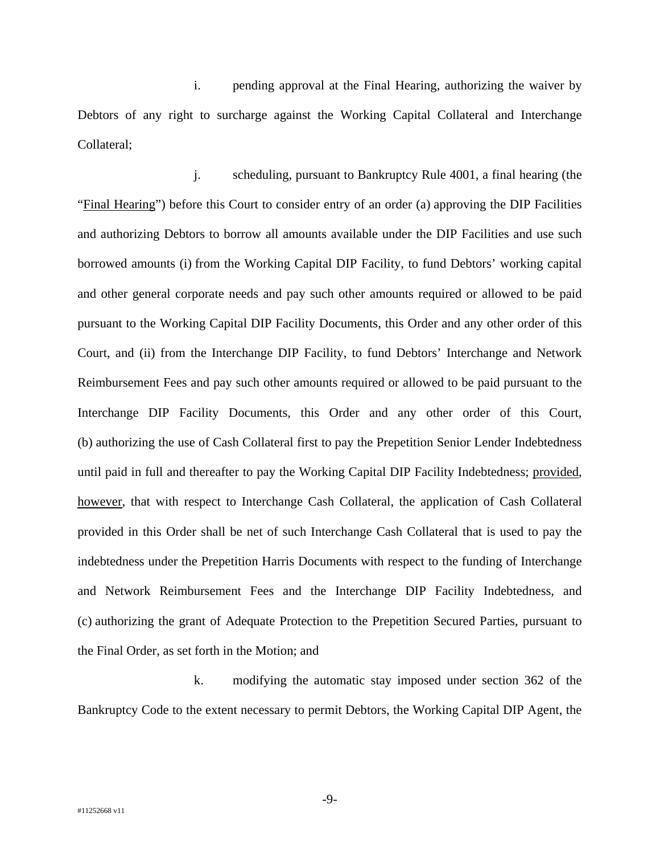i. pending approval at the Final Hearing, authorizing the waiver by Debtors of any right to surcharge against the Working Capital Collateral and Interchange Collateral;

j. scheduling, pursuant to Bankruptcy Rule 4001, a final hearing (the "Final Hearing") before this Court to consider entry of an order (a) approving the DIP Facilities and authorizing Debtors to borrow all amounts available under the DIP Facilities and use such borrowed amounts (i) from the Working Capital DIP Facility, to fund Debtors' working capital and other general corporate needs and pay such other amounts required or allowed to be paid pursuant to the Working Capital DIP Facility Documents, this Order and any other order of this Court, and (ii) from the Interchange DIP Facility, to fund Debtors' Interchange and Network Reimbursement Fees and pay such other amounts required or allowed to be paid pursuant to the Interchange DIP Facility Documents, this Order and any other order of this Court, (b) authorizing the use of Cash Collateral first to pay the Prepetition Senior Lender Indebtedness until paid in full and thereafter to pay the Working Capital DIP Facility Indebtedness; provided, however, that with respect to Interchange Cash Collateral, the application of Cash Collateral provided in this Order shall be net of such Interchange Cash Collateral that is used to pay the indebtedness under the Prepetition Harris Documents with respect to the funding of Interchange and Network Reimbursement Fees and the Interchange DIP Facility Indebtedness, and (c) authorizing the grant of Adequate Protection to the Prepetition Secured Parties, pursuant to the Final Order, as set forth in the Motion; and

k. modifying the automatic stay imposed under section 362 of the Bankruptcy Code to the extent necessary to permit Debtors, the Working Capital DIP Agent, the

-9-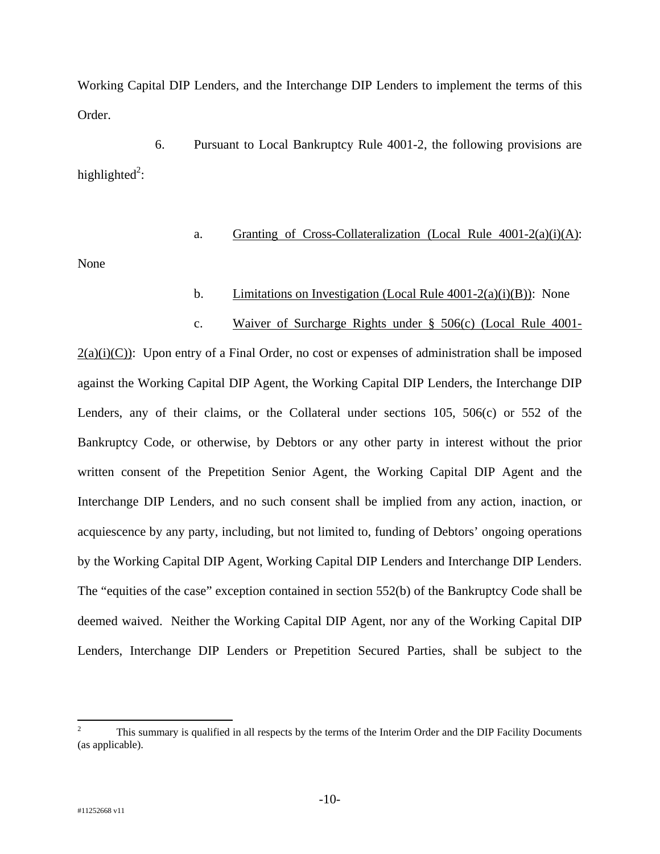Working Capital DIP Lenders, and the Interchange DIP Lenders to implement the terms of this Order.

6. Pursuant to Local Bankruptcy Rule 4001-2, the following provisions are highlighted<sup>2</sup>:

## a. Granting of Cross-Collateralization (Local Rule  $4001-2(a)(i)(A)$ :

None

# b. Limitations on Investigation (Local Rule 4001-2(a)(i)(B)): None

# c. Waiver of Surcharge Rights under § 506(c) (Local Rule 4001-

 $2(a)(i)(C)$ : Upon entry of a Final Order, no cost or expenses of administration shall be imposed against the Working Capital DIP Agent, the Working Capital DIP Lenders, the Interchange DIP Lenders, any of their claims, or the Collateral under sections 105, 506(c) or 552 of the Bankruptcy Code, or otherwise, by Debtors or any other party in interest without the prior written consent of the Prepetition Senior Agent, the Working Capital DIP Agent and the Interchange DIP Lenders, and no such consent shall be implied from any action, inaction, or acquiescence by any party, including, but not limited to, funding of Debtors' ongoing operations by the Working Capital DIP Agent, Working Capital DIP Lenders and Interchange DIP Lenders. The "equities of the case" exception contained in section 552(b) of the Bankruptcy Code shall be deemed waived. Neither the Working Capital DIP Agent, nor any of the Working Capital DIP Lenders, Interchange DIP Lenders or Prepetition Secured Parties, shall be subject to the

1

<sup>2</sup> This summary is qualified in all respects by the terms of the Interim Order and the DIP Facility Documents (as applicable).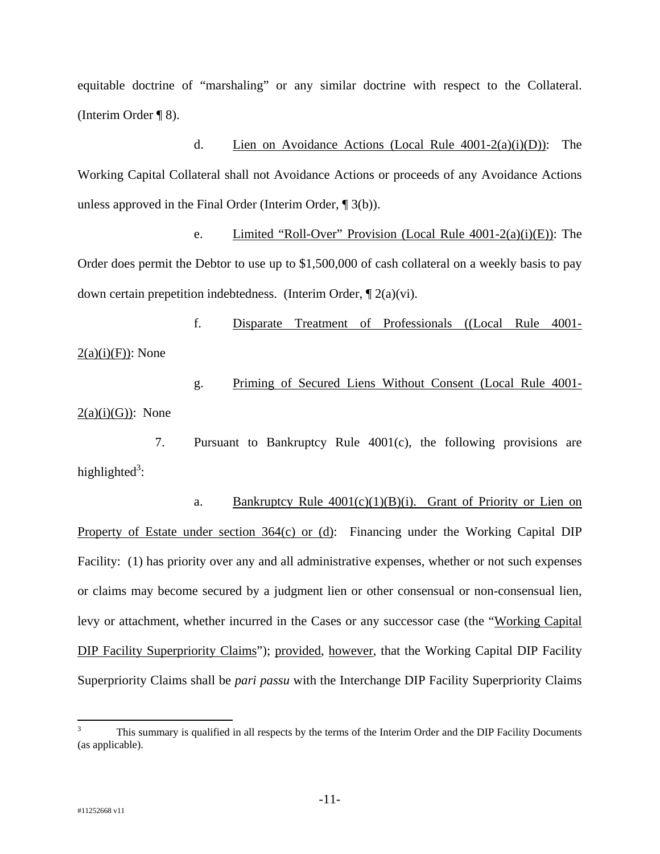equitable doctrine of "marshaling" or any similar doctrine with respect to the Collateral. (Interim Order ¶ 8).

d. Lien on Avoidance Actions (Local Rule 4001-2(a)(i)(D)): The Working Capital Collateral shall not Avoidance Actions or proceeds of any Avoidance Actions unless approved in the Final Order (Interim Order, ¶ 3(b)).

e. Limited "Roll-Over" Provision (Local Rule 4001-2(a)(i)(E)): The Order does permit the Debtor to use up to \$1,500,000 of cash collateral on a weekly basis to pay down certain prepetition indebtedness. (Interim Order, ¶ 2(a)(vi).

f. Disparate Treatment of Professionals ((Local Rule 4001-  $2(a)(i)(F)$ : None

g. Priming of Secured Liens Without Consent (Local Rule 4001-  $2(a)(i)(G)$ : None

7. Pursuant to Bankruptcy Rule 4001(c), the following provisions are highlighted<sup>3</sup>:

a. Bankruptcy Rule  $4001(c)(1)(B)(i)$ . Grant of Priority or Lien on Property of Estate under section 364(c) or (d): Financing under the Working Capital DIP Facility: (1) has priority over any and all administrative expenses, whether or not such expenses or claims may become secured by a judgment lien or other consensual or non-consensual lien, levy or attachment, whether incurred in the Cases or any successor case (the "Working Capital DIP Facility Superpriority Claims"); provided, however, that the Working Capital DIP Facility Superpriority Claims shall be *pari passu* with the Interchange DIP Facility Superpriority Claims

 $\overline{a}$ 

<sup>3</sup> This summary is qualified in all respects by the terms of the Interim Order and the DIP Facility Documents (as applicable).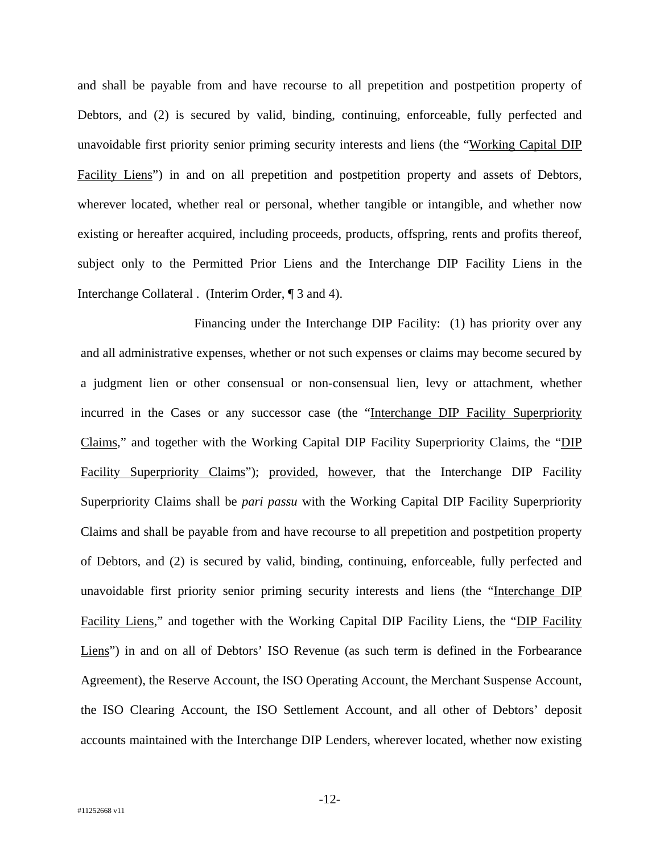and shall be payable from and have recourse to all prepetition and postpetition property of Debtors, and (2) is secured by valid, binding, continuing, enforceable, fully perfected and unavoidable first priority senior priming security interests and liens (the "Working Capital DIP Facility Liens") in and on all prepetition and postpetition property and assets of Debtors, wherever located, whether real or personal, whether tangible or intangible, and whether now existing or hereafter acquired, including proceeds, products, offspring, rents and profits thereof, subject only to the Permitted Prior Liens and the Interchange DIP Facility Liens in the Interchange Collateral . (Interim Order, ¶ 3 and 4).

Financing under the Interchange DIP Facility: (1) has priority over any and all administrative expenses, whether or not such expenses or claims may become secured by a judgment lien or other consensual or non-consensual lien, levy or attachment, whether incurred in the Cases or any successor case (the "Interchange DIP Facility Superpriority Claims," and together with the Working Capital DIP Facility Superpriority Claims, the "DIP Facility Superpriority Claims"); provided, however, that the Interchange DIP Facility Superpriority Claims shall be *pari passu* with the Working Capital DIP Facility Superpriority Claims and shall be payable from and have recourse to all prepetition and postpetition property of Debtors, and (2) is secured by valid, binding, continuing, enforceable, fully perfected and unavoidable first priority senior priming security interests and liens (the "Interchange DIP Facility Liens," and together with the Working Capital DIP Facility Liens, the "DIP Facility Liens") in and on all of Debtors' ISO Revenue (as such term is defined in the Forbearance Agreement), the Reserve Account, the ISO Operating Account, the Merchant Suspense Account, the ISO Clearing Account, the ISO Settlement Account, and all other of Debtors' deposit accounts maintained with the Interchange DIP Lenders, wherever located, whether now existing

-12-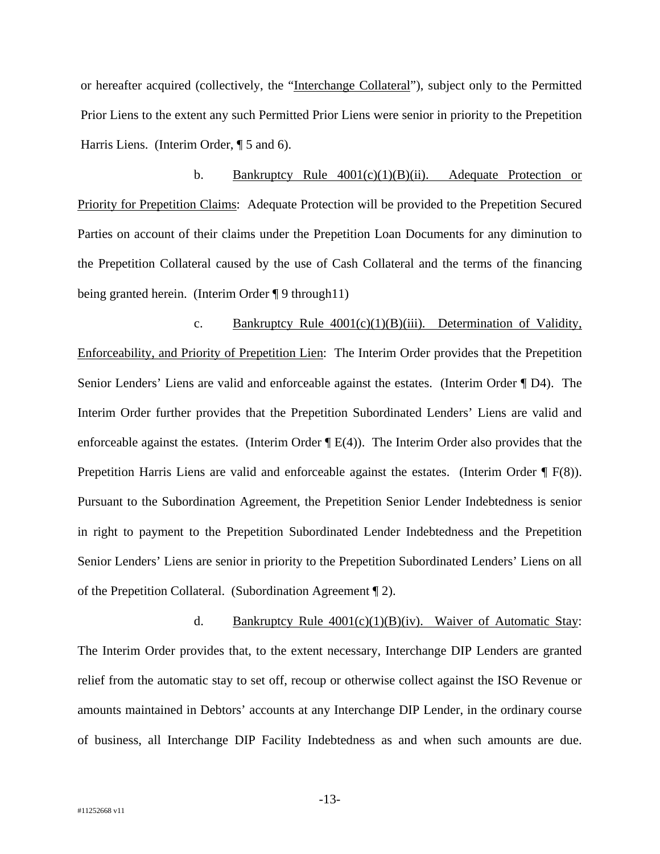or hereafter acquired (collectively, the "Interchange Collateral"), subject only to the Permitted Prior Liens to the extent any such Permitted Prior Liens were senior in priority to the Prepetition Harris Liens. (Interim Order, ¶ 5 and 6).

b. Bankruptcy Rule  $4001(c)(1)(B)(ii)$ . Adequate Protection or Priority for Prepetition Claims: Adequate Protection will be provided to the Prepetition Secured Parties on account of their claims under the Prepetition Loan Documents for any diminution to the Prepetition Collateral caused by the use of Cash Collateral and the terms of the financing being granted herein. (Interim Order ¶ 9 through11)

c. Bankruptcy Rule  $4001(c)(1)(B)(iii)$ . Determination of Validity, Enforceability, and Priority of Prepetition Lien: The Interim Order provides that the Prepetition Senior Lenders' Liens are valid and enforceable against the estates. (Interim Order ¶ D4). The Interim Order further provides that the Prepetition Subordinated Lenders' Liens are valid and enforceable against the estates. (Interim Order  $\P$ E(4)). The Interim Order also provides that the Prepetition Harris Liens are valid and enforceable against the estates. (Interim Order ¶ F(8)). Pursuant to the Subordination Agreement, the Prepetition Senior Lender Indebtedness is senior in right to payment to the Prepetition Subordinated Lender Indebtedness and the Prepetition Senior Lenders' Liens are senior in priority to the Prepetition Subordinated Lenders' Liens on all of the Prepetition Collateral. (Subordination Agreement ¶ 2).

d. Bankruptcy Rule  $4001(c)(1)(B)(iv)$ . Waiver of Automatic Stay: The Interim Order provides that, to the extent necessary, Interchange DIP Lenders are granted relief from the automatic stay to set off, recoup or otherwise collect against the ISO Revenue or amounts maintained in Debtors' accounts at any Interchange DIP Lender, in the ordinary course of business, all Interchange DIP Facility Indebtedness as and when such amounts are due.

-13-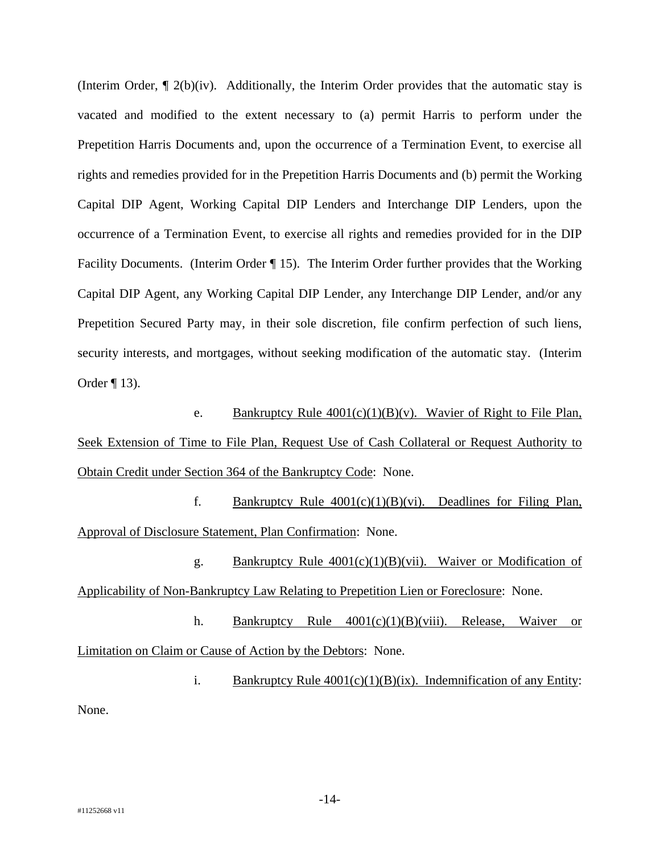(Interim Order, ¶ 2(b)(iv). Additionally, the Interim Order provides that the automatic stay is vacated and modified to the extent necessary to (a) permit Harris to perform under the Prepetition Harris Documents and, upon the occurrence of a Termination Event, to exercise all rights and remedies provided for in the Prepetition Harris Documents and (b) permit the Working Capital DIP Agent, Working Capital DIP Lenders and Interchange DIP Lenders, upon the occurrence of a Termination Event, to exercise all rights and remedies provided for in the DIP Facility Documents. (Interim Order ¶ 15). The Interim Order further provides that the Working Capital DIP Agent, any Working Capital DIP Lender, any Interchange DIP Lender, and/or any Prepetition Secured Party may, in their sole discretion, file confirm perfection of such liens, security interests, and mortgages, without seeking modification of the automatic stay. (Interim Order ¶ 13).

e. Bankruptcy Rule  $4001(c)(1)(B)(v)$ . Wavier of Right to File Plan, Seek Extension of Time to File Plan, Request Use of Cash Collateral or Request Authority to Obtain Credit under Section 364 of the Bankruptcy Code: None.

f. Bankruptcy Rule  $4001(c)(1)(B)(vi)$ . Deadlines for Filing Plan, Approval of Disclosure Statement, Plan Confirmation: None.

g. Bankruptcy Rule 4001(c)(1)(B)(vii). Waiver or Modification of Applicability of Non-Bankruptcy Law Relating to Prepetition Lien or Foreclosure: None.

h. Bankruptcy Rule 4001(c)(1)(B)(viii). Release, Waiver or Limitation on Claim or Cause of Action by the Debtors: None.

i. Bankruptcy Rule  $4001(c)(1)(B)(ix)$ . Indemnification of any Entity: None.

-14-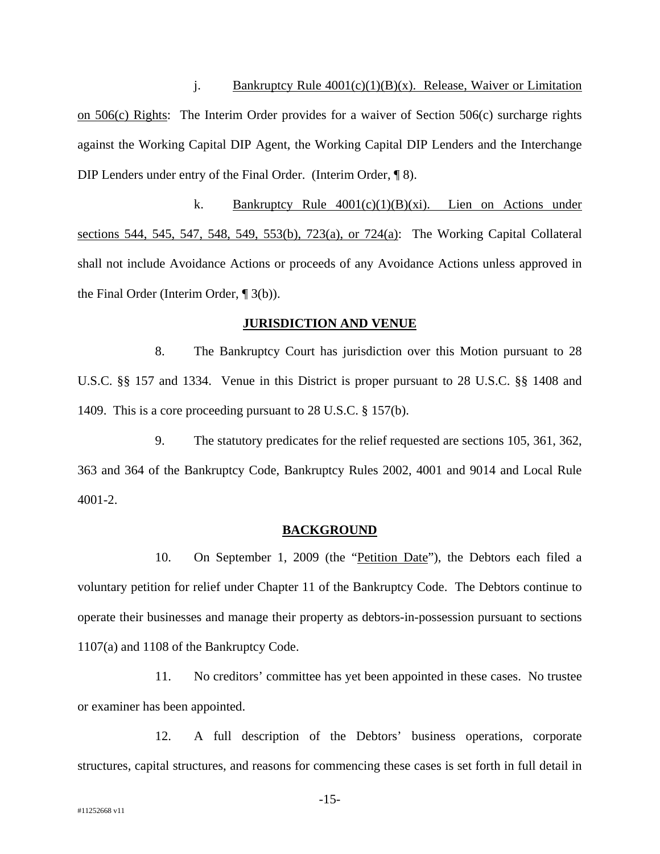j. Bankruptcy Rule  $4001(c)(1)(B)(x)$ . Release, Waiver or Limitation on 506(c) Rights: The Interim Order provides for a waiver of Section 506(c) surcharge rights against the Working Capital DIP Agent, the Working Capital DIP Lenders and the Interchange DIP Lenders under entry of the Final Order. (Interim Order, ¶ 8).

k. Bankruptcy Rule  $4001(c)(1)(B)(xi)$ . Lien on Actions under sections 544, 545, 547, 548, 549, 553(b), 723(a), or 724(a): The Working Capital Collateral shall not include Avoidance Actions or proceeds of any Avoidance Actions unless approved in the Final Order (Interim Order, ¶ 3(b)).

#### **JURISDICTION AND VENUE**

8. The Bankruptcy Court has jurisdiction over this Motion pursuant to 28 U.S.C. §§ 157 and 1334. Venue in this District is proper pursuant to 28 U.S.C. §§ 1408 and 1409. This is a core proceeding pursuant to 28 U.S.C. § 157(b).

9. The statutory predicates for the relief requested are sections 105, 361, 362, 363 and 364 of the Bankruptcy Code, Bankruptcy Rules 2002, 4001 and 9014 and Local Rule 4001-2.

### **BACKGROUND**

10. On September 1, 2009 (the "Petition Date"), the Debtors each filed a voluntary petition for relief under Chapter 11 of the Bankruptcy Code. The Debtors continue to operate their businesses and manage their property as debtors-in-possession pursuant to sections 1107(a) and 1108 of the Bankruptcy Code.

11. No creditors' committee has yet been appointed in these cases. No trustee or examiner has been appointed.

12. A full description of the Debtors' business operations, corporate structures, capital structures, and reasons for commencing these cases is set forth in full detail in

-15-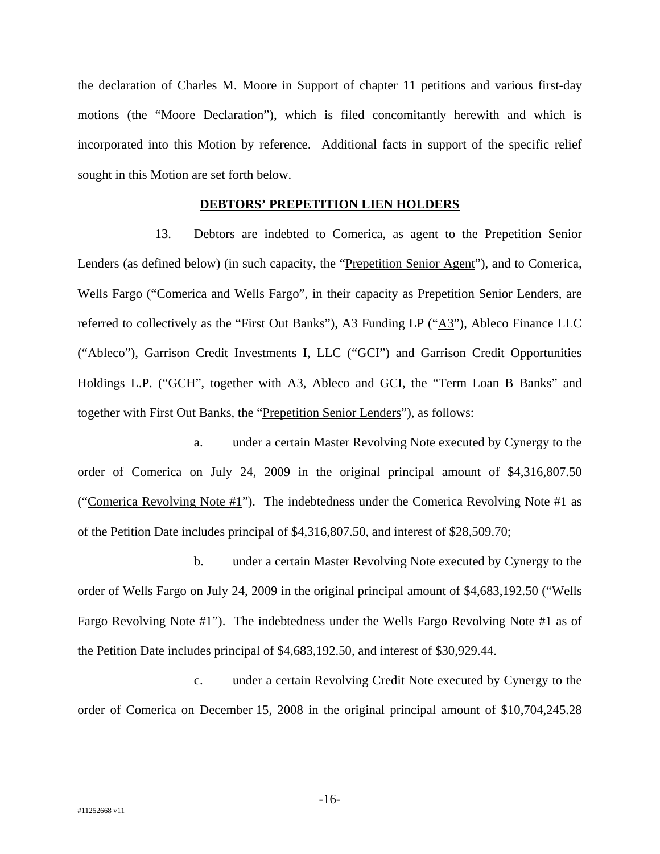the declaration of Charles M. Moore in Support of chapter 11 petitions and various first-day motions (the "Moore Declaration"), which is filed concomitantly herewith and which is incorporated into this Motion by reference. Additional facts in support of the specific relief sought in this Motion are set forth below.

## **DEBTORS' PREPETITION LIEN HOLDERS**

13. Debtors are indebted to Comerica, as agent to the Prepetition Senior Lenders (as defined below) (in such capacity, the "Prepetition Senior Agent"), and to Comerica, Wells Fargo ("Comerica and Wells Fargo", in their capacity as Prepetition Senior Lenders, are referred to collectively as the "First Out Banks"), A3 Funding LP ("A3"), Ableco Finance LLC ("Ableco"), Garrison Credit Investments I, LLC ("GCI") and Garrison Credit Opportunities Holdings L.P. ("GCH", together with A3, Ableco and GCI, the "Term Loan B Banks" and together with First Out Banks, the "Prepetition Senior Lenders"), as follows:

a. under a certain Master Revolving Note executed by Cynergy to the order of Comerica on July 24, 2009 in the original principal amount of \$4,316,807.50 ("Comerica Revolving Note  $#1$ "). The indebtedness under the Comerica Revolving Note  $#1$  as of the Petition Date includes principal of \$4,316,807.50, and interest of \$28,509.70;

b. under a certain Master Revolving Note executed by Cynergy to the order of Wells Fargo on July 24, 2009 in the original principal amount of \$4,683,192.50 ("Wells Fargo Revolving Note #1"). The indebtedness under the Wells Fargo Revolving Note #1 as of the Petition Date includes principal of \$4,683,192.50, and interest of \$30,929.44.

c. under a certain Revolving Credit Note executed by Cynergy to the order of Comerica on December 15, 2008 in the original principal amount of \$10,704,245.28

-16-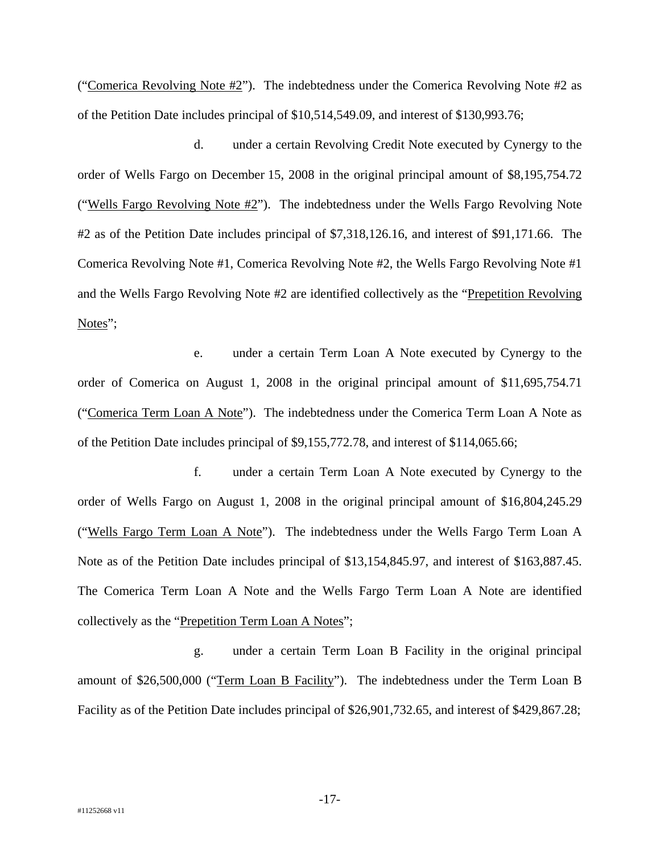("Comerica Revolving Note  $#2$ "). The indebtedness under the Comerica Revolving Note  $#2$  as of the Petition Date includes principal of \$10,514,549.09, and interest of \$130,993.76;

d. under a certain Revolving Credit Note executed by Cynergy to the order of Wells Fargo on December 15, 2008 in the original principal amount of \$8,195,754.72 ("Wells Fargo Revolving Note #2"). The indebtedness under the Wells Fargo Revolving Note #2 as of the Petition Date includes principal of \$7,318,126.16, and interest of \$91,171.66. The Comerica Revolving Note #1, Comerica Revolving Note #2, the Wells Fargo Revolving Note #1 and the Wells Fargo Revolving Note #2 are identified collectively as the "Prepetition Revolving Notes";

e. under a certain Term Loan A Note executed by Cynergy to the order of Comerica on August 1, 2008 in the original principal amount of \$11,695,754.71 ("Comerica Term Loan A Note"). The indebtedness under the Comerica Term Loan A Note as of the Petition Date includes principal of \$9,155,772.78, and interest of \$114,065.66;

f. under a certain Term Loan A Note executed by Cynergy to the order of Wells Fargo on August 1, 2008 in the original principal amount of \$16,804,245.29 ("Wells Fargo Term Loan A Note"). The indebtedness under the Wells Fargo Term Loan A Note as of the Petition Date includes principal of \$13,154,845.97, and interest of \$163,887.45. The Comerica Term Loan A Note and the Wells Fargo Term Loan A Note are identified collectively as the "Prepetition Term Loan A Notes";

g. under a certain Term Loan B Facility in the original principal amount of \$26,500,000 ("Term Loan B Facility"). The indebtedness under the Term Loan B Facility as of the Petition Date includes principal of \$26,901,732.65, and interest of \$429,867.28;

-17-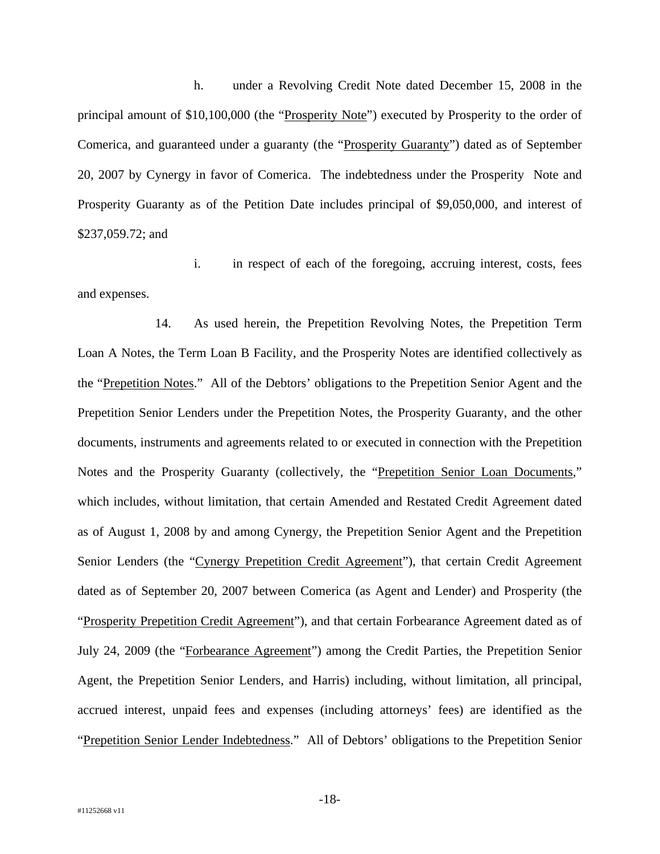h. under a Revolving Credit Note dated December 15, 2008 in the principal amount of \$10,100,000 (the "Prosperity Note") executed by Prosperity to the order of Comerica, and guaranteed under a guaranty (the "Prosperity Guaranty") dated as of September 20, 2007 by Cynergy in favor of Comerica. The indebtedness under the Prosperity Note and Prosperity Guaranty as of the Petition Date includes principal of \$9,050,000, and interest of \$237,059.72; and

i. in respect of each of the foregoing, accruing interest, costs, fees and expenses.

14. As used herein, the Prepetition Revolving Notes, the Prepetition Term Loan A Notes, the Term Loan B Facility, and the Prosperity Notes are identified collectively as the "Prepetition Notes." All of the Debtors' obligations to the Prepetition Senior Agent and the Prepetition Senior Lenders under the Prepetition Notes, the Prosperity Guaranty, and the other documents, instruments and agreements related to or executed in connection with the Prepetition Notes and the Prosperity Guaranty (collectively, the "Prepetition Senior Loan Documents," which includes, without limitation, that certain Amended and Restated Credit Agreement dated as of August 1, 2008 by and among Cynergy, the Prepetition Senior Agent and the Prepetition Senior Lenders (the "Cynergy Prepetition Credit Agreement"), that certain Credit Agreement dated as of September 20, 2007 between Comerica (as Agent and Lender) and Prosperity (the "Prosperity Prepetition Credit Agreement"), and that certain Forbearance Agreement dated as of July 24, 2009 (the "Forbearance Agreement") among the Credit Parties, the Prepetition Senior Agent, the Prepetition Senior Lenders, and Harris) including, without limitation, all principal, accrued interest, unpaid fees and expenses (including attorneys' fees) are identified as the "Prepetition Senior Lender Indebtedness." All of Debtors' obligations to the Prepetition Senior

-18-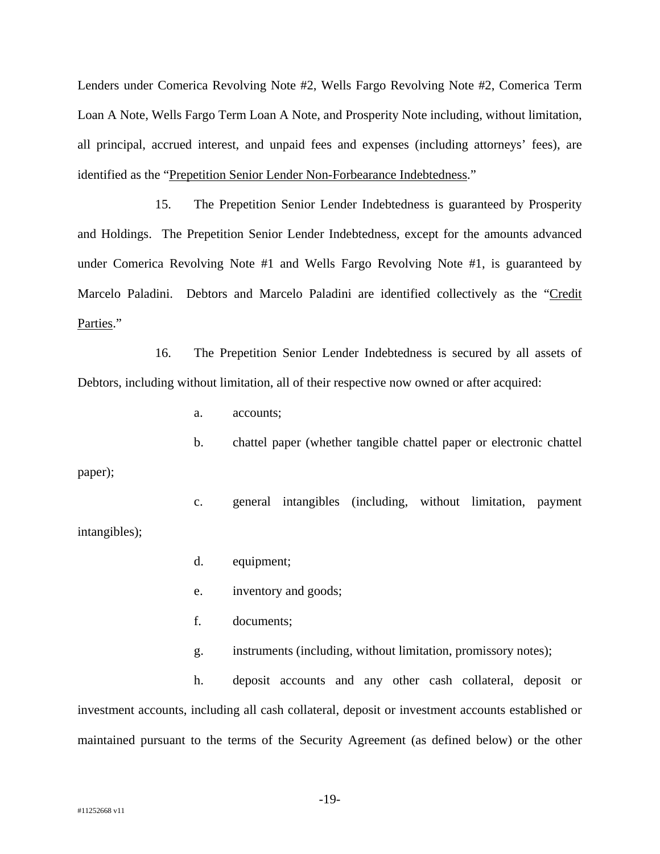Lenders under Comerica Revolving Note #2, Wells Fargo Revolving Note #2, Comerica Term Loan A Note, Wells Fargo Term Loan A Note, and Prosperity Note including, without limitation, all principal, accrued interest, and unpaid fees and expenses (including attorneys' fees), are identified as the "Prepetition Senior Lender Non-Forbearance Indebtedness."

15. The Prepetition Senior Lender Indebtedness is guaranteed by Prosperity and Holdings. The Prepetition Senior Lender Indebtedness, except for the amounts advanced under Comerica Revolving Note #1 and Wells Fargo Revolving Note #1, is guaranteed by Marcelo Paladini. Debtors and Marcelo Paladini are identified collectively as the "Credit Parties."

16. The Prepetition Senior Lender Indebtedness is secured by all assets of Debtors, including without limitation, all of their respective now owned or after acquired:

a. accounts;

b. chattel paper (whether tangible chattel paper or electronic chattel paper);

c. general intangibles (including, without limitation, payment intangibles);

- d. equipment;
- e. inventory and goods;
- f. documents;

g. instruments (including, without limitation, promissory notes);

h. deposit accounts and any other cash collateral, deposit or investment accounts, including all cash collateral, deposit or investment accounts established or maintained pursuant to the terms of the Security Agreement (as defined below) or the other

-19-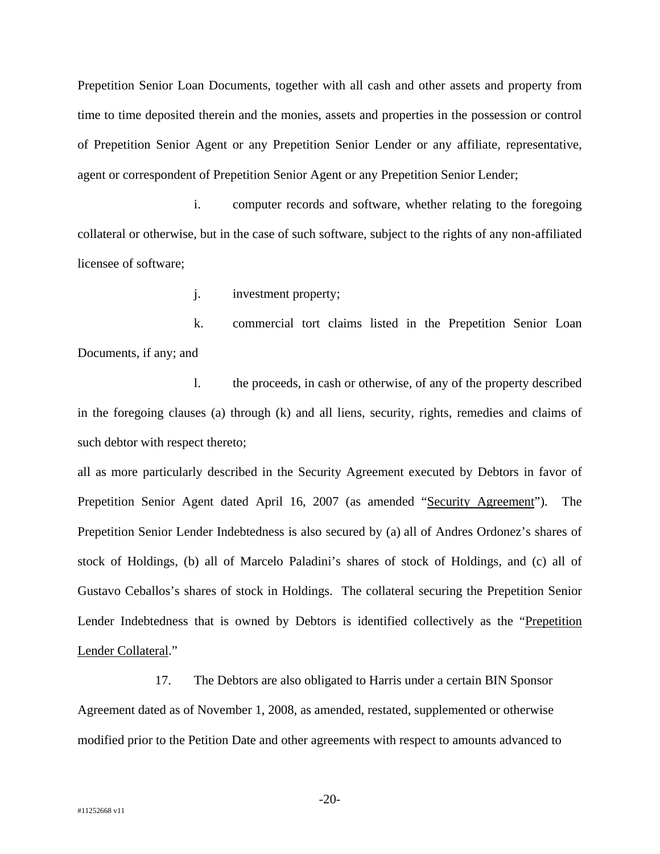Prepetition Senior Loan Documents, together with all cash and other assets and property from time to time deposited therein and the monies, assets and properties in the possession or control of Prepetition Senior Agent or any Prepetition Senior Lender or any affiliate, representative, agent or correspondent of Prepetition Senior Agent or any Prepetition Senior Lender;

i. computer records and software, whether relating to the foregoing collateral or otherwise, but in the case of such software, subject to the rights of any non-affiliated licensee of software;

j. investment property;

k. commercial tort claims listed in the Prepetition Senior Loan Documents, if any; and

l. the proceeds, in cash or otherwise, of any of the property described in the foregoing clauses (a) through (k) and all liens, security, rights, remedies and claims of such debtor with respect thereto;

all as more particularly described in the Security Agreement executed by Debtors in favor of Prepetition Senior Agent dated April 16, 2007 (as amended "Security Agreement"). The Prepetition Senior Lender Indebtedness is also secured by (a) all of Andres Ordonez's shares of stock of Holdings, (b) all of Marcelo Paladini's shares of stock of Holdings, and (c) all of Gustavo Ceballos's shares of stock in Holdings. The collateral securing the Prepetition Senior Lender Indebtedness that is owned by Debtors is identified collectively as the "Prepetition Lender Collateral."

17. The Debtors are also obligated to Harris under a certain BIN Sponsor Agreement dated as of November 1, 2008, as amended, restated, supplemented or otherwise modified prior to the Petition Date and other agreements with respect to amounts advanced to

-20-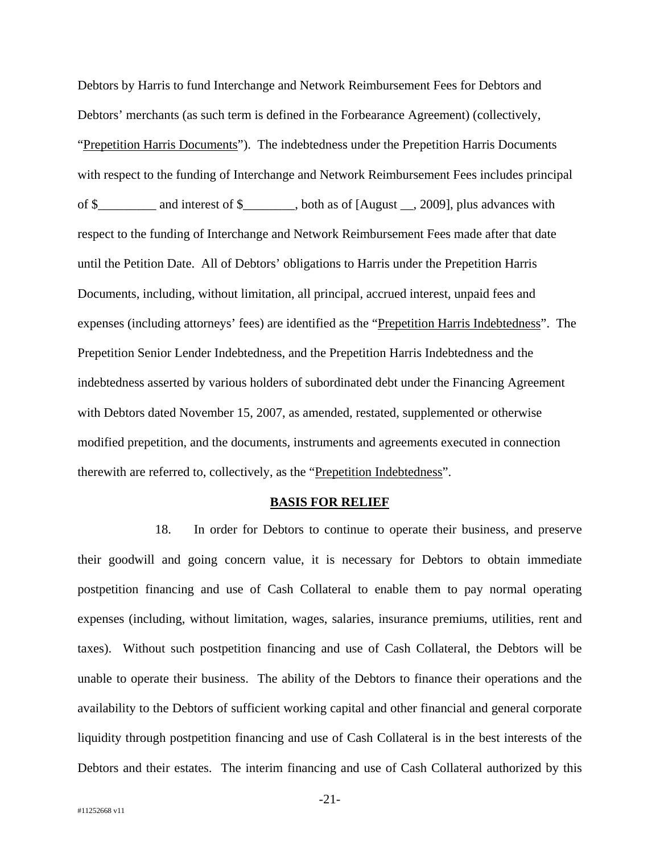Debtors by Harris to fund Interchange and Network Reimbursement Fees for Debtors and Debtors' merchants (as such term is defined in the Forbearance Agreement) (collectively, "Prepetition Harris Documents"). The indebtedness under the Prepetition Harris Documents with respect to the funding of Interchange and Network Reimbursement Fees includes principal of \$\_\_\_\_\_\_\_\_\_ and interest of \$\_\_\_\_\_\_\_\_, both as of [August \_\_, 2009], plus advances with respect to the funding of Interchange and Network Reimbursement Fees made after that date until the Petition Date. All of Debtors' obligations to Harris under the Prepetition Harris Documents, including, without limitation, all principal, accrued interest, unpaid fees and expenses (including attorneys' fees) are identified as the "Prepetition Harris Indebtedness". The Prepetition Senior Lender Indebtedness, and the Prepetition Harris Indebtedness and the indebtedness asserted by various holders of subordinated debt under the Financing Agreement with Debtors dated November 15, 2007, as amended, restated, supplemented or otherwise modified prepetition, and the documents, instruments and agreements executed in connection therewith are referred to, collectively, as the "Prepetition Indebtedness".

#### **BASIS FOR RELIEF**

18. In order for Debtors to continue to operate their business, and preserve their goodwill and going concern value, it is necessary for Debtors to obtain immediate postpetition financing and use of Cash Collateral to enable them to pay normal operating expenses (including, without limitation, wages, salaries, insurance premiums, utilities, rent and taxes). Without such postpetition financing and use of Cash Collateral, the Debtors will be unable to operate their business. The ability of the Debtors to finance their operations and the availability to the Debtors of sufficient working capital and other financial and general corporate liquidity through postpetition financing and use of Cash Collateral is in the best interests of the Debtors and their estates. The interim financing and use of Cash Collateral authorized by this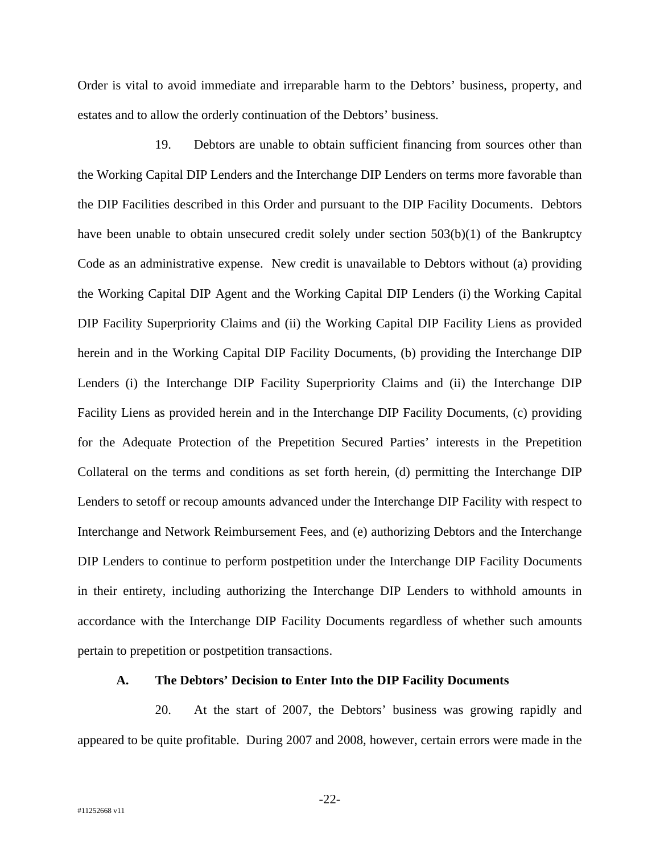Order is vital to avoid immediate and irreparable harm to the Debtors' business, property, and estates and to allow the orderly continuation of the Debtors' business.

19. Debtors are unable to obtain sufficient financing from sources other than the Working Capital DIP Lenders and the Interchange DIP Lenders on terms more favorable than the DIP Facilities described in this Order and pursuant to the DIP Facility Documents. Debtors have been unable to obtain unsecured credit solely under section 503(b)(1) of the Bankruptcy Code as an administrative expense. New credit is unavailable to Debtors without (a) providing the Working Capital DIP Agent and the Working Capital DIP Lenders (i) the Working Capital DIP Facility Superpriority Claims and (ii) the Working Capital DIP Facility Liens as provided herein and in the Working Capital DIP Facility Documents, (b) providing the Interchange DIP Lenders (i) the Interchange DIP Facility Superpriority Claims and (ii) the Interchange DIP Facility Liens as provided herein and in the Interchange DIP Facility Documents, (c) providing for the Adequate Protection of the Prepetition Secured Parties' interests in the Prepetition Collateral on the terms and conditions as set forth herein, (d) permitting the Interchange DIP Lenders to setoff or recoup amounts advanced under the Interchange DIP Facility with respect to Interchange and Network Reimbursement Fees, and (e) authorizing Debtors and the Interchange DIP Lenders to continue to perform postpetition under the Interchange DIP Facility Documents in their entirety, including authorizing the Interchange DIP Lenders to withhold amounts in accordance with the Interchange DIP Facility Documents regardless of whether such amounts pertain to prepetition or postpetition transactions.

## **A. The Debtors' Decision to Enter Into the DIP Facility Documents**

20. At the start of 2007, the Debtors' business was growing rapidly and appeared to be quite profitable. During 2007 and 2008, however, certain errors were made in the

-22-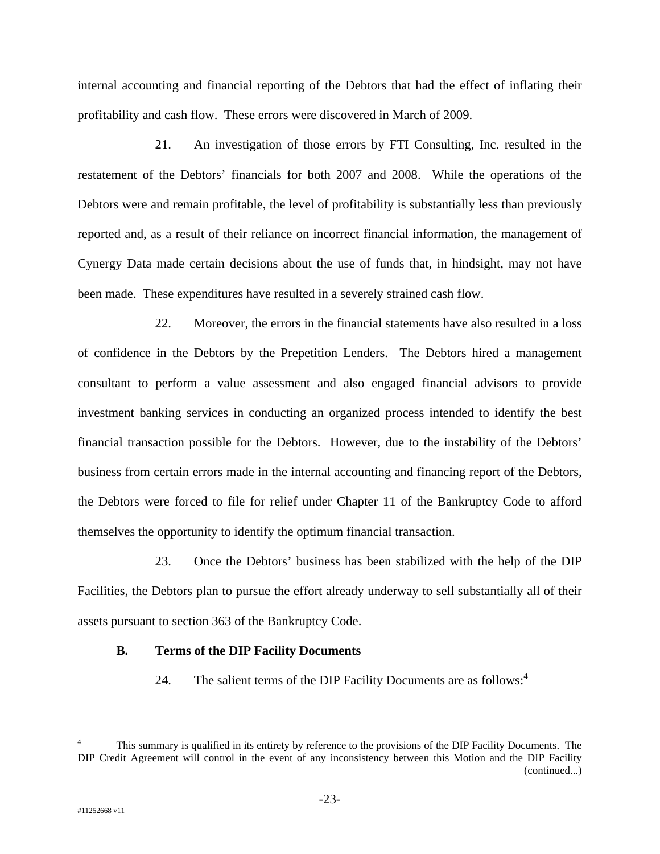internal accounting and financial reporting of the Debtors that had the effect of inflating their profitability and cash flow. These errors were discovered in March of 2009.

21. An investigation of those errors by FTI Consulting, Inc. resulted in the restatement of the Debtors' financials for both 2007 and 2008. While the operations of the Debtors were and remain profitable, the level of profitability is substantially less than previously reported and, as a result of their reliance on incorrect financial information, the management of Cynergy Data made certain decisions about the use of funds that, in hindsight, may not have been made. These expenditures have resulted in a severely strained cash flow.

22. Moreover, the errors in the financial statements have also resulted in a loss of confidence in the Debtors by the Prepetition Lenders. The Debtors hired a management consultant to perform a value assessment and also engaged financial advisors to provide investment banking services in conducting an organized process intended to identify the best financial transaction possible for the Debtors. However, due to the instability of the Debtors' business from certain errors made in the internal accounting and financing report of the Debtors, the Debtors were forced to file for relief under Chapter 11 of the Bankruptcy Code to afford themselves the opportunity to identify the optimum financial transaction.

23. Once the Debtors' business has been stabilized with the help of the DIP Facilities, the Debtors plan to pursue the effort already underway to sell substantially all of their assets pursuant to section 363 of the Bankruptcy Code.

## **B. Terms of the DIP Facility Documents**

24. The salient terms of the DIP Facility Documents are as follows: $4$ 

 $\overline{a}$ 

<sup>4</sup> This summary is qualified in its entirety by reference to the provisions of the DIP Facility Documents. The DIP Credit Agreement will control in the event of any inconsistency between this Motion and the DIP Facility (continued...)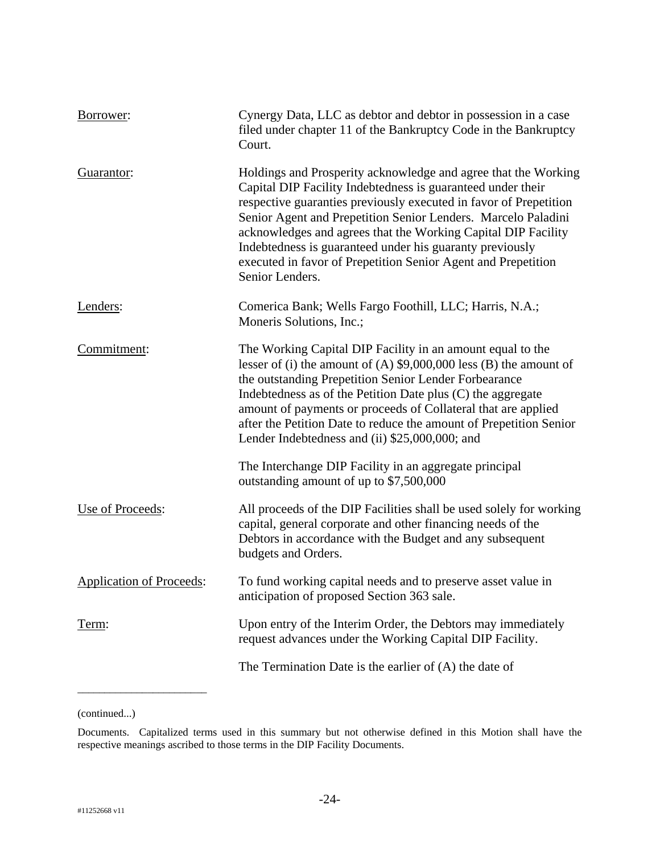| Borrower:                       | Cynergy Data, LLC as debtor and debtor in possession in a case<br>filed under chapter 11 of the Bankruptcy Code in the Bankruptcy<br>Court.                                                                                                                                                                                                                                                                                                                                          |
|---------------------------------|--------------------------------------------------------------------------------------------------------------------------------------------------------------------------------------------------------------------------------------------------------------------------------------------------------------------------------------------------------------------------------------------------------------------------------------------------------------------------------------|
| Guarantor:                      | Holdings and Prosperity acknowledge and agree that the Working<br>Capital DIP Facility Indebtedness is guaranteed under their<br>respective guaranties previously executed in favor of Prepetition<br>Senior Agent and Prepetition Senior Lenders. Marcelo Paladini<br>acknowledges and agrees that the Working Capital DIP Facility<br>Indebtedness is guaranteed under his guaranty previously<br>executed in favor of Prepetition Senior Agent and Prepetition<br>Senior Lenders. |
| Lenders:                        | Comerica Bank; Wells Fargo Foothill, LLC; Harris, N.A.;<br>Moneris Solutions, Inc.;                                                                                                                                                                                                                                                                                                                                                                                                  |
| Commitment:                     | The Working Capital DIP Facility in an amount equal to the<br>lesser of (i) the amount of (A) $$9,000,000$ less (B) the amount of<br>the outstanding Prepetition Senior Lender Forbearance<br>Indebtedness as of the Petition Date plus (C) the aggregate<br>amount of payments or proceeds of Collateral that are applied<br>after the Petition Date to reduce the amount of Prepetition Senior<br>Lender Indebtedness and (ii) \$25,000,000; and                                   |
|                                 | The Interchange DIP Facility in an aggregate principal<br>outstanding amount of up to \$7,500,000                                                                                                                                                                                                                                                                                                                                                                                    |
| Use of Proceeds:                | All proceeds of the DIP Facilities shall be used solely for working<br>capital, general corporate and other financing needs of the<br>Debtors in accordance with the Budget and any subsequent<br>budgets and Orders.                                                                                                                                                                                                                                                                |
| <b>Application of Proceeds:</b> | To fund working capital needs and to preserve asset value in<br>anticipation of proposed Section 363 sale.                                                                                                                                                                                                                                                                                                                                                                           |
| Term:                           | Upon entry of the Interim Order, the Debtors may immediately<br>request advances under the Working Capital DIP Facility.                                                                                                                                                                                                                                                                                                                                                             |
|                                 | The Termination Date is the earlier of $(A)$ the date of                                                                                                                                                                                                                                                                                                                                                                                                                             |

(continued...)

\_\_\_\_\_\_\_\_\_\_\_\_\_\_\_\_\_\_\_\_\_\_\_\_

Documents. Capitalized terms used in this summary but not otherwise defined in this Motion shall have the respective meanings ascribed to those terms in the DIP Facility Documents.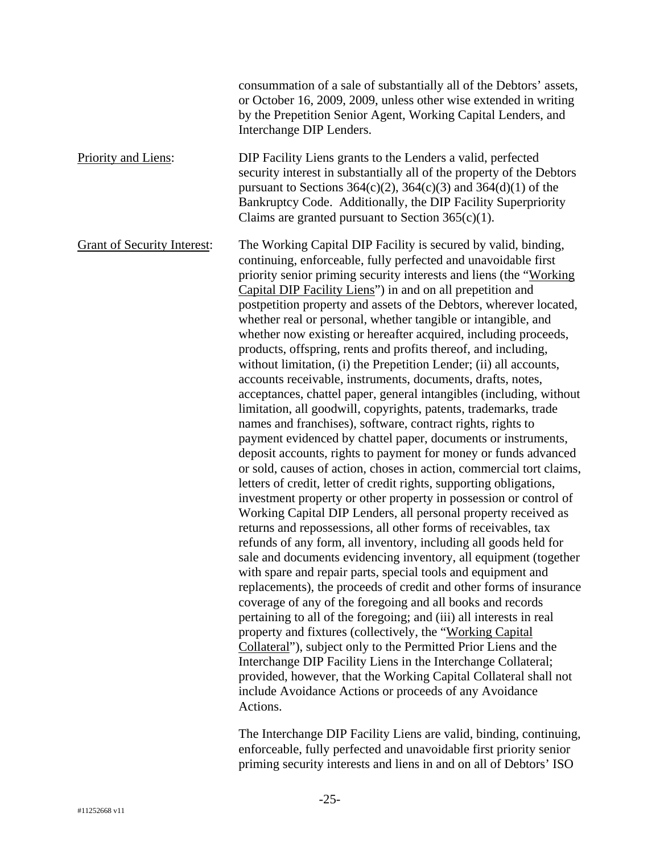|                                    | consummation of a sale of substantially all of the Debtors' assets,<br>or October 16, 2009, 2009, unless other wise extended in writing<br>by the Prepetition Senior Agent, Working Capital Lenders, and<br>Interchange DIP Lenders.                                                                                                                                                                                                                                                                                                                                                                                                                                                                                                                                                                                                                                                                                                                                                                                                                                                                                                                                                                                                                                                                                                                                                                                                                                                                                                                                                                                                                                                                                                                                                                                                                                                                                                                                                                                                                                                                                                                        |
|------------------------------------|-------------------------------------------------------------------------------------------------------------------------------------------------------------------------------------------------------------------------------------------------------------------------------------------------------------------------------------------------------------------------------------------------------------------------------------------------------------------------------------------------------------------------------------------------------------------------------------------------------------------------------------------------------------------------------------------------------------------------------------------------------------------------------------------------------------------------------------------------------------------------------------------------------------------------------------------------------------------------------------------------------------------------------------------------------------------------------------------------------------------------------------------------------------------------------------------------------------------------------------------------------------------------------------------------------------------------------------------------------------------------------------------------------------------------------------------------------------------------------------------------------------------------------------------------------------------------------------------------------------------------------------------------------------------------------------------------------------------------------------------------------------------------------------------------------------------------------------------------------------------------------------------------------------------------------------------------------------------------------------------------------------------------------------------------------------------------------------------------------------------------------------------------------------|
| <b>Priority and Liens:</b>         | DIP Facility Liens grants to the Lenders a valid, perfected<br>security interest in substantially all of the property of the Debtors<br>pursuant to Sections $364(c)(2)$ , $364(c)(3)$ and $364(d)(1)$ of the<br>Bankruptcy Code. Additionally, the DIP Facility Superpriority<br>Claims are granted pursuant to Section $365(c)(1)$ .                                                                                                                                                                                                                                                                                                                                                                                                                                                                                                                                                                                                                                                                                                                                                                                                                                                                                                                                                                                                                                                                                                                                                                                                                                                                                                                                                                                                                                                                                                                                                                                                                                                                                                                                                                                                                      |
| <b>Grant of Security Interest:</b> | The Working Capital DIP Facility is secured by valid, binding,<br>continuing, enforceable, fully perfected and unavoidable first<br>priority senior priming security interests and liens (the "Working"<br>Capital DIP Facility Liens") in and on all prepetition and<br>postpetition property and assets of the Debtors, wherever located,<br>whether real or personal, whether tangible or intangible, and<br>whether now existing or hereafter acquired, including proceeds,<br>products, offspring, rents and profits thereof, and including,<br>without limitation, (i) the Prepetition Lender; (ii) all accounts,<br>accounts receivable, instruments, documents, drafts, notes,<br>acceptances, chattel paper, general intangibles (including, without<br>limitation, all goodwill, copyrights, patents, trademarks, trade<br>names and franchises), software, contract rights, rights to<br>payment evidenced by chattel paper, documents or instruments,<br>deposit accounts, rights to payment for money or funds advanced<br>or sold, causes of action, choses in action, commercial tort claims,<br>letters of credit, letter of credit rights, supporting obligations,<br>investment property or other property in possession or control of<br>Working Capital DIP Lenders, all personal property received as<br>returns and repossessions, all other forms of receivables, tax<br>refunds of any form, all inventory, including all goods held for<br>sale and documents evidencing inventory, all equipment (together<br>with spare and repair parts, special tools and equipment and<br>replacements), the proceeds of credit and other forms of insurance<br>coverage of any of the foregoing and all books and records<br>pertaining to all of the foregoing; and (iii) all interests in real<br>property and fixtures (collectively, the "Working Capital"<br>Collateral"), subject only to the Permitted Prior Liens and the<br>Interchange DIP Facility Liens in the Interchange Collateral;<br>provided, however, that the Working Capital Collateral shall not<br>include Avoidance Actions or proceeds of any Avoidance<br>Actions. |
|                                    |                                                                                                                                                                                                                                                                                                                                                                                                                                                                                                                                                                                                                                                                                                                                                                                                                                                                                                                                                                                                                                                                                                                                                                                                                                                                                                                                                                                                                                                                                                                                                                                                                                                                                                                                                                                                                                                                                                                                                                                                                                                                                                                                                             |

The Interchange DIP Facility Liens are valid, binding, continuing, enforceable, fully perfected and unavoidable first priority senior priming security interests and liens in and on all of Debtors' ISO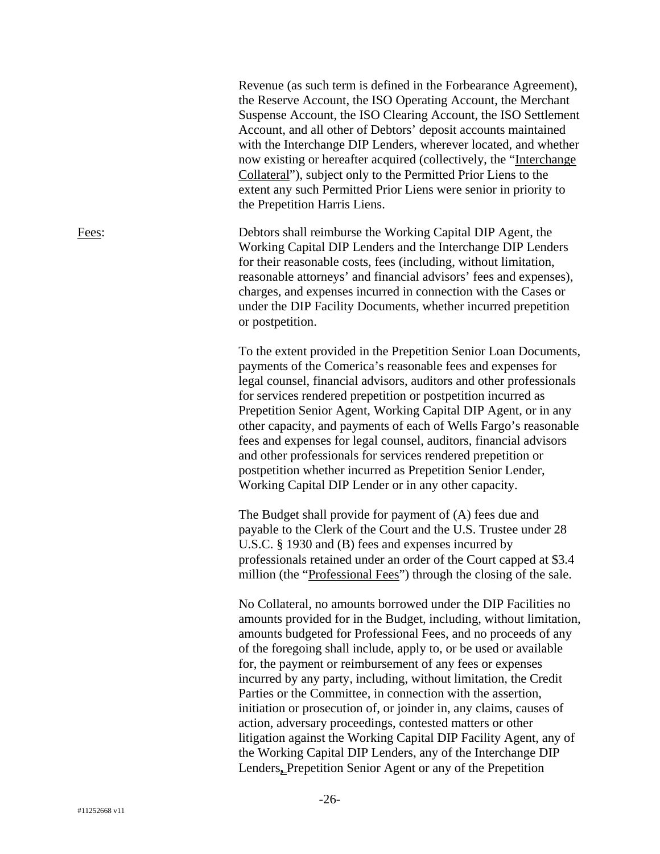Revenue (as such term is defined in the Forbearance Agreement), the Reserve Account, the ISO Operating Account, the Merchant Suspense Account, the ISO Clearing Account, the ISO Settlement Account, and all other of Debtors' deposit accounts maintained with the Interchange DIP Lenders, wherever located, and whether now existing or hereafter acquired (collectively, the "Interchange Collateral"), subject only to the Permitted Prior Liens to the extent any such Permitted Prior Liens were senior in priority to the Prepetition Harris Liens.

Fees: Debtors shall reimburse the Working Capital DIP Agent, the Working Capital DIP Lenders and the Interchange DIP Lenders for their reasonable costs, fees (including, without limitation, reasonable attorneys' and financial advisors' fees and expenses), charges, and expenses incurred in connection with the Cases or under the DIP Facility Documents, whether incurred prepetition or postpetition.

> To the extent provided in the Prepetition Senior Loan Documents, payments of the Comerica's reasonable fees and expenses for legal counsel, financial advisors, auditors and other professionals for services rendered prepetition or postpetition incurred as Prepetition Senior Agent, Working Capital DIP Agent, or in any other capacity, and payments of each of Wells Fargo's reasonable fees and expenses for legal counsel, auditors, financial advisors and other professionals for services rendered prepetition or postpetition whether incurred as Prepetition Senior Lender, Working Capital DIP Lender or in any other capacity.

The Budget shall provide for payment of (A) fees due and payable to the Clerk of the Court and the U.S. Trustee under 28 U.S.C. § 1930 and (B) fees and expenses incurred by professionals retained under an order of the Court capped at \$3.4 million (the "Professional Fees") through the closing of the sale.

No Collateral, no amounts borrowed under the DIP Facilities no amounts provided for in the Budget, including, without limitation, amounts budgeted for Professional Fees, and no proceeds of any of the foregoing shall include, apply to, or be used or available for, the payment or reimbursement of any fees or expenses incurred by any party, including, without limitation, the Credit Parties or the Committee, in connection with the assertion, initiation or prosecution of, or joinder in, any claims, causes of action, adversary proceedings, contested matters or other litigation against the Working Capital DIP Facility Agent, any of the Working Capital DIP Lenders, any of the Interchange DIP Lenders**,** Prepetition Senior Agent or any of the Prepetition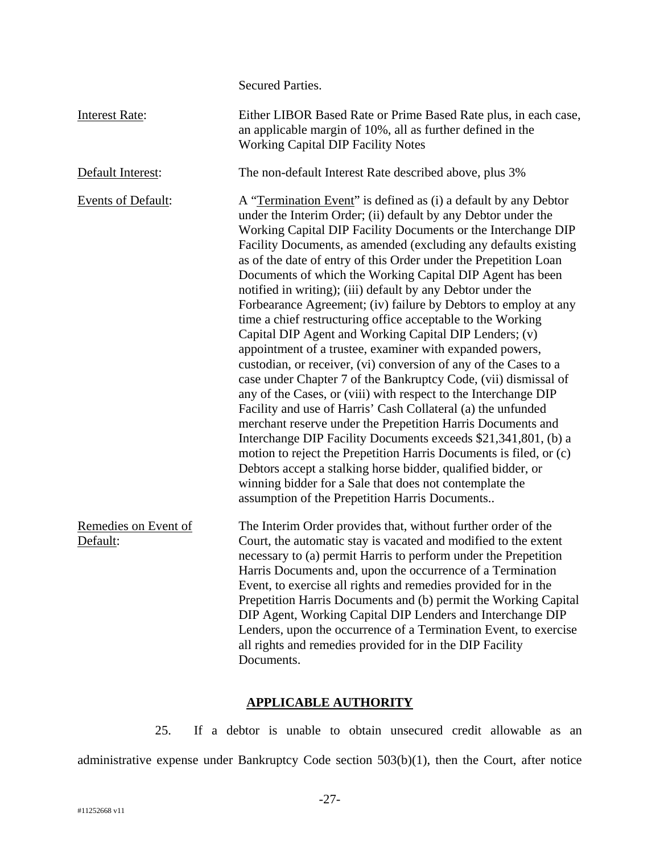Secured Parties.

| <b>Interest Rate:</b>            | Either LIBOR Based Rate or Prime Based Rate plus, in each case,<br>an applicable margin of 10%, all as further defined in the<br><b>Working Capital DIP Facility Notes</b>                                                                                                                                                                                                                                                                                                                                                                                                                                                                                                                                                                                                                                                                                                                                                                                                                                                                                                                                                                                                                                                                                                                                                                                                                 |
|----------------------------------|--------------------------------------------------------------------------------------------------------------------------------------------------------------------------------------------------------------------------------------------------------------------------------------------------------------------------------------------------------------------------------------------------------------------------------------------------------------------------------------------------------------------------------------------------------------------------------------------------------------------------------------------------------------------------------------------------------------------------------------------------------------------------------------------------------------------------------------------------------------------------------------------------------------------------------------------------------------------------------------------------------------------------------------------------------------------------------------------------------------------------------------------------------------------------------------------------------------------------------------------------------------------------------------------------------------------------------------------------------------------------------------------|
| Default Interest:                | The non-default Interest Rate described above, plus 3%                                                                                                                                                                                                                                                                                                                                                                                                                                                                                                                                                                                                                                                                                                                                                                                                                                                                                                                                                                                                                                                                                                                                                                                                                                                                                                                                     |
| Events of Default:               | A "Termination Event" is defined as (i) a default by any Debtor<br>under the Interim Order; (ii) default by any Debtor under the<br>Working Capital DIP Facility Documents or the Interchange DIP<br>Facility Documents, as amended (excluding any defaults existing<br>as of the date of entry of this Order under the Prepetition Loan<br>Documents of which the Working Capital DIP Agent has been<br>notified in writing); (iii) default by any Debtor under the<br>Forbearance Agreement; (iv) failure by Debtors to employ at any<br>time a chief restructuring office acceptable to the Working<br>Capital DIP Agent and Working Capital DIP Lenders; (v)<br>appointment of a trustee, examiner with expanded powers,<br>custodian, or receiver, (vi) conversion of any of the Cases to a<br>case under Chapter 7 of the Bankruptcy Code, (vii) dismissal of<br>any of the Cases, or (viii) with respect to the Interchange DIP<br>Facility and use of Harris' Cash Collateral (a) the unfunded<br>merchant reserve under the Prepetition Harris Documents and<br>Interchange DIP Facility Documents exceeds \$21,341,801, (b) a<br>motion to reject the Prepetition Harris Documents is filed, or (c)<br>Debtors accept a stalking horse bidder, qualified bidder, or<br>winning bidder for a Sale that does not contemplate the<br>assumption of the Prepetition Harris Documents |
| Remedies on Event of<br>Default: | The Interim Order provides that, without further order of the<br>Court, the automatic stay is vacated and modified to the extent<br>necessary to (a) permit Harris to perform under the Prepetition<br>Harris Documents and, upon the occurrence of a Termination<br>Event, to exercise all rights and remedies provided for in the<br>Prepetition Harris Documents and (b) permit the Working Capital<br>DIP Agent, Working Capital DIP Lenders and Interchange DIP<br>Lenders, upon the occurrence of a Termination Event, to exercise<br>all rights and remedies provided for in the DIP Facility<br>Documents.                                                                                                                                                                                                                                                                                                                                                                                                                                                                                                                                                                                                                                                                                                                                                                         |

# **APPLICABLE AUTHORITY**

25. If a debtor is unable to obtain unsecured credit allowable as an administrative expense under Bankruptcy Code section 503(b)(1), then the Court, after notice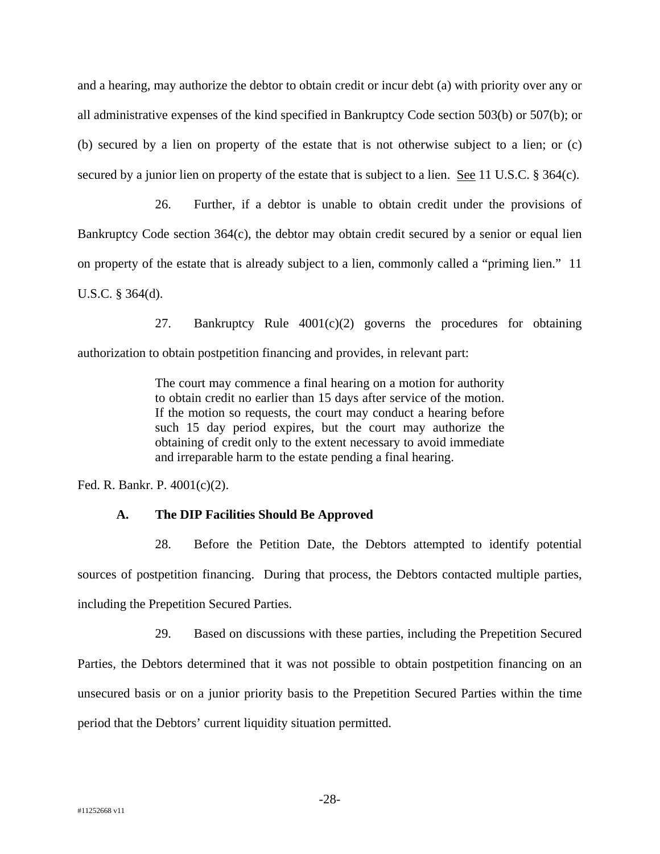and a hearing, may authorize the debtor to obtain credit or incur debt (a) with priority over any or all administrative expenses of the kind specified in Bankruptcy Code section 503(b) or 507(b); or (b) secured by a lien on property of the estate that is not otherwise subject to a lien; or (c) secured by a junior lien on property of the estate that is subject to a lien. See 11 U.S.C. § 364(c).

26. Further, if a debtor is unable to obtain credit under the provisions of Bankruptcy Code section 364(c), the debtor may obtain credit secured by a senior or equal lien on property of the estate that is already subject to a lien, commonly called a "priming lien." 11 U.S.C. § 364(d).

27. Bankruptcy Rule 4001(c)(2) governs the procedures for obtaining authorization to obtain postpetition financing and provides, in relevant part:

> The court may commence a final hearing on a motion for authority to obtain credit no earlier than 15 days after service of the motion. If the motion so requests, the court may conduct a hearing before such 15 day period expires, but the court may authorize the obtaining of credit only to the extent necessary to avoid immediate and irreparable harm to the estate pending a final hearing.

Fed. R. Bankr. P. 4001(c)(2).

## **A. The DIP Facilities Should Be Approved**

28. Before the Petition Date, the Debtors attempted to identify potential sources of postpetition financing. During that process, the Debtors contacted multiple parties, including the Prepetition Secured Parties.

29. Based on discussions with these parties, including the Prepetition Secured Parties, the Debtors determined that it was not possible to obtain postpetition financing on an unsecured basis or on a junior priority basis to the Prepetition Secured Parties within the time period that the Debtors' current liquidity situation permitted.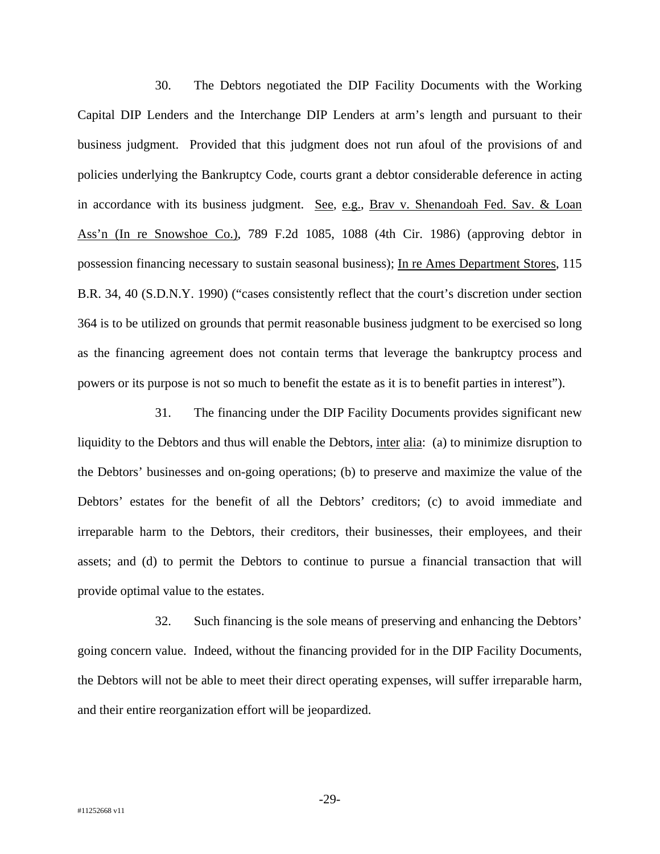30. The Debtors negotiated the DIP Facility Documents with the Working Capital DIP Lenders and the Interchange DIP Lenders at arm's length and pursuant to their business judgment. Provided that this judgment does not run afoul of the provisions of and policies underlying the Bankruptcy Code, courts grant a debtor considerable deference in acting in accordance with its business judgment. See, e.g., Brav v. Shenandoah Fed. Sav. & Loan Ass'n (In re Snowshoe Co.), 789 F.2d 1085, 1088 (4th Cir. 1986) (approving debtor in possession financing necessary to sustain seasonal business); In re Ames Department Stores, 115 B.R. 34, 40 (S.D.N.Y. 1990) ("cases consistently reflect that the court's discretion under section 364 is to be utilized on grounds that permit reasonable business judgment to be exercised so long as the financing agreement does not contain terms that leverage the bankruptcy process and powers or its purpose is not so much to benefit the estate as it is to benefit parties in interest").

31. The financing under the DIP Facility Documents provides significant new liquidity to the Debtors and thus will enable the Debtors, inter alia: (a) to minimize disruption to the Debtors' businesses and on-going operations; (b) to preserve and maximize the value of the Debtors' estates for the benefit of all the Debtors' creditors; (c) to avoid immediate and irreparable harm to the Debtors, their creditors, their businesses, their employees, and their assets; and (d) to permit the Debtors to continue to pursue a financial transaction that will provide optimal value to the estates.

32. Such financing is the sole means of preserving and enhancing the Debtors' going concern value. Indeed, without the financing provided for in the DIP Facility Documents, the Debtors will not be able to meet their direct operating expenses, will suffer irreparable harm, and their entire reorganization effort will be jeopardized.

-29-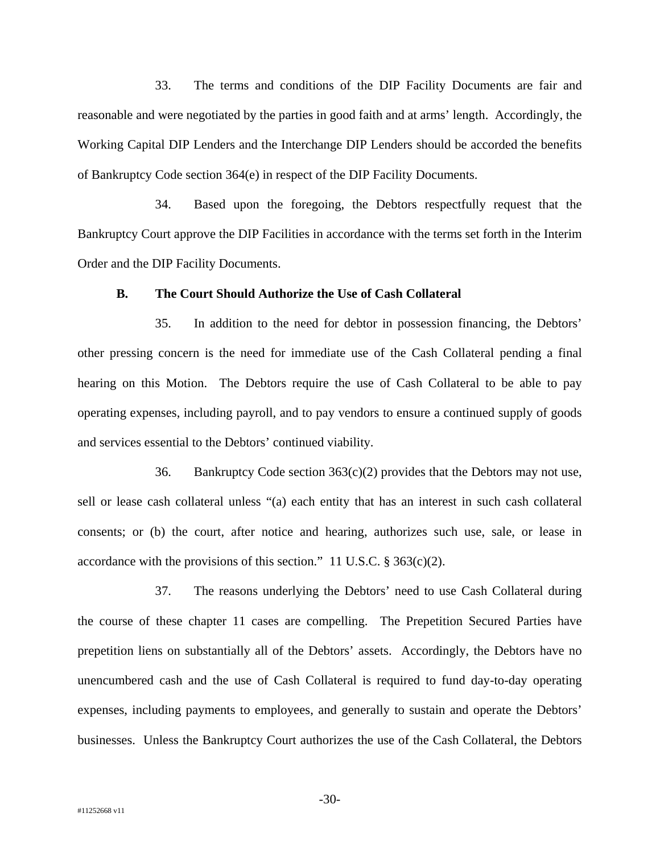33. The terms and conditions of the DIP Facility Documents are fair and reasonable and were negotiated by the parties in good faith and at arms' length. Accordingly, the Working Capital DIP Lenders and the Interchange DIP Lenders should be accorded the benefits of Bankruptcy Code section 364(e) in respect of the DIP Facility Documents.

34. Based upon the foregoing, the Debtors respectfully request that the Bankruptcy Court approve the DIP Facilities in accordance with the terms set forth in the Interim Order and the DIP Facility Documents.

### **B. The Court Should Authorize the Use of Cash Collateral**

35. In addition to the need for debtor in possession financing, the Debtors' other pressing concern is the need for immediate use of the Cash Collateral pending a final hearing on this Motion. The Debtors require the use of Cash Collateral to be able to pay operating expenses, including payroll, and to pay vendors to ensure a continued supply of goods and services essential to the Debtors' continued viability.

36. Bankruptcy Code section  $363(c)(2)$  provides that the Debtors may not use, sell or lease cash collateral unless "(a) each entity that has an interest in such cash collateral consents; or (b) the court, after notice and hearing, authorizes such use, sale, or lease in accordance with the provisions of this section." 11 U.S.C.  $\S 363(c)(2)$ .

37. The reasons underlying the Debtors' need to use Cash Collateral during the course of these chapter 11 cases are compelling. The Prepetition Secured Parties have prepetition liens on substantially all of the Debtors' assets. Accordingly, the Debtors have no unencumbered cash and the use of Cash Collateral is required to fund day-to-day operating expenses, including payments to employees, and generally to sustain and operate the Debtors' businesses. Unless the Bankruptcy Court authorizes the use of the Cash Collateral, the Debtors

-30-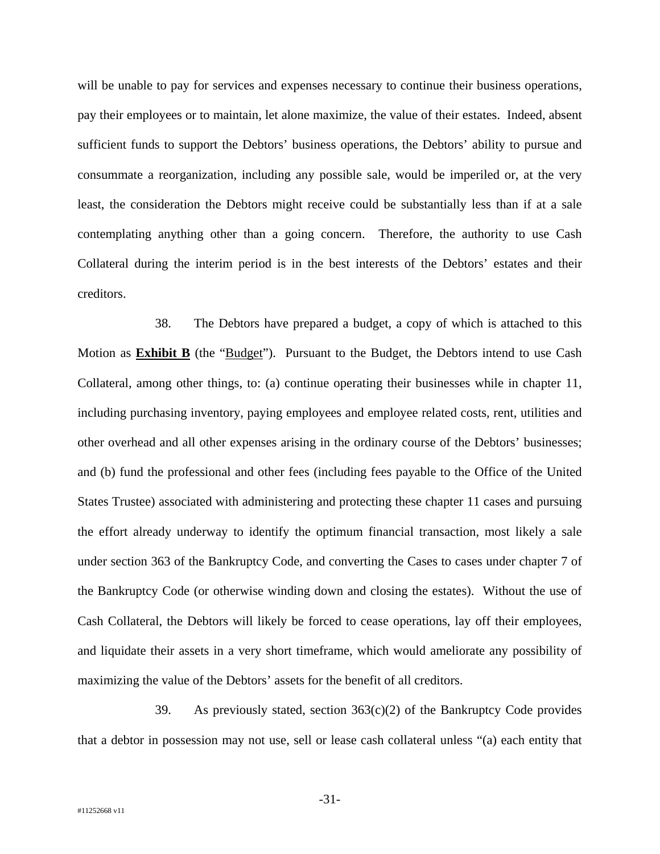will be unable to pay for services and expenses necessary to continue their business operations, pay their employees or to maintain, let alone maximize, the value of their estates. Indeed, absent sufficient funds to support the Debtors' business operations, the Debtors' ability to pursue and consummate a reorganization, including any possible sale, would be imperiled or, at the very least, the consideration the Debtors might receive could be substantially less than if at a sale contemplating anything other than a going concern. Therefore, the authority to use Cash Collateral during the interim period is in the best interests of the Debtors' estates and their creditors.

38. The Debtors have prepared a budget, a copy of which is attached to this Motion as **Exhibit B** (the "Budget"). Pursuant to the Budget, the Debtors intend to use Cash Collateral, among other things, to: (a) continue operating their businesses while in chapter 11, including purchasing inventory, paying employees and employee related costs, rent, utilities and other overhead and all other expenses arising in the ordinary course of the Debtors' businesses; and (b) fund the professional and other fees (including fees payable to the Office of the United States Trustee) associated with administering and protecting these chapter 11 cases and pursuing the effort already underway to identify the optimum financial transaction, most likely a sale under section 363 of the Bankruptcy Code, and converting the Cases to cases under chapter 7 of the Bankruptcy Code (or otherwise winding down and closing the estates). Without the use of Cash Collateral, the Debtors will likely be forced to cease operations, lay off their employees, and liquidate their assets in a very short timeframe, which would ameliorate any possibility of maximizing the value of the Debtors' assets for the benefit of all creditors.

39. As previously stated, section  $363(c)(2)$  of the Bankruptcy Code provides that a debtor in possession may not use, sell or lease cash collateral unless "(a) each entity that

-31-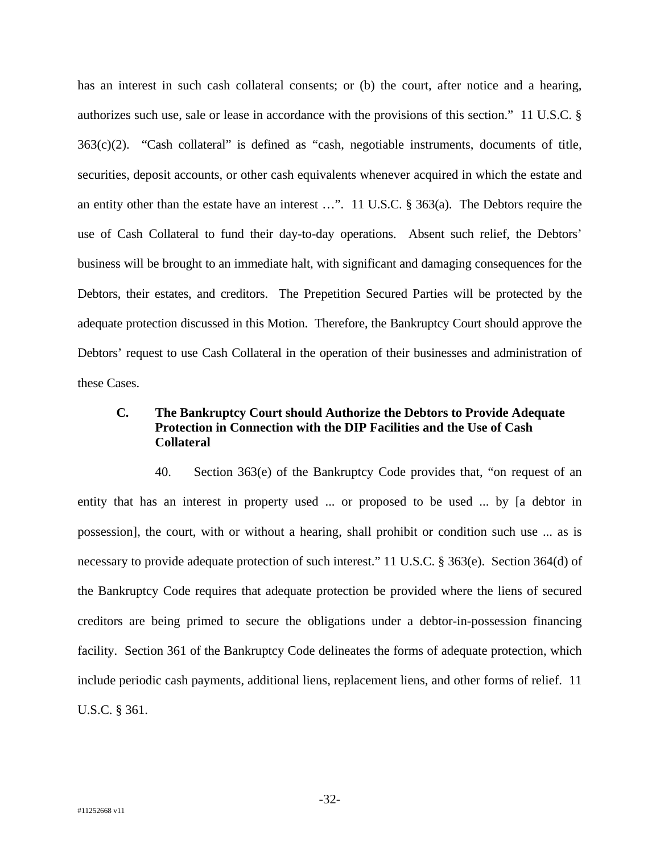has an interest in such cash collateral consents; or (b) the court, after notice and a hearing, authorizes such use, sale or lease in accordance with the provisions of this section." 11 U.S.C. § 363(c)(2). "Cash collateral" is defined as "cash, negotiable instruments, documents of title, securities, deposit accounts, or other cash equivalents whenever acquired in which the estate and an entity other than the estate have an interest …". 11 U.S.C. § 363(a). The Debtors require the use of Cash Collateral to fund their day-to-day operations. Absent such relief, the Debtors' business will be brought to an immediate halt, with significant and damaging consequences for the Debtors, their estates, and creditors. The Prepetition Secured Parties will be protected by the adequate protection discussed in this Motion. Therefore, the Bankruptcy Court should approve the Debtors' request to use Cash Collateral in the operation of their businesses and administration of these Cases.

# **C. The Bankruptcy Court should Authorize the Debtors to Provide Adequate Protection in Connection with the DIP Facilities and the Use of Cash Collateral**

40. Section 363(e) of the Bankruptcy Code provides that, "on request of an entity that has an interest in property used ... or proposed to be used ... by [a debtor in possession], the court, with or without a hearing, shall prohibit or condition such use ... as is necessary to provide adequate protection of such interest." 11 U.S.C. § 363(e). Section 364(d) of the Bankruptcy Code requires that adequate protection be provided where the liens of secured creditors are being primed to secure the obligations under a debtor-in-possession financing facility. Section 361 of the Bankruptcy Code delineates the forms of adequate protection, which include periodic cash payments, additional liens, replacement liens, and other forms of relief. 11 U.S.C. § 361.

-32-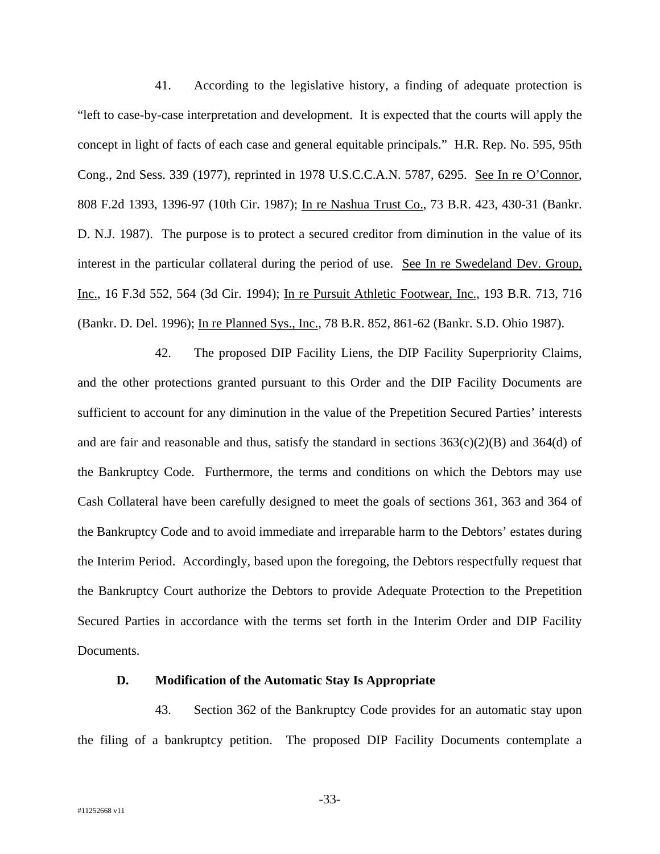41. According to the legislative history, a finding of adequate protection is "left to case-by-case interpretation and development. It is expected that the courts will apply the concept in light of facts of each case and general equitable principals." H.R. Rep. No. 595, 95th Cong., 2nd Sess. 339 (1977), reprinted in 1978 U.S.C.C.A.N. 5787, 6295. See In re O'Connor, 808 F.2d 1393, 1396-97 (10th Cir. 1987); In re Nashua Trust Co., 73 B.R. 423, 430-31 (Bankr. D. N.J. 1987). The purpose is to protect a secured creditor from diminution in the value of its interest in the particular collateral during the period of use. See In re Swedeland Dev. Group, Inc., 16 F.3d 552, 564 (3d Cir. 1994); In re Pursuit Athletic Footwear, Inc., 193 B.R. 713, 716 (Bankr. D. Del. 1996); In re Planned Sys., Inc., 78 B.R. 852, 861-62 (Bankr. S.D. Ohio 1987).

42. The proposed DIP Facility Liens, the DIP Facility Superpriority Claims, and the other protections granted pursuant to this Order and the DIP Facility Documents are sufficient to account for any diminution in the value of the Prepetition Secured Parties' interests and are fair and reasonable and thus, satisfy the standard in sections  $363(c)(2)(B)$  and  $364(d)$  of the Bankruptcy Code. Furthermore, the terms and conditions on which the Debtors may use Cash Collateral have been carefully designed to meet the goals of sections 361, 363 and 364 of the Bankruptcy Code and to avoid immediate and irreparable harm to the Debtors' estates during the Interim Period. Accordingly, based upon the foregoing, the Debtors respectfully request that the Bankruptcy Court authorize the Debtors to provide Adequate Protection to the Prepetition Secured Parties in accordance with the terms set forth in the Interim Order and DIP Facility Documents.

#### **D. Modification of the Automatic Stay Is Appropriate**

43. Section 362 of the Bankruptcy Code provides for an automatic stay upon the filing of a bankruptcy petition. The proposed DIP Facility Documents contemplate a

-33-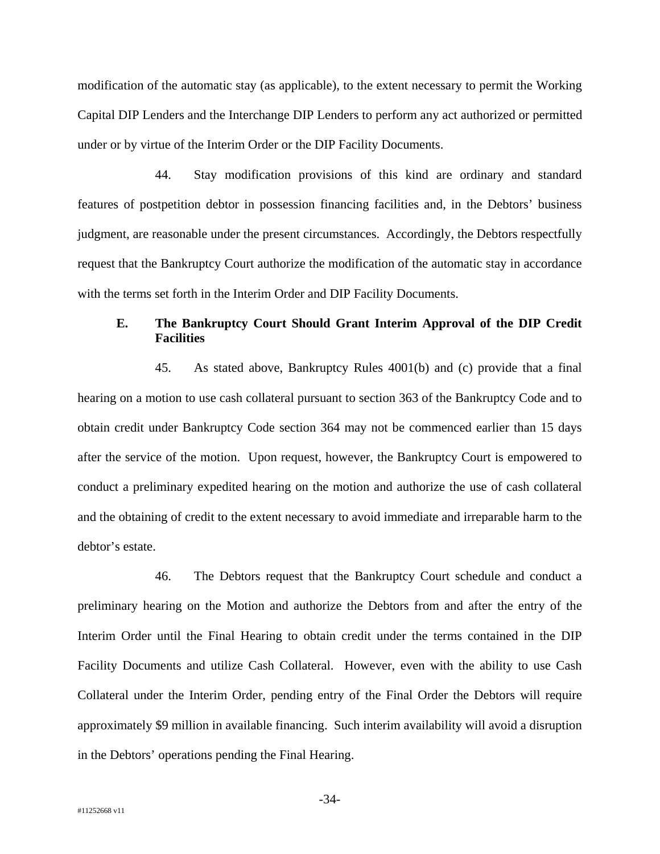modification of the automatic stay (as applicable), to the extent necessary to permit the Working Capital DIP Lenders and the Interchange DIP Lenders to perform any act authorized or permitted under or by virtue of the Interim Order or the DIP Facility Documents.

44. Stay modification provisions of this kind are ordinary and standard features of postpetition debtor in possession financing facilities and, in the Debtors' business judgment, are reasonable under the present circumstances. Accordingly, the Debtors respectfully request that the Bankruptcy Court authorize the modification of the automatic stay in accordance with the terms set forth in the Interim Order and DIP Facility Documents.

# **E. The Bankruptcy Court Should Grant Interim Approval of the DIP Credit Facilities**

45. As stated above, Bankruptcy Rules 4001(b) and (c) provide that a final hearing on a motion to use cash collateral pursuant to section 363 of the Bankruptcy Code and to obtain credit under Bankruptcy Code section 364 may not be commenced earlier than 15 days after the service of the motion. Upon request, however, the Bankruptcy Court is empowered to conduct a preliminary expedited hearing on the motion and authorize the use of cash collateral and the obtaining of credit to the extent necessary to avoid immediate and irreparable harm to the debtor's estate.

46. The Debtors request that the Bankruptcy Court schedule and conduct a preliminary hearing on the Motion and authorize the Debtors from and after the entry of the Interim Order until the Final Hearing to obtain credit under the terms contained in the DIP Facility Documents and utilize Cash Collateral. However, even with the ability to use Cash Collateral under the Interim Order, pending entry of the Final Order the Debtors will require approximately \$9 million in available financing. Such interim availability will avoid a disruption in the Debtors' operations pending the Final Hearing.

-34-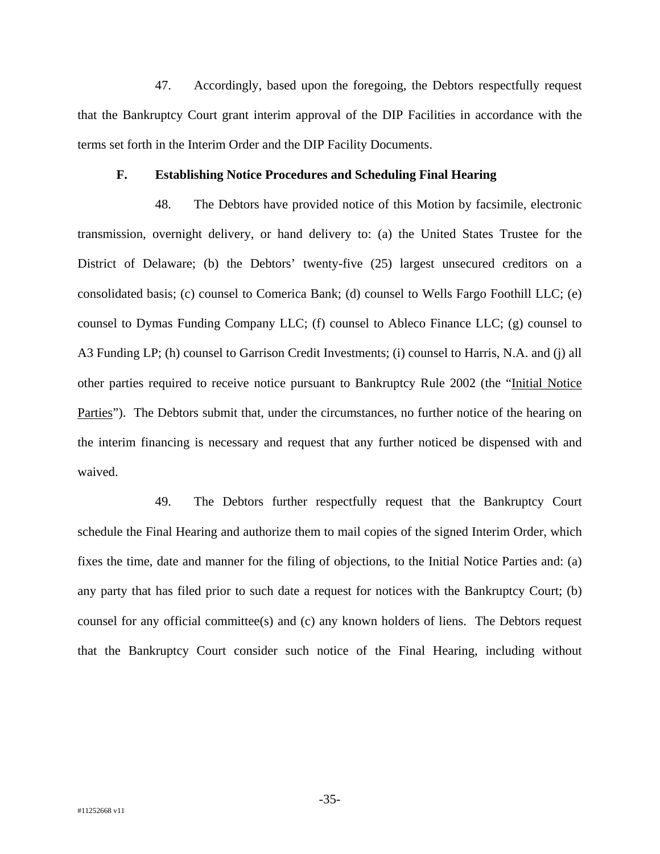47. Accordingly, based upon the foregoing, the Debtors respectfully request that the Bankruptcy Court grant interim approval of the DIP Facilities in accordance with the terms set forth in the Interim Order and the DIP Facility Documents.

#### **F. Establishing Notice Procedures and Scheduling Final Hearing**

48. The Debtors have provided notice of this Motion by facsimile, electronic transmission, overnight delivery, or hand delivery to: (a) the United States Trustee for the District of Delaware; (b) the Debtors' twenty-five (25) largest unsecured creditors on a consolidated basis; (c) counsel to Comerica Bank; (d) counsel to Wells Fargo Foothill LLC; (e) counsel to Dymas Funding Company LLC; (f) counsel to Ableco Finance LLC; (g) counsel to A3 Funding LP; (h) counsel to Garrison Credit Investments; (i) counsel to Harris, N.A. and (j) all other parties required to receive notice pursuant to Bankruptcy Rule 2002 (the "Initial Notice Parties"). The Debtors submit that, under the circumstances, no further notice of the hearing on the interim financing is necessary and request that any further noticed be dispensed with and waived.

49. The Debtors further respectfully request that the Bankruptcy Court schedule the Final Hearing and authorize them to mail copies of the signed Interim Order, which fixes the time, date and manner for the filing of objections, to the Initial Notice Parties and: (a) any party that has filed prior to such date a request for notices with the Bankruptcy Court; (b) counsel for any official committee(s) and (c) any known holders of liens. The Debtors request that the Bankruptcy Court consider such notice of the Final Hearing, including without

-35-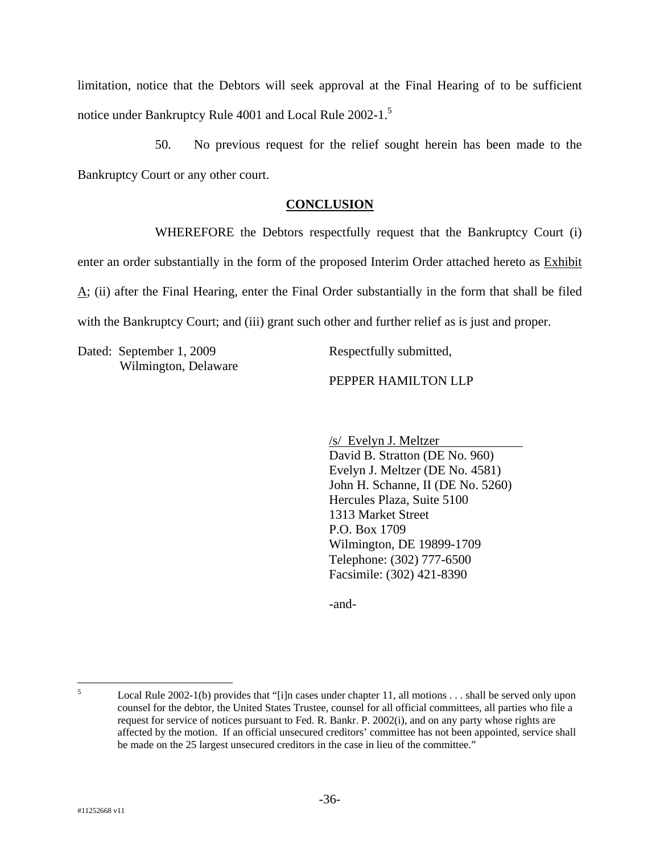limitation, notice that the Debtors will seek approval at the Final Hearing of to be sufficient notice under Bankruptcy Rule 4001 and Local Rule 2002-1.<sup>5</sup>

50. No previous request for the relief sought herein has been made to the Bankruptcy Court or any other court.

## **CONCLUSION**

WHEREFORE the Debtors respectfully request that the Bankruptcy Court (i) enter an order substantially in the form of the proposed Interim Order attached hereto as Exhibit  $\Delta$ ; (ii) after the Final Hearing, enter the Final Order substantially in the form that shall be filed with the Bankruptcy Court; and (iii) grant such other and further relief as is just and proper.

Dated: September 1, 2009 Wilmington, Delaware Respectfully submitted,

## PEPPER HAMILTON LLP

/s/ Evelyn J. Meltzer David B. Stratton (DE No. 960) Evelyn J. Meltzer (DE No. 4581) John H. Schanne, II (DE No. 5260) Hercules Plaza, Suite 5100 1313 Market Street P.O. Box 1709 Wilmington, DE 19899-1709 Telephone: (302) 777-6500 Facsimile: (302) 421-8390

-and-

 5 Local Rule 2002-1(b) provides that "[i]n cases under chapter 11, all motions . . . shall be served only upon counsel for the debtor, the United States Trustee, counsel for all official committees, all parties who file a request for service of notices pursuant to Fed. R. Bankr. P. 2002(i), and on any party whose rights are affected by the motion. If an official unsecured creditors' committee has not been appointed, service shall be made on the 25 largest unsecured creditors in the case in lieu of the committee."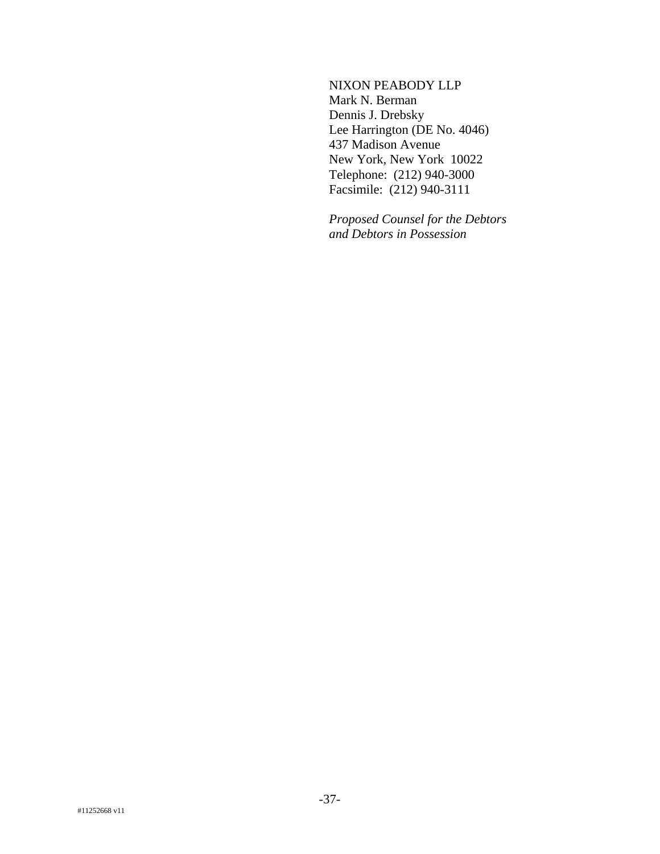NIXON PEABODY LLP Mark N. Berman Dennis J. Drebsky Lee Harrington (DE No. 4046) 437 Madison Avenue New York, New York 10022 Telephone: (212) 940-3000 Facsimile: (212) 940-3111

*Proposed Counsel for the Debtors and Debtors in Possession*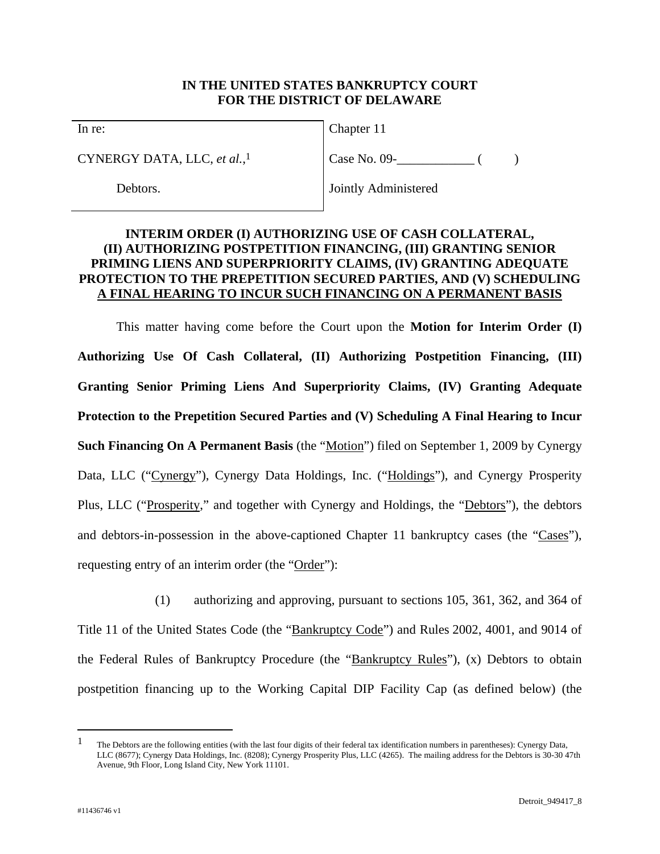## **IN THE UNITED STATES BANKRUPTCY COURT FOR THE DISTRICT OF DELAWARE**

In re:

CYNERGY DATA, LLC, *et al.*, 1

Debtors.

Chapter 11

 $Case No. 09 -$  ( )

Jointly Administered

## **INTERIM ORDER (I) AUTHORIZING USE OF CASH COLLATERAL, (II) AUTHORIZING POSTPETITION FINANCING, (III) GRANTING SENIOR PRIMING LIENS AND SUPERPRIORITY CLAIMS, (IV) GRANTING ADEQUATE PROTECTION TO THE PREPETITION SECURED PARTIES, AND (V) SCHEDULING A FINAL HEARING TO INCUR SUCH FINANCING ON A PERMANENT BASIS**

This matter having come before the Court upon the **Motion for Interim Order (I) Authorizing Use Of Cash Collateral, (II) Authorizing Postpetition Financing, (III) Granting Senior Priming Liens And Superpriority Claims, (IV) Granting Adequate Protection to the Prepetition Secured Parties and (V) Scheduling A Final Hearing to Incur Such Financing On A Permanent Basis** (the "Motion") filed on September 1, 2009 by Cynergy Data, LLC ("Cynergy"), Cynergy Data Holdings, Inc. ("Holdings"), and Cynergy Prosperity Plus, LLC ("Prosperity," and together with Cynergy and Holdings, the "Debtors"), the debtors and debtors-in-possession in the above-captioned Chapter 11 bankruptcy cases (the "Cases"), requesting entry of an interim order (the "Order"):

(1) authorizing and approving, pursuant to sections 105, 361, 362, and 364 of Title 11 of the United States Code (the "Bankruptcy Code") and Rules 2002, 4001, and 9014 of the Federal Rules of Bankruptcy Procedure (the "Bankruptcy Rules"), (x) Debtors to obtain postpetition financing up to the Working Capital DIP Facility Cap (as defined below) (the

1

<sup>&</sup>lt;sup>1</sup> The Debtors are the following entities (with the last four digits of their federal tax identification numbers in parentheses): Cynergy Data, LLC (8677); Cynergy Data Holdings, Inc. (8208); Cynergy Prosperity Plus, LLC (4265). The mailing address for the Debtors is 30-30 47th Avenue, 9th Floor, Long Island City, New York 11101.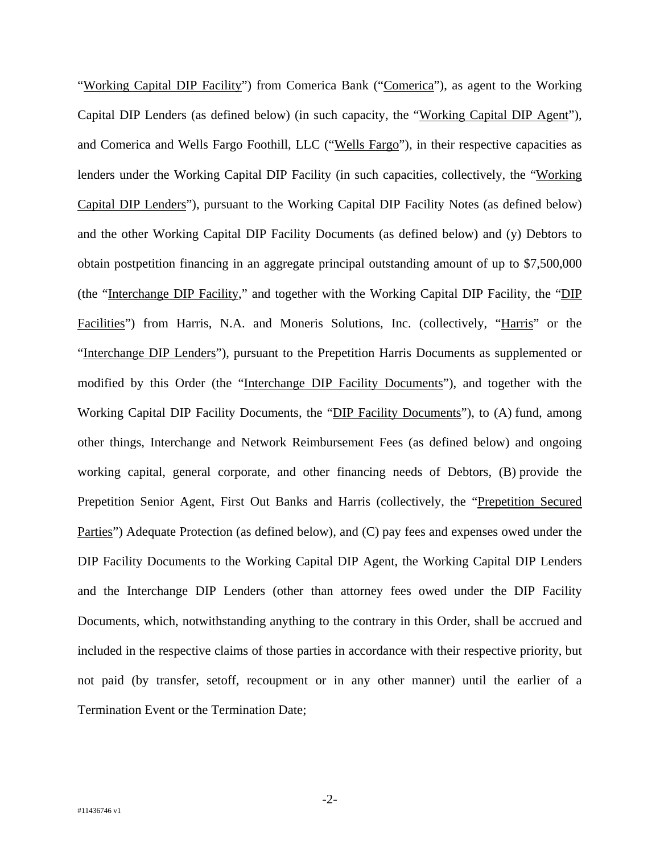"Working Capital DIP Facility") from Comerica Bank ("Comerica"), as agent to the Working Capital DIP Lenders (as defined below) (in such capacity, the "Working Capital DIP Agent"), and Comerica and Wells Fargo Foothill, LLC ("Wells Fargo"), in their respective capacities as lenders under the Working Capital DIP Facility (in such capacities, collectively, the "Working Capital DIP Lenders"), pursuant to the Working Capital DIP Facility Notes (as defined below) and the other Working Capital DIP Facility Documents (as defined below) and (y) Debtors to obtain postpetition financing in an aggregate principal outstanding amount of up to \$7,500,000 (the "Interchange DIP Facility," and together with the Working Capital DIP Facility, the "DIP Facilities") from Harris, N.A. and Moneris Solutions, Inc. (collectively, "Harris" or the "Interchange DIP Lenders"), pursuant to the Prepetition Harris Documents as supplemented or modified by this Order (the "Interchange DIP Facility Documents"), and together with the Working Capital DIP Facility Documents, the "DIP Facility Documents"), to (A) fund, among other things, Interchange and Network Reimbursement Fees (as defined below) and ongoing working capital, general corporate, and other financing needs of Debtors, (B) provide the Prepetition Senior Agent, First Out Banks and Harris (collectively, the "Prepetition Secured Parties") Adequate Protection (as defined below), and (C) pay fees and expenses owed under the DIP Facility Documents to the Working Capital DIP Agent, the Working Capital DIP Lenders and the Interchange DIP Lenders (other than attorney fees owed under the DIP Facility Documents, which, notwithstanding anything to the contrary in this Order, shall be accrued and included in the respective claims of those parties in accordance with their respective priority, but not paid (by transfer, setoff, recoupment or in any other manner) until the earlier of a Termination Event or the Termination Date;

-2-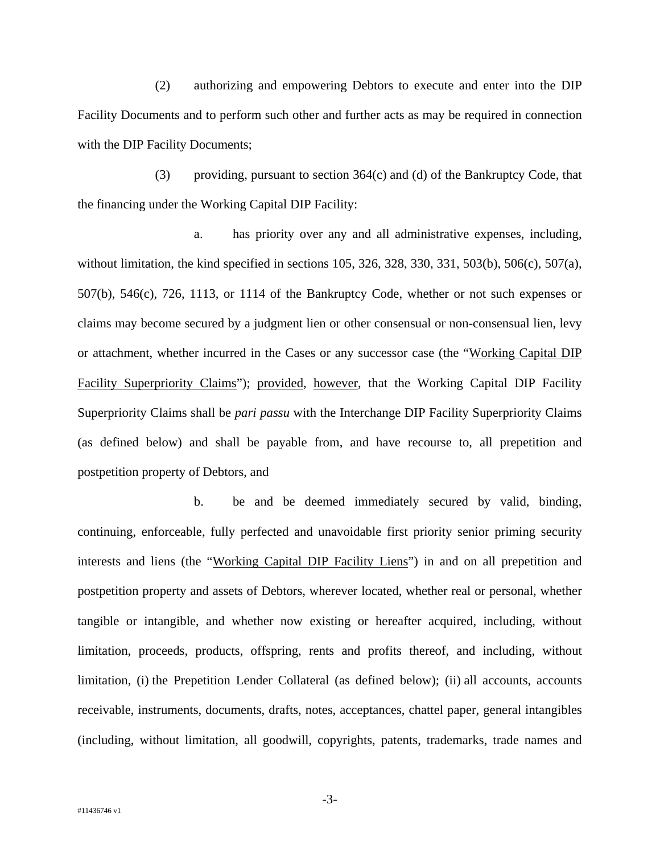(2) authorizing and empowering Debtors to execute and enter into the DIP Facility Documents and to perform such other and further acts as may be required in connection with the DIP Facility Documents;

(3) providing, pursuant to section 364(c) and (d) of the Bankruptcy Code, that the financing under the Working Capital DIP Facility:

a. has priority over any and all administrative expenses, including, without limitation, the kind specified in sections 105, 326, 328, 330, 331, 503(b), 506(c), 507(a), 507(b), 546(c), 726, 1113, or 1114 of the Bankruptcy Code, whether or not such expenses or claims may become secured by a judgment lien or other consensual or non-consensual lien, levy or attachment, whether incurred in the Cases or any successor case (the "Working Capital DIP Facility Superpriority Claims"); provided, however, that the Working Capital DIP Facility Superpriority Claims shall be *pari passu* with the Interchange DIP Facility Superpriority Claims (as defined below) and shall be payable from, and have recourse to, all prepetition and postpetition property of Debtors, and

b. be and be deemed immediately secured by valid, binding, continuing, enforceable, fully perfected and unavoidable first priority senior priming security interests and liens (the "Working Capital DIP Facility Liens") in and on all prepetition and postpetition property and assets of Debtors, wherever located, whether real or personal, whether tangible or intangible, and whether now existing or hereafter acquired, including, without limitation, proceeds, products, offspring, rents and profits thereof, and including, without limitation, (i) the Prepetition Lender Collateral (as defined below); (ii) all accounts, accounts receivable, instruments, documents, drafts, notes, acceptances, chattel paper, general intangibles (including, without limitation, all goodwill, copyrights, patents, trademarks, trade names and

-3-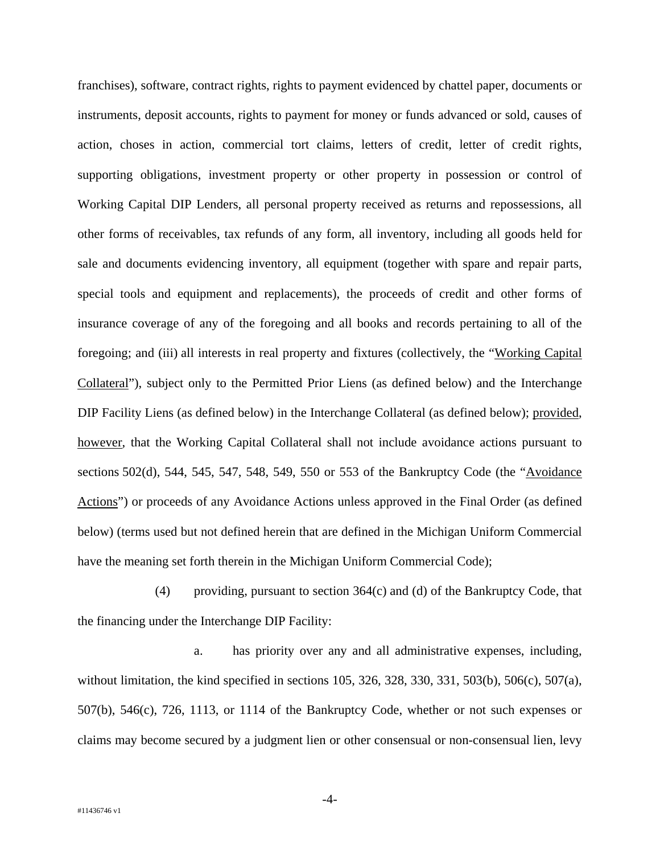franchises), software, contract rights, rights to payment evidenced by chattel paper, documents or instruments, deposit accounts, rights to payment for money or funds advanced or sold, causes of action, choses in action, commercial tort claims, letters of credit, letter of credit rights, supporting obligations, investment property or other property in possession or control of Working Capital DIP Lenders, all personal property received as returns and repossessions, all other forms of receivables, tax refunds of any form, all inventory, including all goods held for sale and documents evidencing inventory, all equipment (together with spare and repair parts, special tools and equipment and replacements), the proceeds of credit and other forms of insurance coverage of any of the foregoing and all books and records pertaining to all of the foregoing; and (iii) all interests in real property and fixtures (collectively, the "Working Capital Collateral"), subject only to the Permitted Prior Liens (as defined below) and the Interchange DIP Facility Liens (as defined below) in the Interchange Collateral (as defined below); provided, however, that the Working Capital Collateral shall not include avoidance actions pursuant to sections 502(d), 544, 545, 547, 548, 549, 550 or 553 of the Bankruptcy Code (the "Avoidance" Actions") or proceeds of any Avoidance Actions unless approved in the Final Order (as defined below) (terms used but not defined herein that are defined in the Michigan Uniform Commercial have the meaning set forth therein in the Michigan Uniform Commercial Code);

(4) providing, pursuant to section 364(c) and (d) of the Bankruptcy Code, that the financing under the Interchange DIP Facility:

a. has priority over any and all administrative expenses, including, without limitation, the kind specified in sections 105, 326, 328, 330, 331, 503(b), 506(c), 507(a), 507(b), 546(c), 726, 1113, or 1114 of the Bankruptcy Code, whether or not such expenses or claims may become secured by a judgment lien or other consensual or non-consensual lien, levy

-4-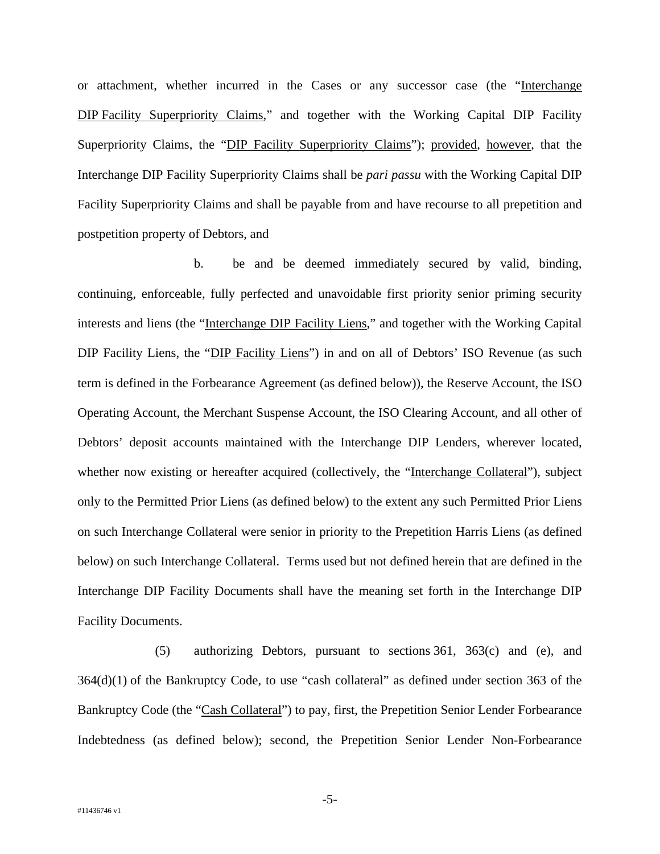or attachment, whether incurred in the Cases or any successor case (the "Interchange DIP Facility Superpriority Claims," and together with the Working Capital DIP Facility Superpriority Claims, the "DIP Facility Superpriority Claims"); provided, however, that the Interchange DIP Facility Superpriority Claims shall be *pari passu* with the Working Capital DIP Facility Superpriority Claims and shall be payable from and have recourse to all prepetition and postpetition property of Debtors, and

b. be and be deemed immediately secured by valid, binding, continuing, enforceable, fully perfected and unavoidable first priority senior priming security interests and liens (the "Interchange DIP Facility Liens," and together with the Working Capital DIP Facility Liens, the "DIP Facility Liens") in and on all of Debtors' ISO Revenue (as such term is defined in the Forbearance Agreement (as defined below)), the Reserve Account, the ISO Operating Account, the Merchant Suspense Account, the ISO Clearing Account, and all other of Debtors' deposit accounts maintained with the Interchange DIP Lenders, wherever located, whether now existing or hereafter acquired (collectively, the "Interchange Collateral"), subject only to the Permitted Prior Liens (as defined below) to the extent any such Permitted Prior Liens on such Interchange Collateral were senior in priority to the Prepetition Harris Liens (as defined below) on such Interchange Collateral. Terms used but not defined herein that are defined in the Interchange DIP Facility Documents shall have the meaning set forth in the Interchange DIP Facility Documents.

(5) authorizing Debtors, pursuant to sections 361, 363(c) and (e), and 364(d)(1) of the Bankruptcy Code, to use "cash collateral" as defined under section 363 of the Bankruptcy Code (the "Cash Collateral") to pay, first, the Prepetition Senior Lender Forbearance Indebtedness (as defined below); second, the Prepetition Senior Lender Non-Forbearance

-5-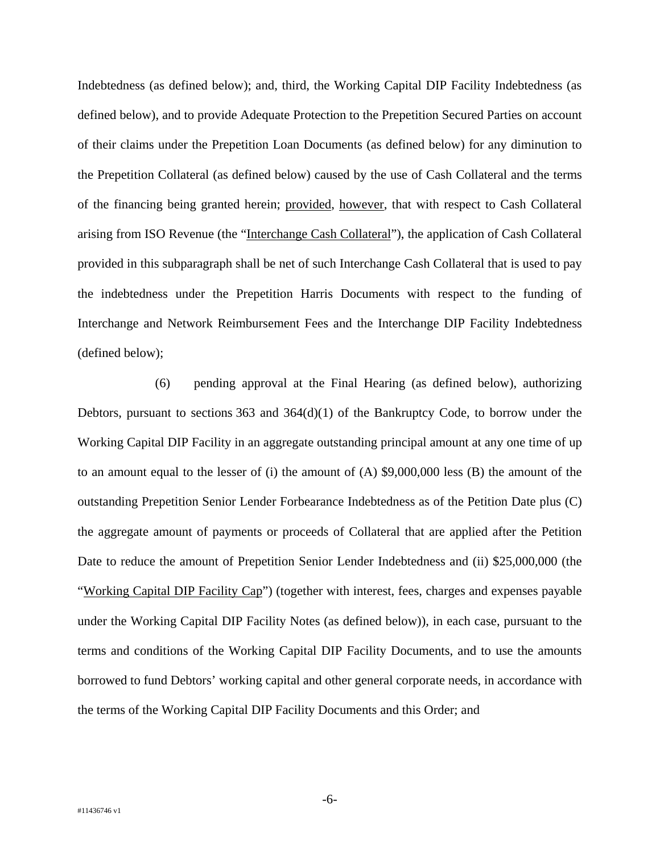Indebtedness (as defined below); and, third, the Working Capital DIP Facility Indebtedness (as defined below), and to provide Adequate Protection to the Prepetition Secured Parties on account of their claims under the Prepetition Loan Documents (as defined below) for any diminution to the Prepetition Collateral (as defined below) caused by the use of Cash Collateral and the terms of the financing being granted herein; provided, however, that with respect to Cash Collateral arising from ISO Revenue (the "Interchange Cash Collateral"), the application of Cash Collateral provided in this subparagraph shall be net of such Interchange Cash Collateral that is used to pay the indebtedness under the Prepetition Harris Documents with respect to the funding of Interchange and Network Reimbursement Fees and the Interchange DIP Facility Indebtedness (defined below);

(6) pending approval at the Final Hearing (as defined below), authorizing Debtors, pursuant to sections  $363$  and  $364(d)(1)$  of the Bankruptcy Code, to borrow under the Working Capital DIP Facility in an aggregate outstanding principal amount at any one time of up to an amount equal to the lesser of (i) the amount of (A) \$9,000,000 less (B) the amount of the outstanding Prepetition Senior Lender Forbearance Indebtedness as of the Petition Date plus (C) the aggregate amount of payments or proceeds of Collateral that are applied after the Petition Date to reduce the amount of Prepetition Senior Lender Indebtedness and (ii) \$25,000,000 (the "Working Capital DIP Facility Cap") (together with interest, fees, charges and expenses payable under the Working Capital DIP Facility Notes (as defined below)), in each case, pursuant to the terms and conditions of the Working Capital DIP Facility Documents, and to use the amounts borrowed to fund Debtors' working capital and other general corporate needs, in accordance with the terms of the Working Capital DIP Facility Documents and this Order; and

-6-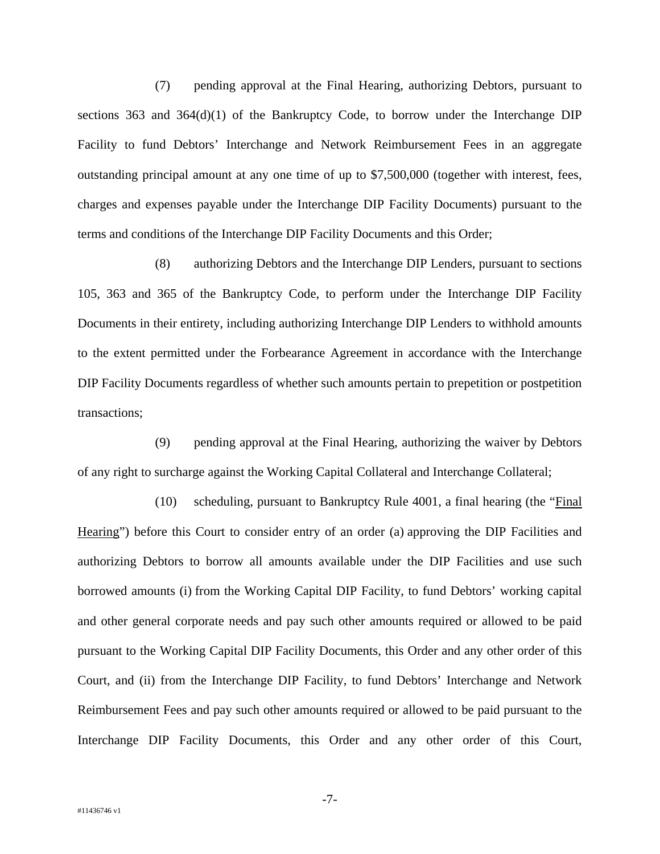(7) pending approval at the Final Hearing, authorizing Debtors, pursuant to sections  $363$  and  $364(d)(1)$  of the Bankruptcy Code, to borrow under the Interchange DIP Facility to fund Debtors' Interchange and Network Reimbursement Fees in an aggregate outstanding principal amount at any one time of up to \$7,500,000 (together with interest, fees, charges and expenses payable under the Interchange DIP Facility Documents) pursuant to the terms and conditions of the Interchange DIP Facility Documents and this Order;

(8) authorizing Debtors and the Interchange DIP Lenders, pursuant to sections 105, 363 and 365 of the Bankruptcy Code, to perform under the Interchange DIP Facility Documents in their entirety, including authorizing Interchange DIP Lenders to withhold amounts to the extent permitted under the Forbearance Agreement in accordance with the Interchange DIP Facility Documents regardless of whether such amounts pertain to prepetition or postpetition transactions;

(9) pending approval at the Final Hearing, authorizing the waiver by Debtors of any right to surcharge against the Working Capital Collateral and Interchange Collateral;

(10) scheduling, pursuant to Bankruptcy Rule 4001, a final hearing (the "Final Hearing") before this Court to consider entry of an order (a) approving the DIP Facilities and authorizing Debtors to borrow all amounts available under the DIP Facilities and use such borrowed amounts (i) from the Working Capital DIP Facility, to fund Debtors' working capital and other general corporate needs and pay such other amounts required or allowed to be paid pursuant to the Working Capital DIP Facility Documents, this Order and any other order of this Court, and (ii) from the Interchange DIP Facility, to fund Debtors' Interchange and Network Reimbursement Fees and pay such other amounts required or allowed to be paid pursuant to the Interchange DIP Facility Documents, this Order and any other order of this Court,

-7-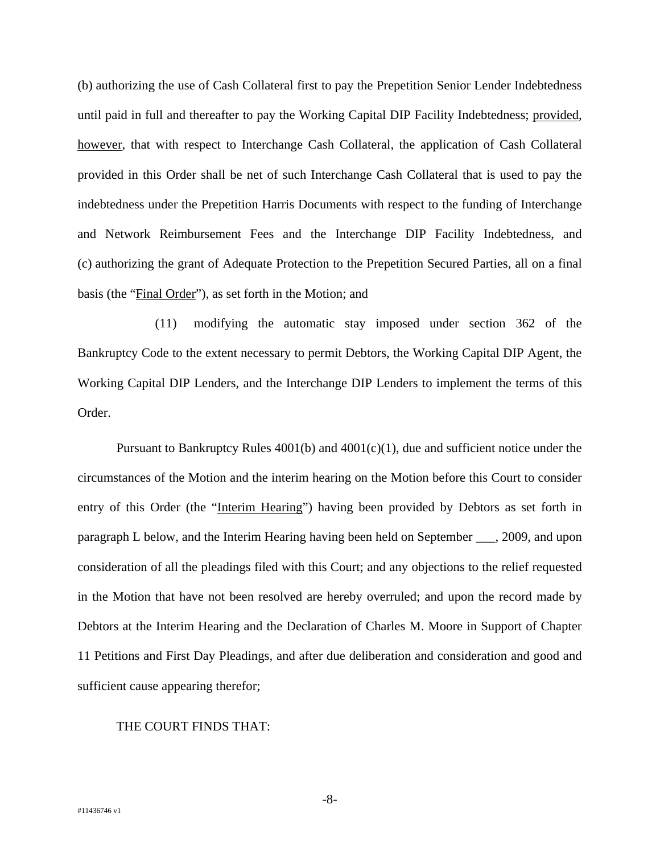(b) authorizing the use of Cash Collateral first to pay the Prepetition Senior Lender Indebtedness until paid in full and thereafter to pay the Working Capital DIP Facility Indebtedness; provided, however, that with respect to Interchange Cash Collateral, the application of Cash Collateral provided in this Order shall be net of such Interchange Cash Collateral that is used to pay the indebtedness under the Prepetition Harris Documents with respect to the funding of Interchange and Network Reimbursement Fees and the Interchange DIP Facility Indebtedness, and (c) authorizing the grant of Adequate Protection to the Prepetition Secured Parties, all on a final basis (the "Final Order"), as set forth in the Motion; and

(11) modifying the automatic stay imposed under section 362 of the Bankruptcy Code to the extent necessary to permit Debtors, the Working Capital DIP Agent, the Working Capital DIP Lenders, and the Interchange DIP Lenders to implement the terms of this Order.

Pursuant to Bankruptcy Rules 4001(b) and 4001(c)(1), due and sufficient notice under the circumstances of the Motion and the interim hearing on the Motion before this Court to consider entry of this Order (the "Interim Hearing") having been provided by Debtors as set forth in paragraph L below, and the Interim Hearing having been held on September \_\_\_, 2009, and upon consideration of all the pleadings filed with this Court; and any objections to the relief requested in the Motion that have not been resolved are hereby overruled; and upon the record made by Debtors at the Interim Hearing and the Declaration of Charles M. Moore in Support of Chapter 11 Petitions and First Day Pleadings, and after due deliberation and consideration and good and sufficient cause appearing therefor;

## THE COURT FINDS THAT:

-8-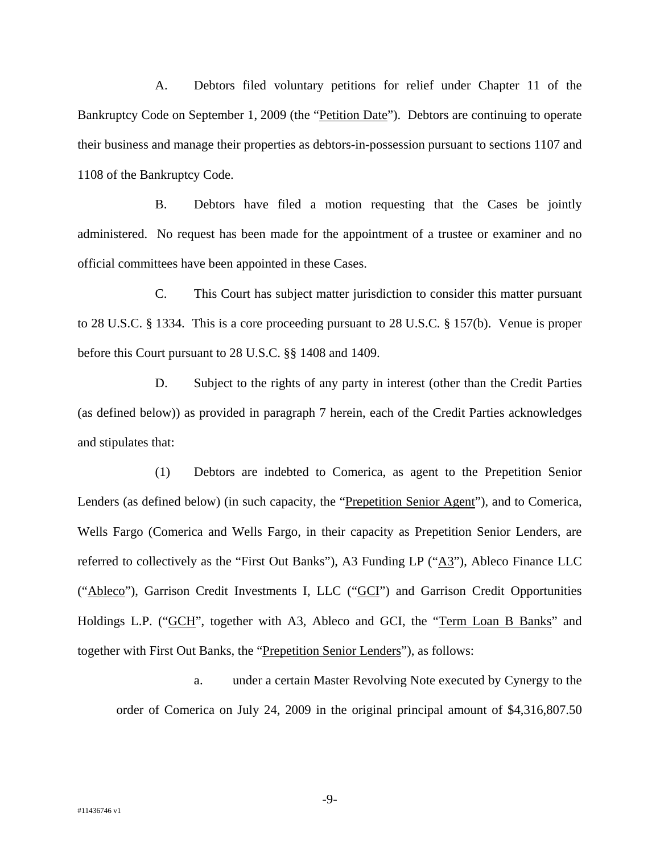A. Debtors filed voluntary petitions for relief under Chapter 11 of the Bankruptcy Code on September 1, 2009 (the "Petition Date"). Debtors are continuing to operate their business and manage their properties as debtors-in-possession pursuant to sections 1107 and 1108 of the Bankruptcy Code.

B. Debtors have filed a motion requesting that the Cases be jointly administered. No request has been made for the appointment of a trustee or examiner and no official committees have been appointed in these Cases.

C. This Court has subject matter jurisdiction to consider this matter pursuant to 28 U.S.C. § 1334. This is a core proceeding pursuant to 28 U.S.C. § 157(b). Venue is proper before this Court pursuant to 28 U.S.C. §§ 1408 and 1409.

D. Subject to the rights of any party in interest (other than the Credit Parties (as defined below)) as provided in paragraph 7 herein, each of the Credit Parties acknowledges and stipulates that:

(1) Debtors are indebted to Comerica, as agent to the Prepetition Senior Lenders (as defined below) (in such capacity, the "Prepetition Senior Agent"), and to Comerica, Wells Fargo (Comerica and Wells Fargo, in their capacity as Prepetition Senior Lenders, are referred to collectively as the "First Out Banks"), A3 Funding LP (" $\underline{A3}$ "), Ableco Finance LLC ("Ableco"), Garrison Credit Investments I, LLC ("GCI") and Garrison Credit Opportunities Holdings L.P. ("GCH", together with A3, Ableco and GCI, the "Term Loan B Banks" and together with First Out Banks, the "Prepetition Senior Lenders"), as follows:

a. under a certain Master Revolving Note executed by Cynergy to the order of Comerica on July 24, 2009 in the original principal amount of \$4,316,807.50

-9-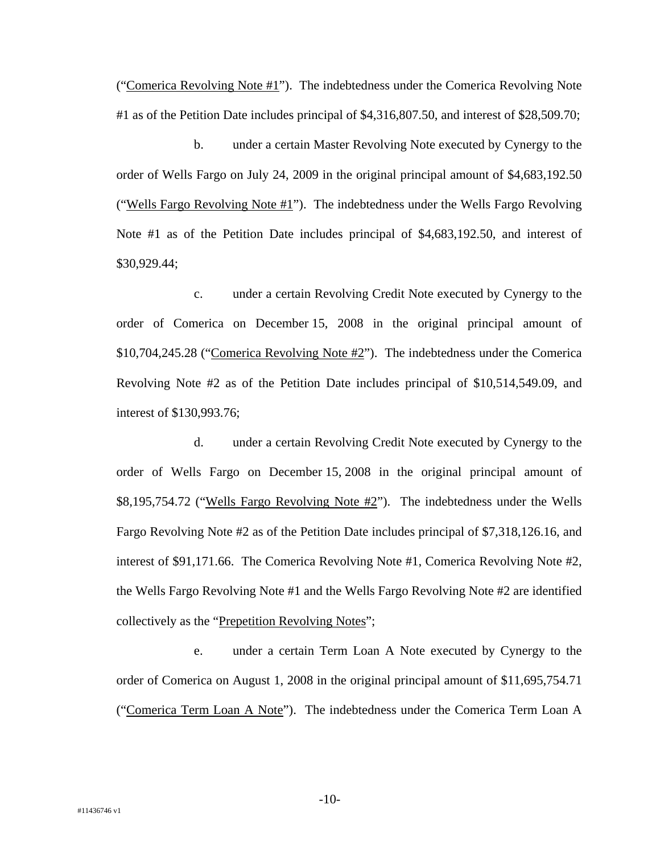("Comerica Revolving Note  $#1$ "). The indebtedness under the Comerica Revolving Note #1 as of the Petition Date includes principal of \$4,316,807.50, and interest of \$28,509.70;

b. under a certain Master Revolving Note executed by Cynergy to the order of Wells Fargo on July 24, 2009 in the original principal amount of \$4,683,192.50 ("Wells Fargo Revolving Note  $#1$ "). The indebtedness under the Wells Fargo Revolving Note #1 as of the Petition Date includes principal of \$4,683,192.50, and interest of \$30,929.44;

c. under a certain Revolving Credit Note executed by Cynergy to the order of Comerica on December 15, 2008 in the original principal amount of \$10,704,245.28 ("Comerica Revolving Note #2"). The indebtedness under the Comerica Revolving Note #2 as of the Petition Date includes principal of \$10,514,549.09, and interest of \$130,993.76;

d. under a certain Revolving Credit Note executed by Cynergy to the order of Wells Fargo on December 15, 2008 in the original principal amount of \$8,195,754.72 ("Wells Fargo Revolving Note #2"). The indebtedness under the Wells Fargo Revolving Note #2 as of the Petition Date includes principal of \$7,318,126.16, and interest of \$91,171.66. The Comerica Revolving Note #1, Comerica Revolving Note #2, the Wells Fargo Revolving Note #1 and the Wells Fargo Revolving Note #2 are identified collectively as the "Prepetition Revolving Notes";

e. under a certain Term Loan A Note executed by Cynergy to the order of Comerica on August 1, 2008 in the original principal amount of \$11,695,754.71 ("Comerica Term Loan A Note"). The indebtedness under the Comerica Term Loan A

-10-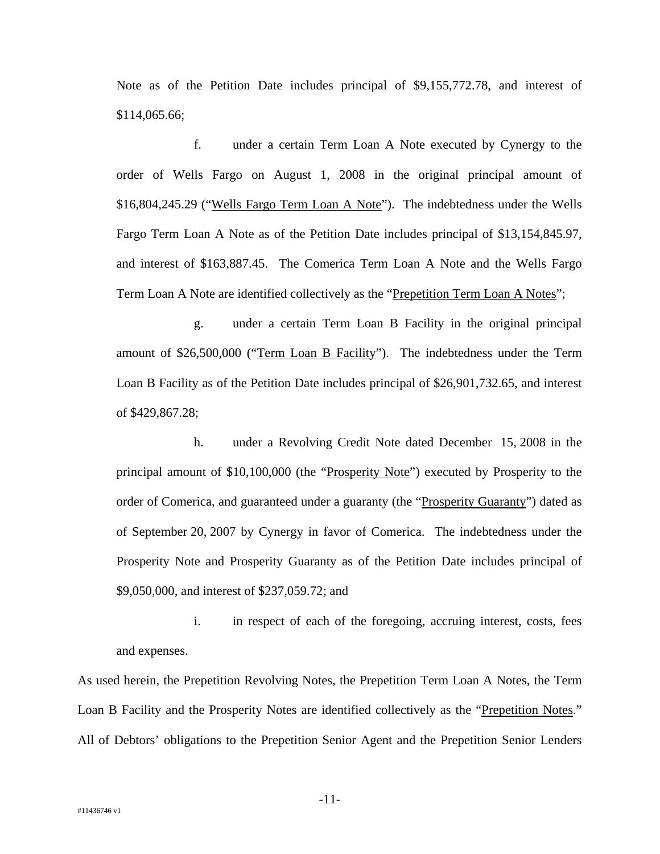Note as of the Petition Date includes principal of \$9,155,772.78, and interest of \$114,065.66;

f. under a certain Term Loan A Note executed by Cynergy to the order of Wells Fargo on August 1, 2008 in the original principal amount of \$16,804,245.29 ("Wells Fargo Term Loan A Note"). The indebtedness under the Wells Fargo Term Loan A Note as of the Petition Date includes principal of \$13,154,845.97, and interest of \$163,887.45. The Comerica Term Loan A Note and the Wells Fargo Term Loan A Note are identified collectively as the "Prepetition Term Loan A Notes";

g. under a certain Term Loan B Facility in the original principal amount of \$26,500,000 ("Term Loan B Facility"). The indebtedness under the Term Loan B Facility as of the Petition Date includes principal of \$26,901,732.65, and interest of \$429,867.28;

h. under a Revolving Credit Note dated December 15, 2008 in the principal amount of \$10,100,000 (the "Prosperity Note") executed by Prosperity to the order of Comerica, and guaranteed under a guaranty (the "Prosperity Guaranty") dated as of September 20, 2007 by Cynergy in favor of Comerica. The indebtedness under the Prosperity Note and Prosperity Guaranty as of the Petition Date includes principal of \$9,050,000, and interest of \$237,059.72; and

i. in respect of each of the foregoing, accruing interest, costs, fees and expenses.

As used herein, the Prepetition Revolving Notes, the Prepetition Term Loan A Notes, the Term Loan B Facility and the Prosperity Notes are identified collectively as the "Prepetition Notes." All of Debtors' obligations to the Prepetition Senior Agent and the Prepetition Senior Lenders

-11-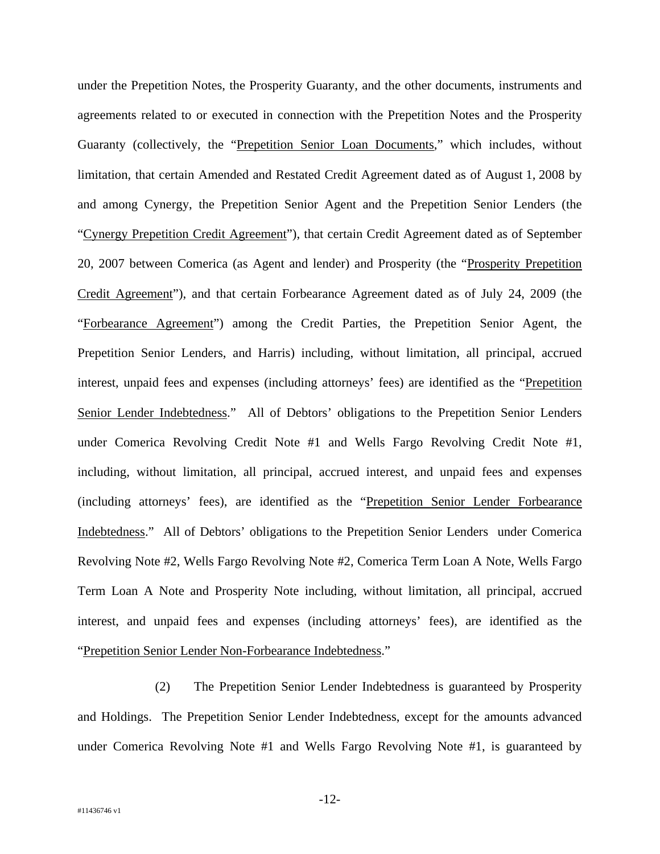under the Prepetition Notes, the Prosperity Guaranty, and the other documents, instruments and agreements related to or executed in connection with the Prepetition Notes and the Prosperity Guaranty (collectively, the "Prepetition Senior Loan Documents," which includes, without limitation, that certain Amended and Restated Credit Agreement dated as of August 1, 2008 by and among Cynergy, the Prepetition Senior Agent and the Prepetition Senior Lenders (the "Cynergy Prepetition Credit Agreement"), that certain Credit Agreement dated as of September 20, 2007 between Comerica (as Agent and lender) and Prosperity (the "Prosperity Prepetition Credit Agreement"), and that certain Forbearance Agreement dated as of July 24, 2009 (the "Forbearance Agreement") among the Credit Parties, the Prepetition Senior Agent, the Prepetition Senior Lenders, and Harris) including, without limitation, all principal, accrued interest, unpaid fees and expenses (including attorneys' fees) are identified as the "Prepetition Senior Lender Indebtedness." All of Debtors' obligations to the Prepetition Senior Lenders under Comerica Revolving Credit Note #1 and Wells Fargo Revolving Credit Note #1, including, without limitation, all principal, accrued interest, and unpaid fees and expenses (including attorneys' fees), are identified as the "Prepetition Senior Lender Forbearance Indebtedness." All of Debtors' obligations to the Prepetition Senior Lenders under Comerica Revolving Note #2, Wells Fargo Revolving Note #2, Comerica Term Loan A Note, Wells Fargo Term Loan A Note and Prosperity Note including, without limitation, all principal, accrued interest, and unpaid fees and expenses (including attorneys' fees), are identified as the "Prepetition Senior Lender Non-Forbearance Indebtedness."

(2) The Prepetition Senior Lender Indebtedness is guaranteed by Prosperity and Holdings. The Prepetition Senior Lender Indebtedness, except for the amounts advanced under Comerica Revolving Note #1 and Wells Fargo Revolving Note #1, is guaranteed by

-12-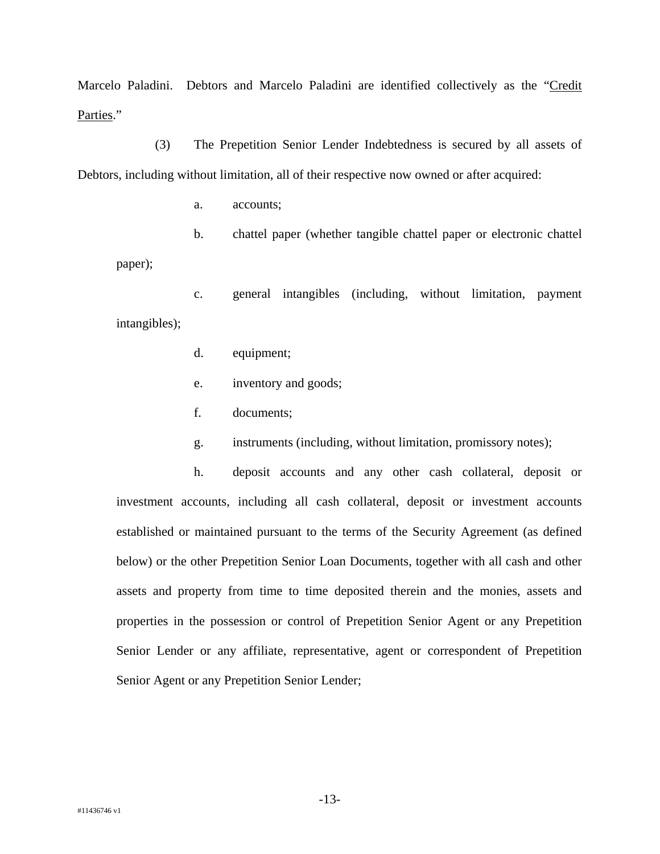Marcelo Paladini. Debtors and Marcelo Paladini are identified collectively as the "Credit Parties."

(3) The Prepetition Senior Lender Indebtedness is secured by all assets of Debtors, including without limitation, all of their respective now owned or after acquired:

a. accounts;

paper);

b. chattel paper (whether tangible chattel paper or electronic chattel

c. general intangibles (including, without limitation, payment intangibles);

- d. equipment;
- e. inventory and goods;
- f. documents;
- g. instruments (including, without limitation, promissory notes);

h. deposit accounts and any other cash collateral, deposit or investment accounts, including all cash collateral, deposit or investment accounts established or maintained pursuant to the terms of the Security Agreement (as defined below) or the other Prepetition Senior Loan Documents, together with all cash and other assets and property from time to time deposited therein and the monies, assets and properties in the possession or control of Prepetition Senior Agent or any Prepetition Senior Lender or any affiliate, representative, agent or correspondent of Prepetition Senior Agent or any Prepetition Senior Lender;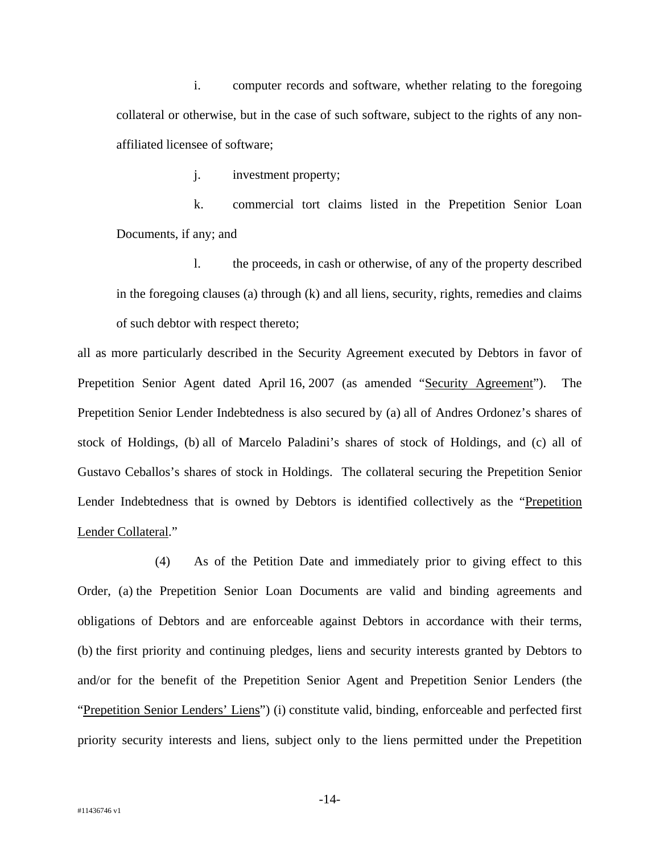i. computer records and software, whether relating to the foregoing collateral or otherwise, but in the case of such software, subject to the rights of any nonaffiliated licensee of software;

j. investment property;

k. commercial tort claims listed in the Prepetition Senior Loan Documents, if any; and

l. the proceeds, in cash or otherwise, of any of the property described in the foregoing clauses (a) through (k) and all liens, security, rights, remedies and claims of such debtor with respect thereto;

all as more particularly described in the Security Agreement executed by Debtors in favor of Prepetition Senior Agent dated April 16, 2007 (as amended "Security Agreement"). The Prepetition Senior Lender Indebtedness is also secured by (a) all of Andres Ordonez's shares of stock of Holdings, (b) all of Marcelo Paladini's shares of stock of Holdings, and (c) all of Gustavo Ceballos's shares of stock in Holdings. The collateral securing the Prepetition Senior Lender Indebtedness that is owned by Debtors is identified collectively as the "Prepetition Lender Collateral."

(4) As of the Petition Date and immediately prior to giving effect to this Order, (a) the Prepetition Senior Loan Documents are valid and binding agreements and obligations of Debtors and are enforceable against Debtors in accordance with their terms, (b) the first priority and continuing pledges, liens and security interests granted by Debtors to and/or for the benefit of the Prepetition Senior Agent and Prepetition Senior Lenders (the "Prepetition Senior Lenders' Liens") (i) constitute valid, binding, enforceable and perfected first priority security interests and liens, subject only to the liens permitted under the Prepetition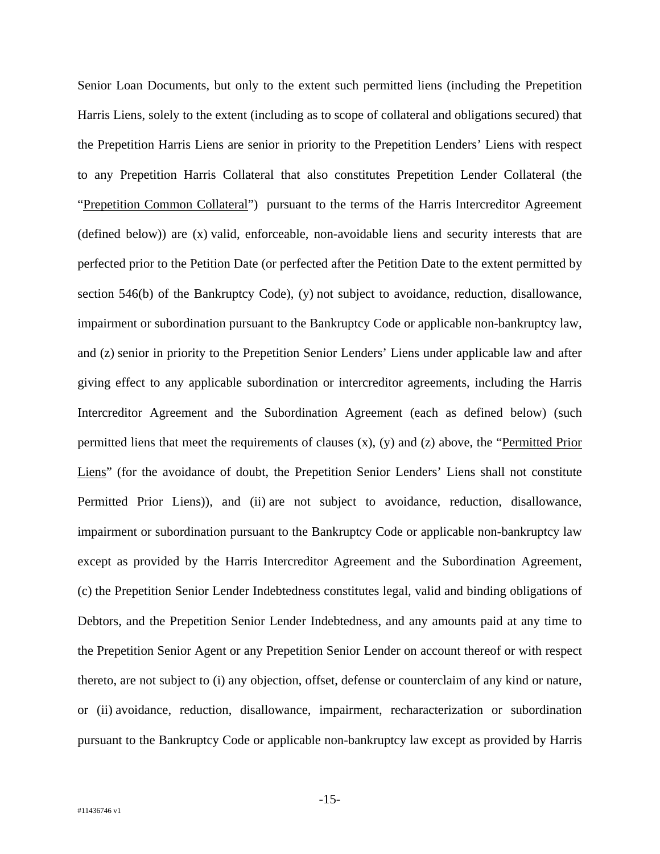Senior Loan Documents, but only to the extent such permitted liens (including the Prepetition Harris Liens, solely to the extent (including as to scope of collateral and obligations secured) that the Prepetition Harris Liens are senior in priority to the Prepetition Lenders' Liens with respect to any Prepetition Harris Collateral that also constitutes Prepetition Lender Collateral (the "Prepetition Common Collateral") pursuant to the terms of the Harris Intercreditor Agreement (defined below)) are (x) valid, enforceable, non-avoidable liens and security interests that are perfected prior to the Petition Date (or perfected after the Petition Date to the extent permitted by section 546(b) of the Bankruptcy Code), (y) not subject to avoidance, reduction, disallowance, impairment or subordination pursuant to the Bankruptcy Code or applicable non-bankruptcy law, and (z) senior in priority to the Prepetition Senior Lenders' Liens under applicable law and after giving effect to any applicable subordination or intercreditor agreements, including the Harris Intercreditor Agreement and the Subordination Agreement (each as defined below) (such permitted liens that meet the requirements of clauses (x), (y) and (z) above, the "Permitted Prior Liens" (for the avoidance of doubt, the Prepetition Senior Lenders' Liens shall not constitute Permitted Prior Liens)), and (ii) are not subject to avoidance, reduction, disallowance, impairment or subordination pursuant to the Bankruptcy Code or applicable non-bankruptcy law except as provided by the Harris Intercreditor Agreement and the Subordination Agreement, (c) the Prepetition Senior Lender Indebtedness constitutes legal, valid and binding obligations of Debtors, and the Prepetition Senior Lender Indebtedness, and any amounts paid at any time to the Prepetition Senior Agent or any Prepetition Senior Lender on account thereof or with respect thereto, are not subject to (i) any objection, offset, defense or counterclaim of any kind or nature, or (ii) avoidance, reduction, disallowance, impairment, recharacterization or subordination pursuant to the Bankruptcy Code or applicable non-bankruptcy law except as provided by Harris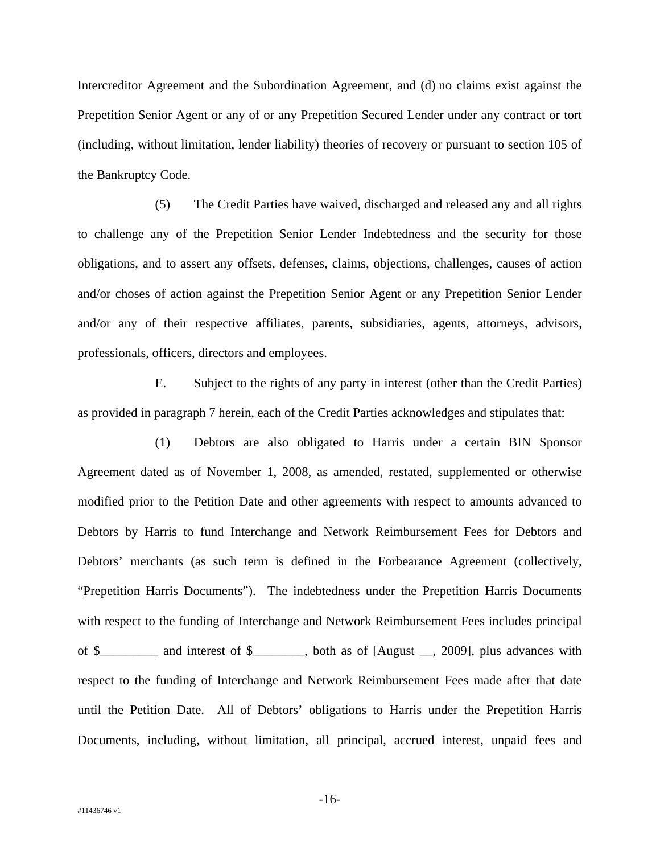Intercreditor Agreement and the Subordination Agreement, and (d) no claims exist against the Prepetition Senior Agent or any of or any Prepetition Secured Lender under any contract or tort (including, without limitation, lender liability) theories of recovery or pursuant to section 105 of the Bankruptcy Code.

(5) The Credit Parties have waived, discharged and released any and all rights to challenge any of the Prepetition Senior Lender Indebtedness and the security for those obligations, and to assert any offsets, defenses, claims, objections, challenges, causes of action and/or choses of action against the Prepetition Senior Agent or any Prepetition Senior Lender and/or any of their respective affiliates, parents, subsidiaries, agents, attorneys, advisors, professionals, officers, directors and employees.

E. Subject to the rights of any party in interest (other than the Credit Parties) as provided in paragraph 7 herein, each of the Credit Parties acknowledges and stipulates that:

(1) Debtors are also obligated to Harris under a certain BIN Sponsor Agreement dated as of November 1, 2008, as amended, restated, supplemented or otherwise modified prior to the Petition Date and other agreements with respect to amounts advanced to Debtors by Harris to fund Interchange and Network Reimbursement Fees for Debtors and Debtors' merchants (as such term is defined in the Forbearance Agreement (collectively, "Prepetition Harris Documents"). The indebtedness under the Prepetition Harris Documents with respect to the funding of Interchange and Network Reimbursement Fees includes principal of \$\_\_\_\_\_\_\_\_\_ and interest of \$\_\_\_\_\_\_\_\_, both as of [August \_\_, 2009], plus advances with respect to the funding of Interchange and Network Reimbursement Fees made after that date until the Petition Date. All of Debtors' obligations to Harris under the Prepetition Harris Documents, including, without limitation, all principal, accrued interest, unpaid fees and

-16-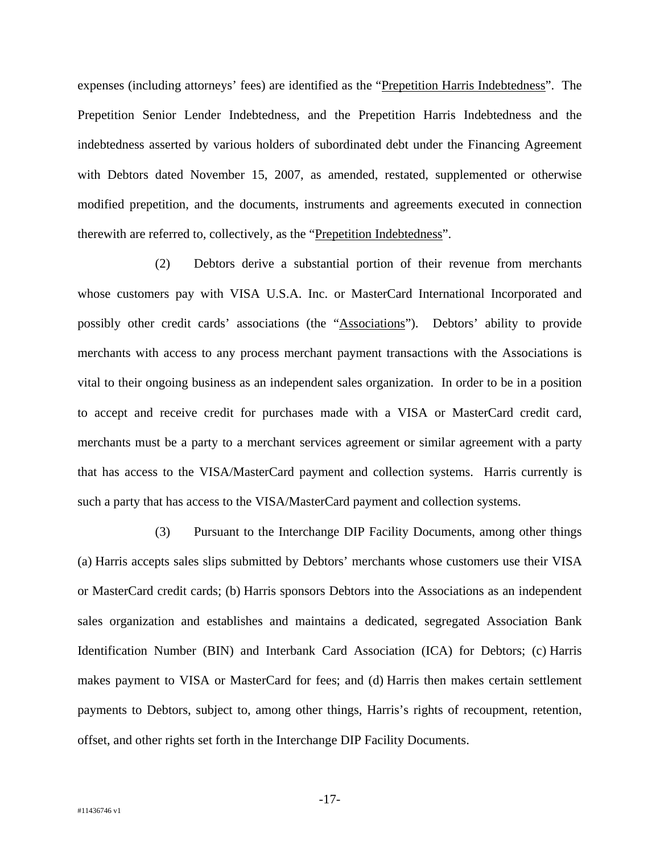expenses (including attorneys' fees) are identified as the "Prepetition Harris Indebtedness". The Prepetition Senior Lender Indebtedness, and the Prepetition Harris Indebtedness and the indebtedness asserted by various holders of subordinated debt under the Financing Agreement with Debtors dated November 15, 2007, as amended, restated, supplemented or otherwise modified prepetition, and the documents, instruments and agreements executed in connection therewith are referred to, collectively, as the "Prepetition Indebtedness".

(2) Debtors derive a substantial portion of their revenue from merchants whose customers pay with VISA U.S.A. Inc. or MasterCard International Incorporated and possibly other credit cards' associations (the "Associations"). Debtors' ability to provide merchants with access to any process merchant payment transactions with the Associations is vital to their ongoing business as an independent sales organization. In order to be in a position to accept and receive credit for purchases made with a VISA or MasterCard credit card, merchants must be a party to a merchant services agreement or similar agreement with a party that has access to the VISA/MasterCard payment and collection systems. Harris currently is such a party that has access to the VISA/MasterCard payment and collection systems.

(3) Pursuant to the Interchange DIP Facility Documents, among other things (a) Harris accepts sales slips submitted by Debtors' merchants whose customers use their VISA or MasterCard credit cards; (b) Harris sponsors Debtors into the Associations as an independent sales organization and establishes and maintains a dedicated, segregated Association Bank Identification Number (BIN) and Interbank Card Association (ICA) for Debtors; (c) Harris makes payment to VISA or MasterCard for fees; and (d) Harris then makes certain settlement payments to Debtors, subject to, among other things, Harris's rights of recoupment, retention, offset, and other rights set forth in the Interchange DIP Facility Documents.

-17-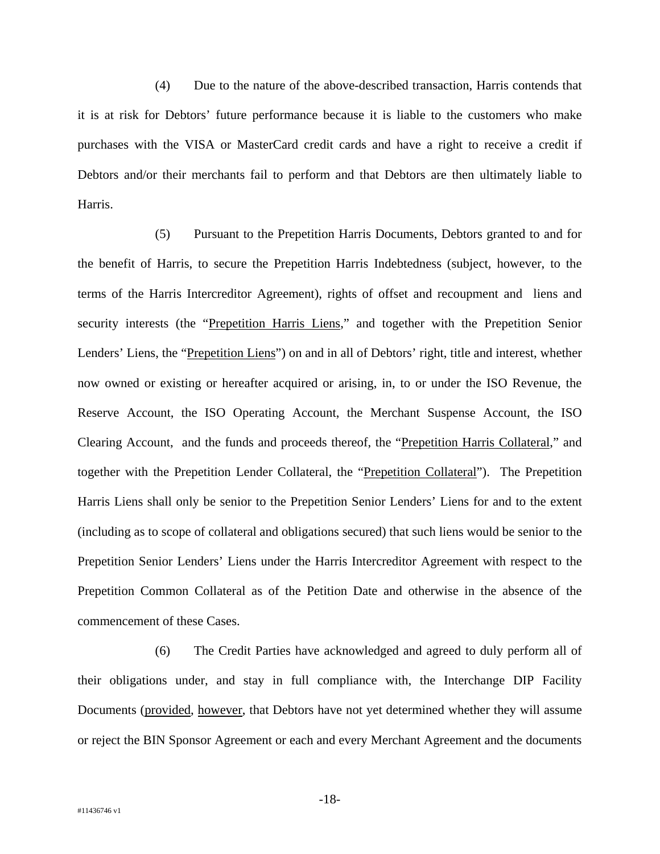(4) Due to the nature of the above-described transaction, Harris contends that it is at risk for Debtors' future performance because it is liable to the customers who make purchases with the VISA or MasterCard credit cards and have a right to receive a credit if Debtors and/or their merchants fail to perform and that Debtors are then ultimately liable to Harris.

(5) Pursuant to the Prepetition Harris Documents, Debtors granted to and for the benefit of Harris, to secure the Prepetition Harris Indebtedness (subject, however, to the terms of the Harris Intercreditor Agreement), rights of offset and recoupment and liens and security interests (the "Prepetition Harris Liens," and together with the Prepetition Senior Lenders' Liens, the "Prepetition Liens") on and in all of Debtors' right, title and interest, whether now owned or existing or hereafter acquired or arising, in, to or under the ISO Revenue, the Reserve Account, the ISO Operating Account, the Merchant Suspense Account, the ISO Clearing Account, and the funds and proceeds thereof, the "Prepetition Harris Collateral," and together with the Prepetition Lender Collateral, the "Prepetition Collateral"). The Prepetition Harris Liens shall only be senior to the Prepetition Senior Lenders' Liens for and to the extent (including as to scope of collateral and obligations secured) that such liens would be senior to the Prepetition Senior Lenders' Liens under the Harris Intercreditor Agreement with respect to the Prepetition Common Collateral as of the Petition Date and otherwise in the absence of the commencement of these Cases.

(6) The Credit Parties have acknowledged and agreed to duly perform all of their obligations under, and stay in full compliance with, the Interchange DIP Facility Documents (provided, however, that Debtors have not yet determined whether they will assume or reject the BIN Sponsor Agreement or each and every Merchant Agreement and the documents

-18-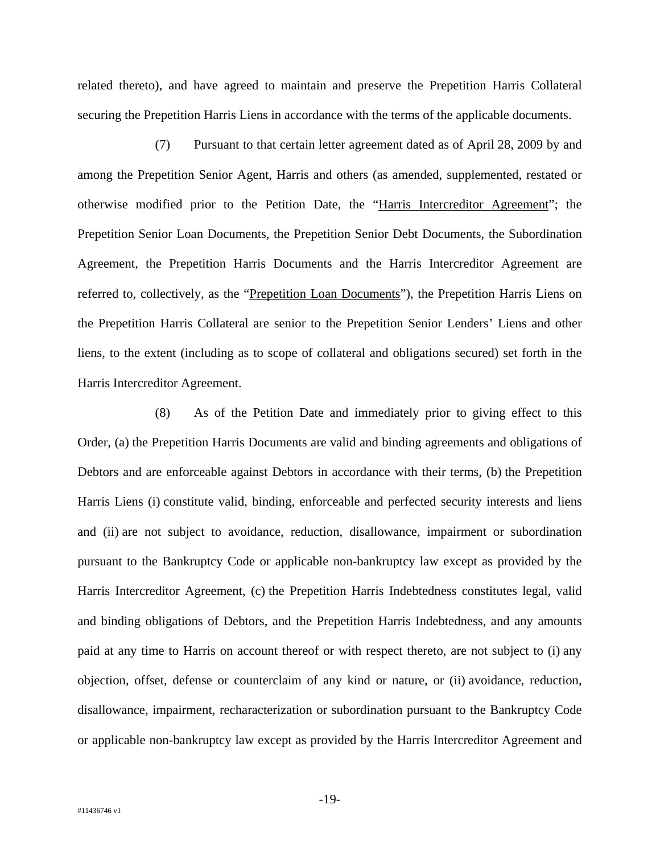related thereto), and have agreed to maintain and preserve the Prepetition Harris Collateral securing the Prepetition Harris Liens in accordance with the terms of the applicable documents.

(7) Pursuant to that certain letter agreement dated as of April 28, 2009 by and among the Prepetition Senior Agent, Harris and others (as amended, supplemented, restated or otherwise modified prior to the Petition Date, the "Harris Intercreditor Agreement"; the Prepetition Senior Loan Documents, the Prepetition Senior Debt Documents, the Subordination Agreement, the Prepetition Harris Documents and the Harris Intercreditor Agreement are referred to, collectively, as the "Prepetition Loan Documents"), the Prepetition Harris Liens on the Prepetition Harris Collateral are senior to the Prepetition Senior Lenders' Liens and other liens, to the extent (including as to scope of collateral and obligations secured) set forth in the Harris Intercreditor Agreement.

(8) As of the Petition Date and immediately prior to giving effect to this Order, (a) the Prepetition Harris Documents are valid and binding agreements and obligations of Debtors and are enforceable against Debtors in accordance with their terms, (b) the Prepetition Harris Liens (i) constitute valid, binding, enforceable and perfected security interests and liens and (ii) are not subject to avoidance, reduction, disallowance, impairment or subordination pursuant to the Bankruptcy Code or applicable non-bankruptcy law except as provided by the Harris Intercreditor Agreement, (c) the Prepetition Harris Indebtedness constitutes legal, valid and binding obligations of Debtors, and the Prepetition Harris Indebtedness, and any amounts paid at any time to Harris on account thereof or with respect thereto, are not subject to (i) any objection, offset, defense or counterclaim of any kind or nature, or (ii) avoidance, reduction, disallowance, impairment, recharacterization or subordination pursuant to the Bankruptcy Code or applicable non-bankruptcy law except as provided by the Harris Intercreditor Agreement and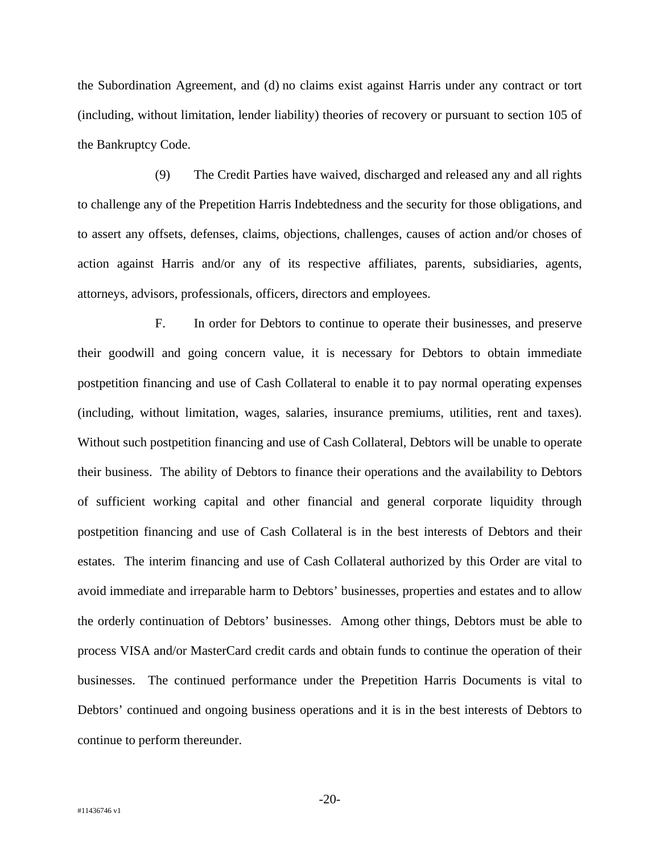the Subordination Agreement, and (d) no claims exist against Harris under any contract or tort (including, without limitation, lender liability) theories of recovery or pursuant to section 105 of the Bankruptcy Code.

(9) The Credit Parties have waived, discharged and released any and all rights to challenge any of the Prepetition Harris Indebtedness and the security for those obligations, and to assert any offsets, defenses, claims, objections, challenges, causes of action and/or choses of action against Harris and/or any of its respective affiliates, parents, subsidiaries, agents, attorneys, advisors, professionals, officers, directors and employees.

F. In order for Debtors to continue to operate their businesses, and preserve their goodwill and going concern value, it is necessary for Debtors to obtain immediate postpetition financing and use of Cash Collateral to enable it to pay normal operating expenses (including, without limitation, wages, salaries, insurance premiums, utilities, rent and taxes). Without such postpetition financing and use of Cash Collateral, Debtors will be unable to operate their business. The ability of Debtors to finance their operations and the availability to Debtors of sufficient working capital and other financial and general corporate liquidity through postpetition financing and use of Cash Collateral is in the best interests of Debtors and their estates. The interim financing and use of Cash Collateral authorized by this Order are vital to avoid immediate and irreparable harm to Debtors' businesses, properties and estates and to allow the orderly continuation of Debtors' businesses. Among other things, Debtors must be able to process VISA and/or MasterCard credit cards and obtain funds to continue the operation of their businesses. The continued performance under the Prepetition Harris Documents is vital to Debtors' continued and ongoing business operations and it is in the best interests of Debtors to continue to perform thereunder.

-20-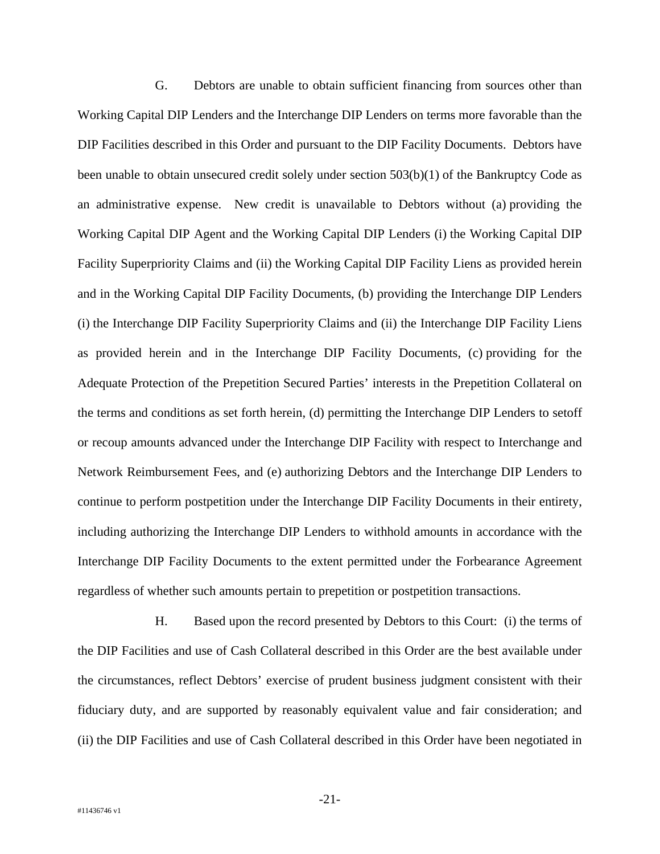G. Debtors are unable to obtain sufficient financing from sources other than Working Capital DIP Lenders and the Interchange DIP Lenders on terms more favorable than the DIP Facilities described in this Order and pursuant to the DIP Facility Documents. Debtors have been unable to obtain unsecured credit solely under section 503(b)(1) of the Bankruptcy Code as an administrative expense. New credit is unavailable to Debtors without (a) providing the Working Capital DIP Agent and the Working Capital DIP Lenders (i) the Working Capital DIP Facility Superpriority Claims and (ii) the Working Capital DIP Facility Liens as provided herein and in the Working Capital DIP Facility Documents, (b) providing the Interchange DIP Lenders (i) the Interchange DIP Facility Superpriority Claims and (ii) the Interchange DIP Facility Liens as provided herein and in the Interchange DIP Facility Documents, (c) providing for the Adequate Protection of the Prepetition Secured Parties' interests in the Prepetition Collateral on the terms and conditions as set forth herein, (d) permitting the Interchange DIP Lenders to setoff or recoup amounts advanced under the Interchange DIP Facility with respect to Interchange and Network Reimbursement Fees, and (e) authorizing Debtors and the Interchange DIP Lenders to continue to perform postpetition under the Interchange DIP Facility Documents in their entirety, including authorizing the Interchange DIP Lenders to withhold amounts in accordance with the Interchange DIP Facility Documents to the extent permitted under the Forbearance Agreement regardless of whether such amounts pertain to prepetition or postpetition transactions.

H. Based upon the record presented by Debtors to this Court: (i) the terms of the DIP Facilities and use of Cash Collateral described in this Order are the best available under the circumstances, reflect Debtors' exercise of prudent business judgment consistent with their fiduciary duty, and are supported by reasonably equivalent value and fair consideration; and (ii) the DIP Facilities and use of Cash Collateral described in this Order have been negotiated in

-21-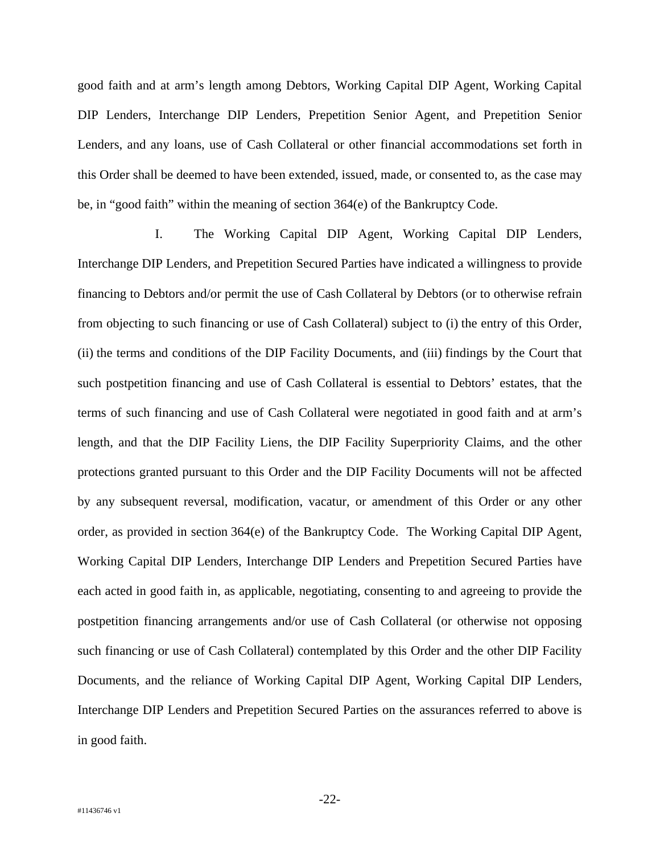good faith and at arm's length among Debtors, Working Capital DIP Agent, Working Capital DIP Lenders, Interchange DIP Lenders, Prepetition Senior Agent, and Prepetition Senior Lenders, and any loans, use of Cash Collateral or other financial accommodations set forth in this Order shall be deemed to have been extended, issued, made, or consented to, as the case may be, in "good faith" within the meaning of section 364(e) of the Bankruptcy Code.

I. The Working Capital DIP Agent, Working Capital DIP Lenders, Interchange DIP Lenders, and Prepetition Secured Parties have indicated a willingness to provide financing to Debtors and/or permit the use of Cash Collateral by Debtors (or to otherwise refrain from objecting to such financing or use of Cash Collateral) subject to (i) the entry of this Order, (ii) the terms and conditions of the DIP Facility Documents, and (iii) findings by the Court that such postpetition financing and use of Cash Collateral is essential to Debtors' estates, that the terms of such financing and use of Cash Collateral were negotiated in good faith and at arm's length, and that the DIP Facility Liens, the DIP Facility Superpriority Claims, and the other protections granted pursuant to this Order and the DIP Facility Documents will not be affected by any subsequent reversal, modification, vacatur, or amendment of this Order or any other order, as provided in section 364(e) of the Bankruptcy Code. The Working Capital DIP Agent, Working Capital DIP Lenders, Interchange DIP Lenders and Prepetition Secured Parties have each acted in good faith in, as applicable, negotiating, consenting to and agreeing to provide the postpetition financing arrangements and/or use of Cash Collateral (or otherwise not opposing such financing or use of Cash Collateral) contemplated by this Order and the other DIP Facility Documents, and the reliance of Working Capital DIP Agent, Working Capital DIP Lenders, Interchange DIP Lenders and Prepetition Secured Parties on the assurances referred to above is in good faith.

-22-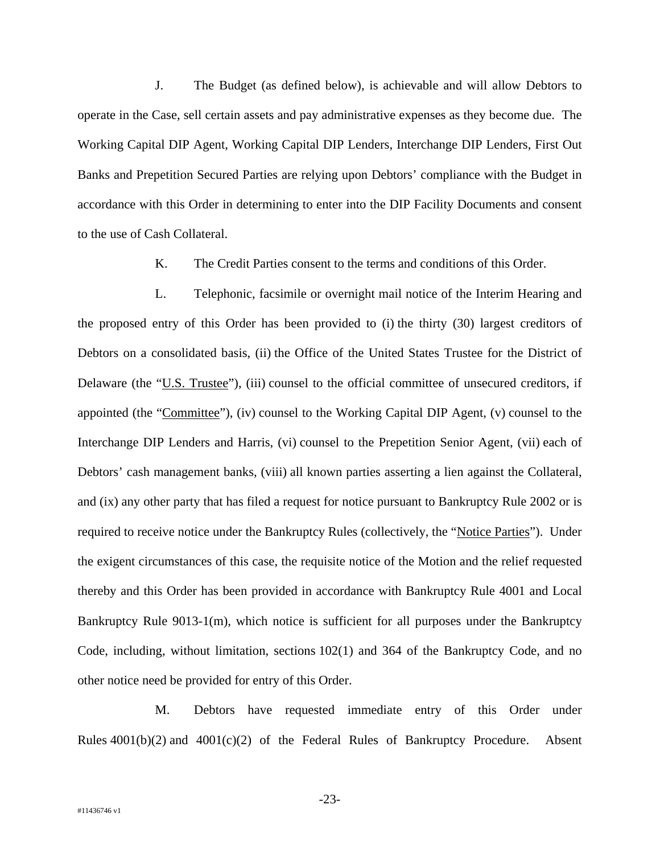J. The Budget (as defined below), is achievable and will allow Debtors to operate in the Case, sell certain assets and pay administrative expenses as they become due. The Working Capital DIP Agent, Working Capital DIP Lenders, Interchange DIP Lenders, First Out Banks and Prepetition Secured Parties are relying upon Debtors' compliance with the Budget in accordance with this Order in determining to enter into the DIP Facility Documents and consent to the use of Cash Collateral.

K. The Credit Parties consent to the terms and conditions of this Order.

L. Telephonic, facsimile or overnight mail notice of the Interim Hearing and the proposed entry of this Order has been provided to (i) the thirty (30) largest creditors of Debtors on a consolidated basis, (ii) the Office of the United States Trustee for the District of Delaware (the "U.S. Trustee"), (iii) counsel to the official committee of unsecured creditors, if appointed (the "Committee"), (iv) counsel to the Working Capital DIP Agent, (v) counsel to the Interchange DIP Lenders and Harris, (vi) counsel to the Prepetition Senior Agent, (vii) each of Debtors' cash management banks, (viii) all known parties asserting a lien against the Collateral, and (ix) any other party that has filed a request for notice pursuant to Bankruptcy Rule 2002 or is required to receive notice under the Bankruptcy Rules (collectively, the "Notice Parties"). Under the exigent circumstances of this case, the requisite notice of the Motion and the relief requested thereby and this Order has been provided in accordance with Bankruptcy Rule 4001 and Local Bankruptcy Rule 9013-1(m), which notice is sufficient for all purposes under the Bankruptcy Code, including, without limitation, sections 102(1) and 364 of the Bankruptcy Code, and no other notice need be provided for entry of this Order.

M. Debtors have requested immediate entry of this Order under Rules 4001(b)(2) and 4001(c)(2) of the Federal Rules of Bankruptcy Procedure. Absent

-23-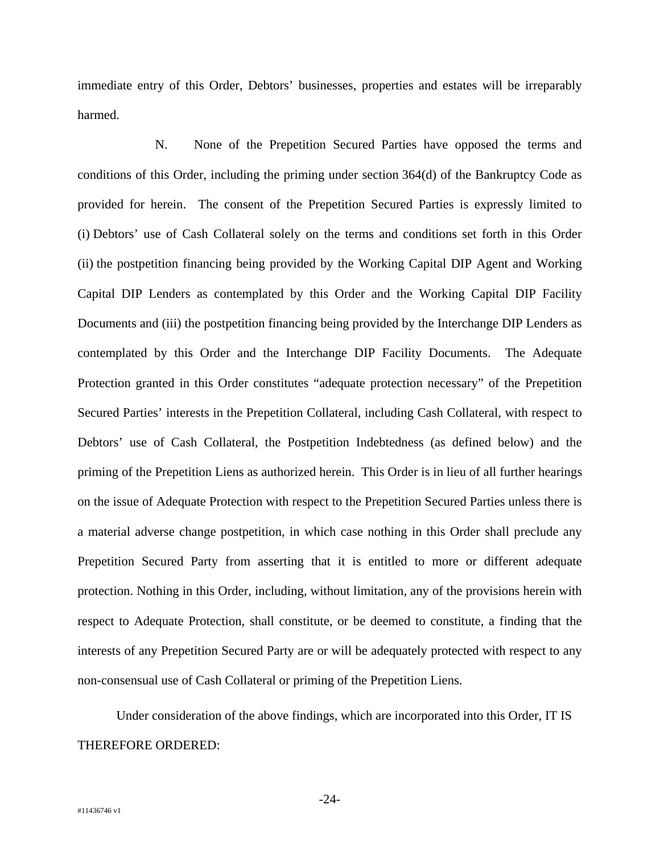immediate entry of this Order, Debtors' businesses, properties and estates will be irreparably harmed.

N. None of the Prepetition Secured Parties have opposed the terms and conditions of this Order, including the priming under section 364(d) of the Bankruptcy Code as provided for herein. The consent of the Prepetition Secured Parties is expressly limited to (i) Debtors' use of Cash Collateral solely on the terms and conditions set forth in this Order (ii) the postpetition financing being provided by the Working Capital DIP Agent and Working Capital DIP Lenders as contemplated by this Order and the Working Capital DIP Facility Documents and (iii) the postpetition financing being provided by the Interchange DIP Lenders as contemplated by this Order and the Interchange DIP Facility Documents. The Adequate Protection granted in this Order constitutes "adequate protection necessary" of the Prepetition Secured Parties' interests in the Prepetition Collateral, including Cash Collateral, with respect to Debtors' use of Cash Collateral, the Postpetition Indebtedness (as defined below) and the priming of the Prepetition Liens as authorized herein. This Order is in lieu of all further hearings on the issue of Adequate Protection with respect to the Prepetition Secured Parties unless there is a material adverse change postpetition, in which case nothing in this Order shall preclude any Prepetition Secured Party from asserting that it is entitled to more or different adequate protection. Nothing in this Order, including, without limitation, any of the provisions herein with respect to Adequate Protection, shall constitute, or be deemed to constitute, a finding that the interests of any Prepetition Secured Party are or will be adequately protected with respect to any non-consensual use of Cash Collateral or priming of the Prepetition Liens.

Under consideration of the above findings, which are incorporated into this Order, IT IS THEREFORE ORDERED:

-24-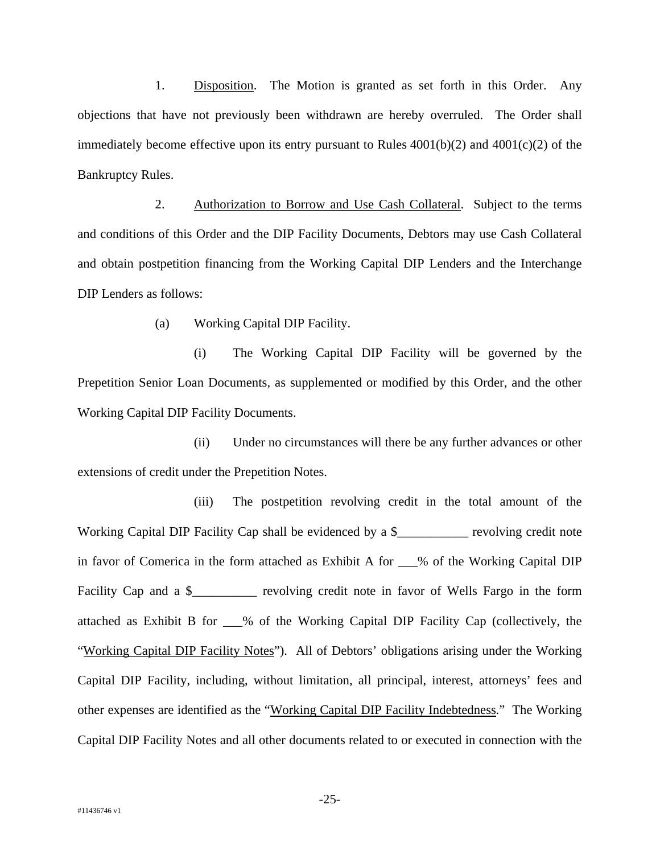1. Disposition. The Motion is granted as set forth in this Order. Any objections that have not previously been withdrawn are hereby overruled. The Order shall immediately become effective upon its entry pursuant to Rules  $4001(b)(2)$  and  $4001(c)(2)$  of the Bankruptcy Rules.

2. Authorization to Borrow and Use Cash Collateral. Subject to the terms and conditions of this Order and the DIP Facility Documents, Debtors may use Cash Collateral and obtain postpetition financing from the Working Capital DIP Lenders and the Interchange DIP Lenders as follows:

(a) Working Capital DIP Facility.

 (i) The Working Capital DIP Facility will be governed by the Prepetition Senior Loan Documents, as supplemented or modified by this Order, and the other Working Capital DIP Facility Documents.

 (ii) Under no circumstances will there be any further advances or other extensions of credit under the Prepetition Notes.

 (iii) The postpetition revolving credit in the total amount of the Working Capital DIP Facility Cap shall be evidenced by a \$\_\_\_\_\_\_\_\_\_\_\_ revolving credit note in favor of Comerica in the form attached as Exhibit A for \_\_\_% of the Working Capital DIP Facility Cap and a \$\_\_\_\_\_\_\_\_\_\_ revolving credit note in favor of Wells Fargo in the form attached as Exhibit B for \_\_\_% of the Working Capital DIP Facility Cap (collectively, the "Working Capital DIP Facility Notes"). All of Debtors' obligations arising under the Working Capital DIP Facility, including, without limitation, all principal, interest, attorneys' fees and other expenses are identified as the "Working Capital DIP Facility Indebtedness." The Working Capital DIP Facility Notes and all other documents related to or executed in connection with the

-25-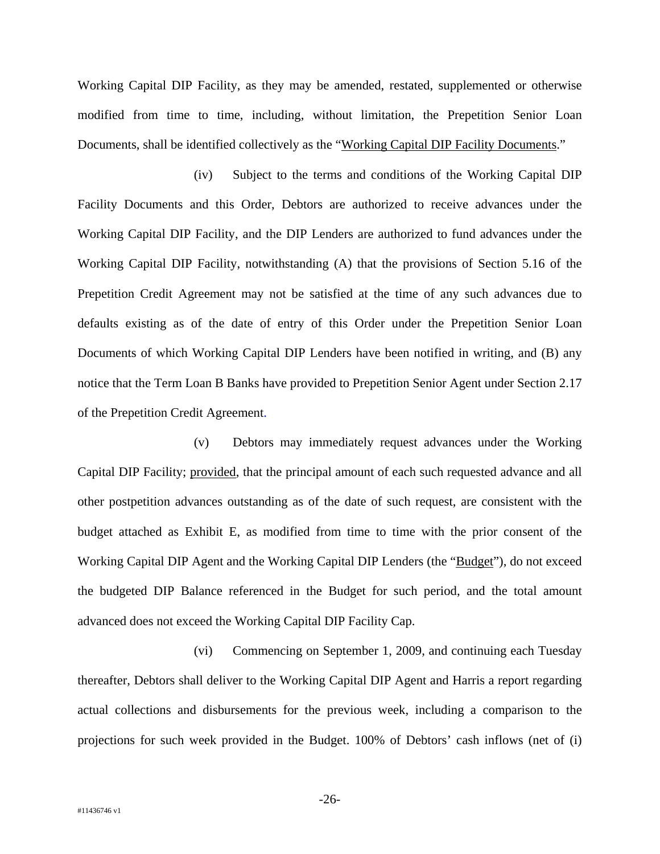Working Capital DIP Facility, as they may be amended, restated, supplemented or otherwise modified from time to time, including, without limitation, the Prepetition Senior Loan Documents, shall be identified collectively as the "Working Capital DIP Facility Documents."

 (iv) Subject to the terms and conditions of the Working Capital DIP Facility Documents and this Order, Debtors are authorized to receive advances under the Working Capital DIP Facility, and the DIP Lenders are authorized to fund advances under the Working Capital DIP Facility, notwithstanding (A) that the provisions of Section 5.16 of the Prepetition Credit Agreement may not be satisfied at the time of any such advances due to defaults existing as of the date of entry of this Order under the Prepetition Senior Loan Documents of which Working Capital DIP Lenders have been notified in writing, and (B) any notice that the Term Loan B Banks have provided to Prepetition Senior Agent under Section 2.17 of the Prepetition Credit Agreement.

 (v) Debtors may immediately request advances under the Working Capital DIP Facility; provided, that the principal amount of each such requested advance and all other postpetition advances outstanding as of the date of such request, are consistent with the budget attached as Exhibit E, as modified from time to time with the prior consent of the Working Capital DIP Agent and the Working Capital DIP Lenders (the "Budget"), do not exceed the budgeted DIP Balance referenced in the Budget for such period, and the total amount advanced does not exceed the Working Capital DIP Facility Cap.

 (vi) Commencing on September 1, 2009, and continuing each Tuesday thereafter, Debtors shall deliver to the Working Capital DIP Agent and Harris a report regarding actual collections and disbursements for the previous week, including a comparison to the projections for such week provided in the Budget. 100% of Debtors' cash inflows (net of (i)

-26-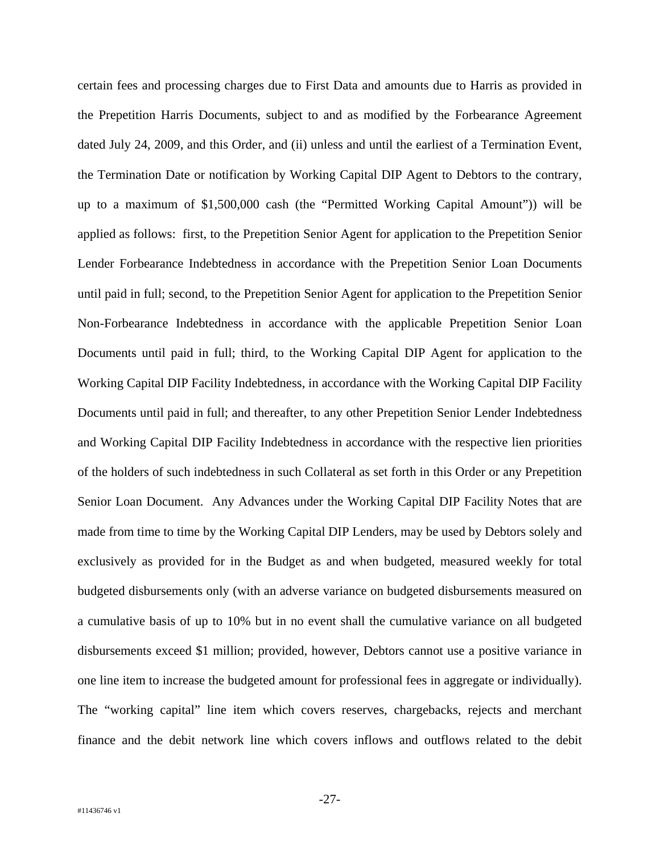certain fees and processing charges due to First Data and amounts due to Harris as provided in the Prepetition Harris Documents, subject to and as modified by the Forbearance Agreement dated July 24, 2009, and this Order, and (ii) unless and until the earliest of a Termination Event, the Termination Date or notification by Working Capital DIP Agent to Debtors to the contrary, up to a maximum of \$1,500,000 cash (the "Permitted Working Capital Amount")) will be applied as follows: first, to the Prepetition Senior Agent for application to the Prepetition Senior Lender Forbearance Indebtedness in accordance with the Prepetition Senior Loan Documents until paid in full; second, to the Prepetition Senior Agent for application to the Prepetition Senior Non-Forbearance Indebtedness in accordance with the applicable Prepetition Senior Loan Documents until paid in full; third, to the Working Capital DIP Agent for application to the Working Capital DIP Facility Indebtedness, in accordance with the Working Capital DIP Facility Documents until paid in full; and thereafter, to any other Prepetition Senior Lender Indebtedness and Working Capital DIP Facility Indebtedness in accordance with the respective lien priorities of the holders of such indebtedness in such Collateral as set forth in this Order or any Prepetition Senior Loan Document. Any Advances under the Working Capital DIP Facility Notes that are made from time to time by the Working Capital DIP Lenders, may be used by Debtors solely and exclusively as provided for in the Budget as and when budgeted, measured weekly for total budgeted disbursements only (with an adverse variance on budgeted disbursements measured on a cumulative basis of up to 10% but in no event shall the cumulative variance on all budgeted disbursements exceed \$1 million; provided, however, Debtors cannot use a positive variance in one line item to increase the budgeted amount for professional fees in aggregate or individually). The "working capital" line item which covers reserves, chargebacks, rejects and merchant finance and the debit network line which covers inflows and outflows related to the debit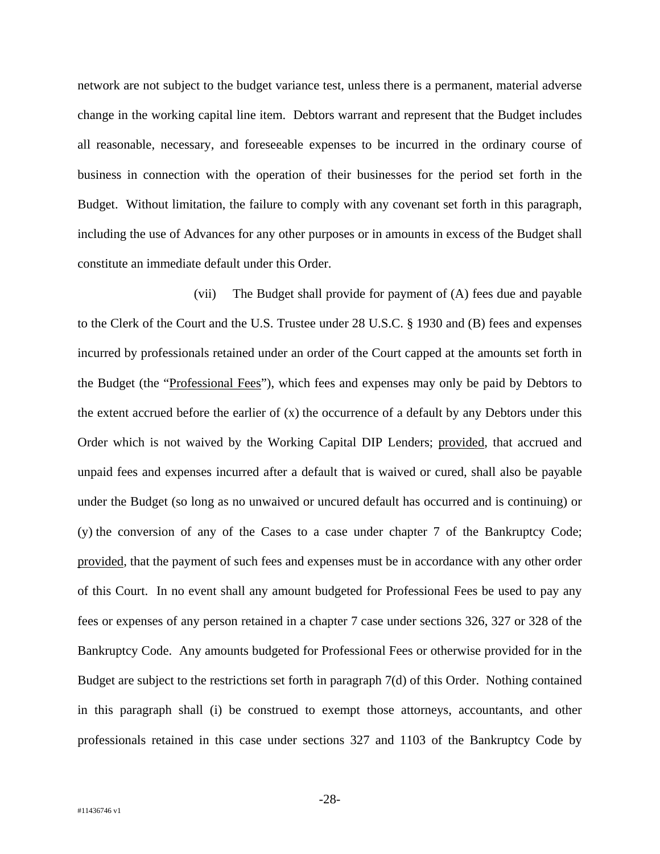network are not subject to the budget variance test, unless there is a permanent, material adverse change in the working capital line item. Debtors warrant and represent that the Budget includes all reasonable, necessary, and foreseeable expenses to be incurred in the ordinary course of business in connection with the operation of their businesses for the period set forth in the Budget. Without limitation, the failure to comply with any covenant set forth in this paragraph, including the use of Advances for any other purposes or in amounts in excess of the Budget shall constitute an immediate default under this Order.

 (vii) The Budget shall provide for payment of (A) fees due and payable to the Clerk of the Court and the U.S. Trustee under 28 U.S.C. § 1930 and (B) fees and expenses incurred by professionals retained under an order of the Court capped at the amounts set forth in the Budget (the "Professional Fees"), which fees and expenses may only be paid by Debtors to the extent accrued before the earlier of  $(x)$  the occurrence of a default by any Debtors under this Order which is not waived by the Working Capital DIP Lenders; provided, that accrued and unpaid fees and expenses incurred after a default that is waived or cured, shall also be payable under the Budget (so long as no unwaived or uncured default has occurred and is continuing) or (y) the conversion of any of the Cases to a case under chapter 7 of the Bankruptcy Code; provided, that the payment of such fees and expenses must be in accordance with any other order of this Court. In no event shall any amount budgeted for Professional Fees be used to pay any fees or expenses of any person retained in a chapter 7 case under sections 326, 327 or 328 of the Bankruptcy Code. Any amounts budgeted for Professional Fees or otherwise provided for in the Budget are subject to the restrictions set forth in paragraph 7(d) of this Order. Nothing contained in this paragraph shall (i) be construed to exempt those attorneys, accountants, and other professionals retained in this case under sections 327 and 1103 of the Bankruptcy Code by

-28-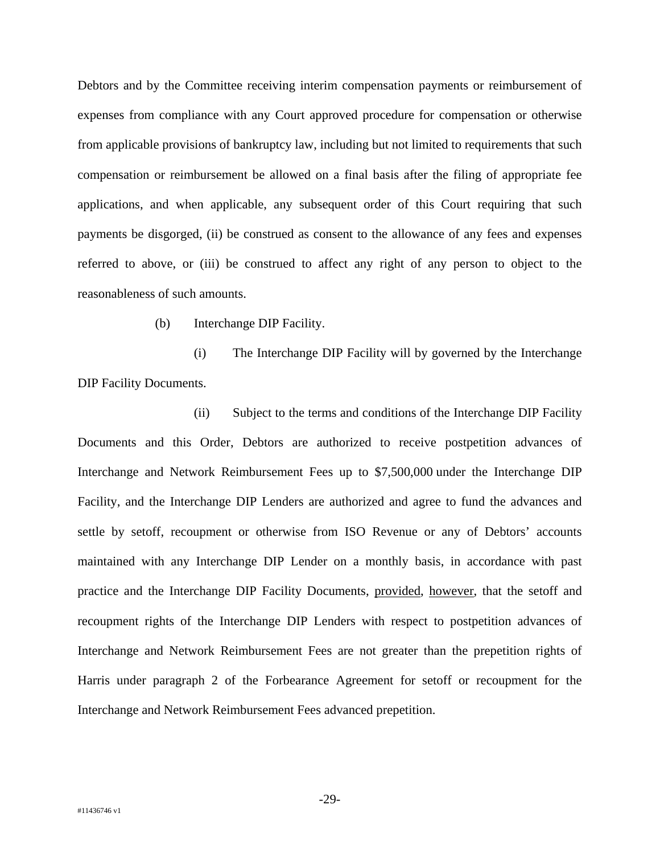Debtors and by the Committee receiving interim compensation payments or reimbursement of expenses from compliance with any Court approved procedure for compensation or otherwise from applicable provisions of bankruptcy law, including but not limited to requirements that such compensation or reimbursement be allowed on a final basis after the filing of appropriate fee applications, and when applicable, any subsequent order of this Court requiring that such payments be disgorged, (ii) be construed as consent to the allowance of any fees and expenses referred to above, or (iii) be construed to affect any right of any person to object to the reasonableness of such amounts.

(b) Interchange DIP Facility.

 (i) The Interchange DIP Facility will by governed by the Interchange DIP Facility Documents.

 (ii) Subject to the terms and conditions of the Interchange DIP Facility Documents and this Order, Debtors are authorized to receive postpetition advances of Interchange and Network Reimbursement Fees up to \$7,500,000 under the Interchange DIP Facility, and the Interchange DIP Lenders are authorized and agree to fund the advances and settle by setoff, recoupment or otherwise from ISO Revenue or any of Debtors' accounts maintained with any Interchange DIP Lender on a monthly basis, in accordance with past practice and the Interchange DIP Facility Documents, provided, however, that the setoff and recoupment rights of the Interchange DIP Lenders with respect to postpetition advances of Interchange and Network Reimbursement Fees are not greater than the prepetition rights of Harris under paragraph 2 of the Forbearance Agreement for setoff or recoupment for the Interchange and Network Reimbursement Fees advanced prepetition.

-29-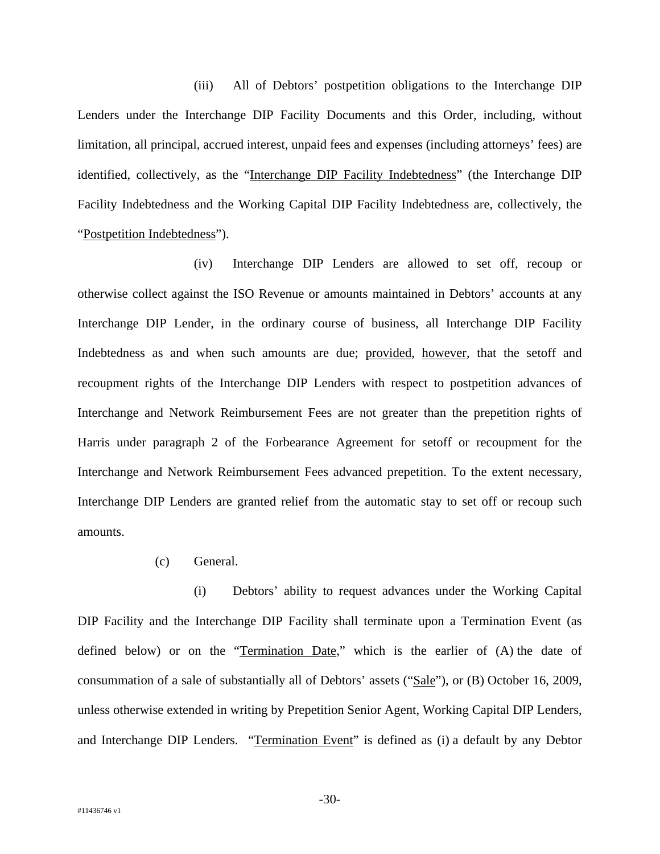(iii) All of Debtors' postpetition obligations to the Interchange DIP Lenders under the Interchange DIP Facility Documents and this Order, including, without limitation, all principal, accrued interest, unpaid fees and expenses (including attorneys' fees) are identified, collectively, as the "Interchange DIP Facility Indebtedness" (the Interchange DIP Facility Indebtedness and the Working Capital DIP Facility Indebtedness are, collectively, the "Postpetition Indebtedness").

 (iv) Interchange DIP Lenders are allowed to set off, recoup or otherwise collect against the ISO Revenue or amounts maintained in Debtors' accounts at any Interchange DIP Lender, in the ordinary course of business, all Interchange DIP Facility Indebtedness as and when such amounts are due; provided, however, that the setoff and recoupment rights of the Interchange DIP Lenders with respect to postpetition advances of Interchange and Network Reimbursement Fees are not greater than the prepetition rights of Harris under paragraph 2 of the Forbearance Agreement for setoff or recoupment for the Interchange and Network Reimbursement Fees advanced prepetition. To the extent necessary, Interchange DIP Lenders are granted relief from the automatic stay to set off or recoup such amounts.

(c) General.

 (i) Debtors' ability to request advances under the Working Capital DIP Facility and the Interchange DIP Facility shall terminate upon a Termination Event (as defined below) or on the "Termination Date," which is the earlier of (A) the date of consummation of a sale of substantially all of Debtors' assets ("Sale"), or (B) October 16, 2009, unless otherwise extended in writing by Prepetition Senior Agent, Working Capital DIP Lenders, and Interchange DIP Lenders. "Termination Event" is defined as (i) a default by any Debtor

-30-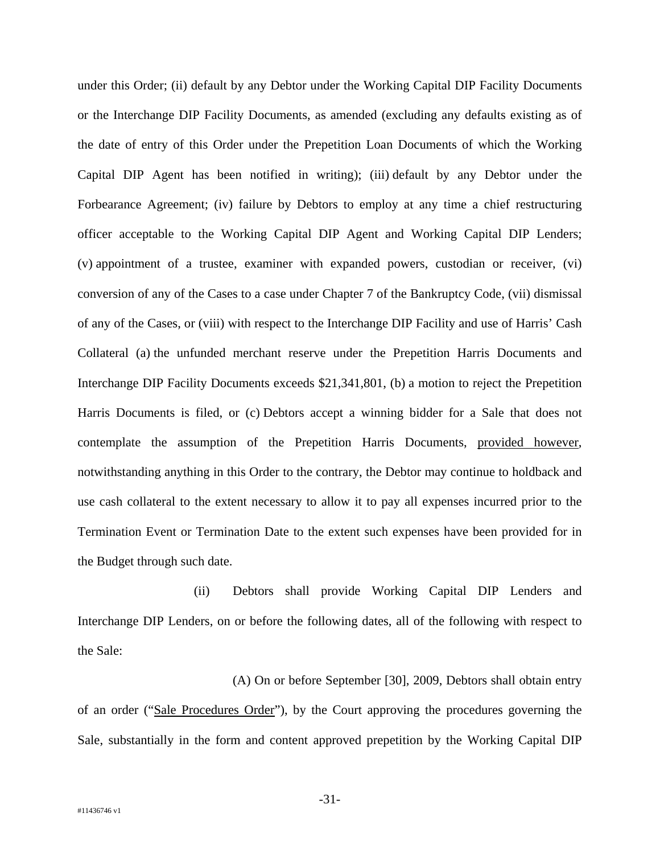under this Order; (ii) default by any Debtor under the Working Capital DIP Facility Documents or the Interchange DIP Facility Documents, as amended (excluding any defaults existing as of the date of entry of this Order under the Prepetition Loan Documents of which the Working Capital DIP Agent has been notified in writing); (iii) default by any Debtor under the Forbearance Agreement; (iv) failure by Debtors to employ at any time a chief restructuring officer acceptable to the Working Capital DIP Agent and Working Capital DIP Lenders; (v) appointment of a trustee, examiner with expanded powers, custodian or receiver, (vi) conversion of any of the Cases to a case under Chapter 7 of the Bankruptcy Code, (vii) dismissal of any of the Cases, or (viii) with respect to the Interchange DIP Facility and use of Harris' Cash Collateral (a) the unfunded merchant reserve under the Prepetition Harris Documents and Interchange DIP Facility Documents exceeds \$21,341,801, (b) a motion to reject the Prepetition Harris Documents is filed, or (c) Debtors accept a winning bidder for a Sale that does not contemplate the assumption of the Prepetition Harris Documents, provided however, notwithstanding anything in this Order to the contrary, the Debtor may continue to holdback and use cash collateral to the extent necessary to allow it to pay all expenses incurred prior to the Termination Event or Termination Date to the extent such expenses have been provided for in the Budget through such date.

 (ii) Debtors shall provide Working Capital DIP Lenders and Interchange DIP Lenders, on or before the following dates, all of the following with respect to the Sale:

 (A) On or before September [30], 2009, Debtors shall obtain entry of an order ("Sale Procedures Order"), by the Court approving the procedures governing the Sale, substantially in the form and content approved prepetition by the Working Capital DIP

-31-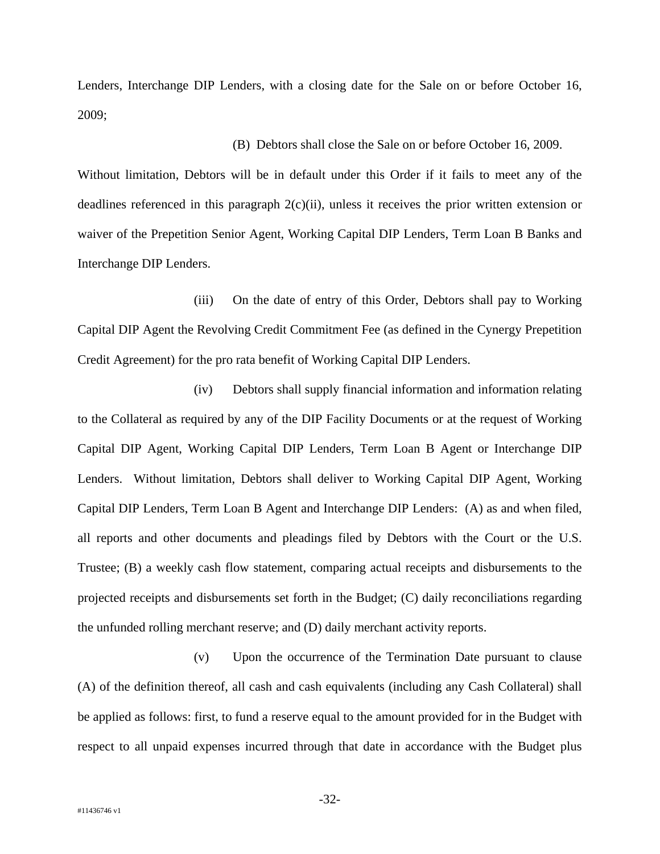Lenders, Interchange DIP Lenders, with a closing date for the Sale on or before October 16, 2009;

(B) Debtors shall close the Sale on or before October 16, 2009.

Without limitation, Debtors will be in default under this Order if it fails to meet any of the deadlines referenced in this paragraph  $2(c)(ii)$ , unless it receives the prior written extension or waiver of the Prepetition Senior Agent, Working Capital DIP Lenders, Term Loan B Banks and Interchange DIP Lenders.

 (iii) On the date of entry of this Order, Debtors shall pay to Working Capital DIP Agent the Revolving Credit Commitment Fee (as defined in the Cynergy Prepetition Credit Agreement) for the pro rata benefit of Working Capital DIP Lenders.

 (iv) Debtors shall supply financial information and information relating to the Collateral as required by any of the DIP Facility Documents or at the request of Working Capital DIP Agent, Working Capital DIP Lenders, Term Loan B Agent or Interchange DIP Lenders. Without limitation, Debtors shall deliver to Working Capital DIP Agent, Working Capital DIP Lenders, Term Loan B Agent and Interchange DIP Lenders: (A) as and when filed, all reports and other documents and pleadings filed by Debtors with the Court or the U.S. Trustee; (B) a weekly cash flow statement, comparing actual receipts and disbursements to the projected receipts and disbursements set forth in the Budget; (C) daily reconciliations regarding the unfunded rolling merchant reserve; and (D) daily merchant activity reports.

 (v) Upon the occurrence of the Termination Date pursuant to clause (A) of the definition thereof, all cash and cash equivalents (including any Cash Collateral) shall be applied as follows: first, to fund a reserve equal to the amount provided for in the Budget with respect to all unpaid expenses incurred through that date in accordance with the Budget plus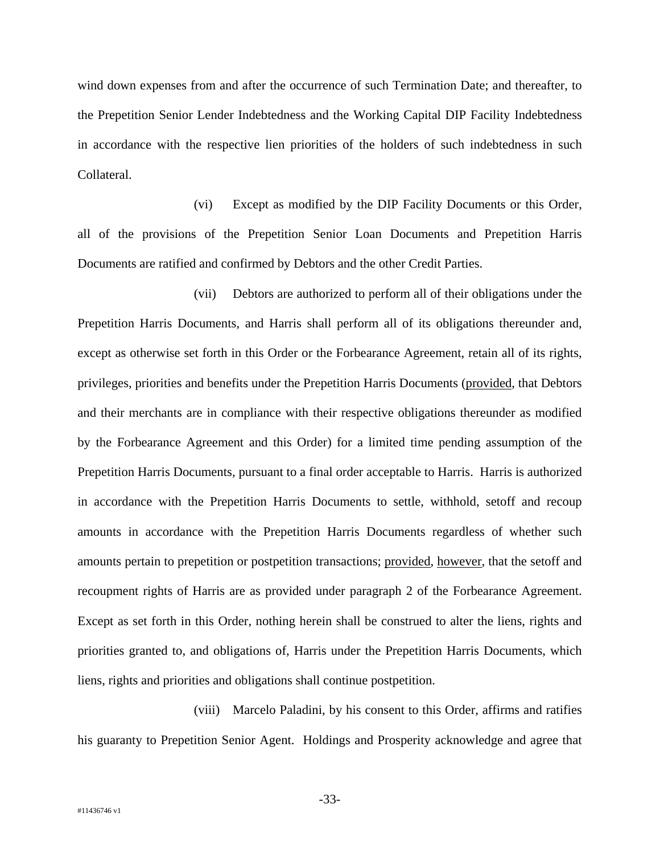wind down expenses from and after the occurrence of such Termination Date; and thereafter, to the Prepetition Senior Lender Indebtedness and the Working Capital DIP Facility Indebtedness in accordance with the respective lien priorities of the holders of such indebtedness in such Collateral.

 (vi) Except as modified by the DIP Facility Documents or this Order, all of the provisions of the Prepetition Senior Loan Documents and Prepetition Harris Documents are ratified and confirmed by Debtors and the other Credit Parties.

 (vii) Debtors are authorized to perform all of their obligations under the Prepetition Harris Documents, and Harris shall perform all of its obligations thereunder and, except as otherwise set forth in this Order or the Forbearance Agreement, retain all of its rights, privileges, priorities and benefits under the Prepetition Harris Documents (provided, that Debtors and their merchants are in compliance with their respective obligations thereunder as modified by the Forbearance Agreement and this Order) for a limited time pending assumption of the Prepetition Harris Documents, pursuant to a final order acceptable to Harris. Harris is authorized in accordance with the Prepetition Harris Documents to settle, withhold, setoff and recoup amounts in accordance with the Prepetition Harris Documents regardless of whether such amounts pertain to prepetition or postpetition transactions; provided, however, that the setoff and recoupment rights of Harris are as provided under paragraph 2 of the Forbearance Agreement. Except as set forth in this Order, nothing herein shall be construed to alter the liens, rights and priorities granted to, and obligations of, Harris under the Prepetition Harris Documents, which liens, rights and priorities and obligations shall continue postpetition.

 (viii) Marcelo Paladini, by his consent to this Order, affirms and ratifies his guaranty to Prepetition Senior Agent. Holdings and Prosperity acknowledge and agree that

-33-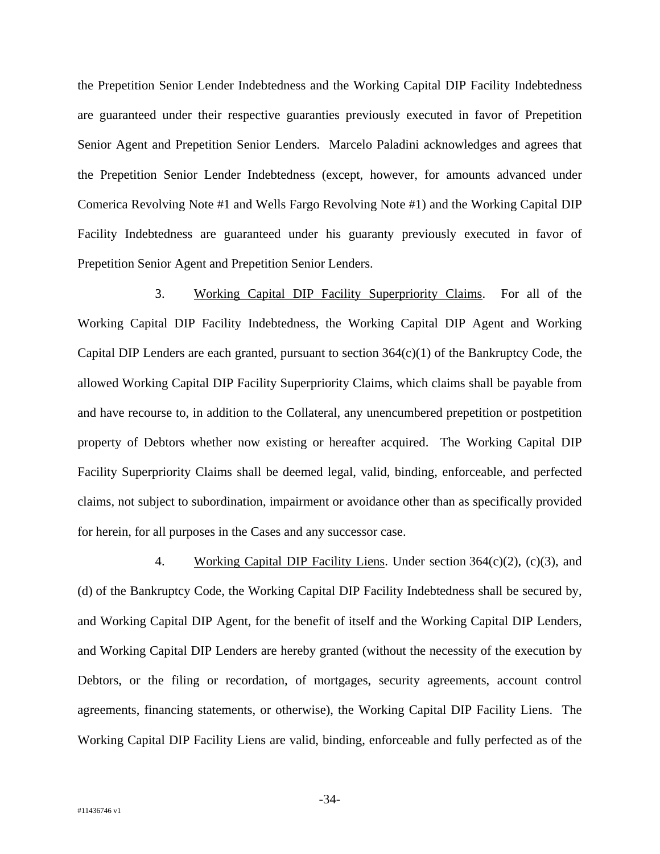the Prepetition Senior Lender Indebtedness and the Working Capital DIP Facility Indebtedness are guaranteed under their respective guaranties previously executed in favor of Prepetition Senior Agent and Prepetition Senior Lenders. Marcelo Paladini acknowledges and agrees that the Prepetition Senior Lender Indebtedness (except, however, for amounts advanced under Comerica Revolving Note #1 and Wells Fargo Revolving Note #1) and the Working Capital DIP Facility Indebtedness are guaranteed under his guaranty previously executed in favor of Prepetition Senior Agent and Prepetition Senior Lenders.

3. Working Capital DIP Facility Superpriority Claims. For all of the Working Capital DIP Facility Indebtedness, the Working Capital DIP Agent and Working Capital DIP Lenders are each granted, pursuant to section  $364(c)(1)$  of the Bankruptcy Code, the allowed Working Capital DIP Facility Superpriority Claims, which claims shall be payable from and have recourse to, in addition to the Collateral, any unencumbered prepetition or postpetition property of Debtors whether now existing or hereafter acquired. The Working Capital DIP Facility Superpriority Claims shall be deemed legal, valid, binding, enforceable, and perfected claims, not subject to subordination, impairment or avoidance other than as specifically provided for herein, for all purposes in the Cases and any successor case.

4. Working Capital DIP Facility Liens. Under section 364(c)(2), (c)(3), and (d) of the Bankruptcy Code, the Working Capital DIP Facility Indebtedness shall be secured by, and Working Capital DIP Agent, for the benefit of itself and the Working Capital DIP Lenders, and Working Capital DIP Lenders are hereby granted (without the necessity of the execution by Debtors, or the filing or recordation, of mortgages, security agreements, account control agreements, financing statements, or otherwise), the Working Capital DIP Facility Liens. The Working Capital DIP Facility Liens are valid, binding, enforceable and fully perfected as of the

-34-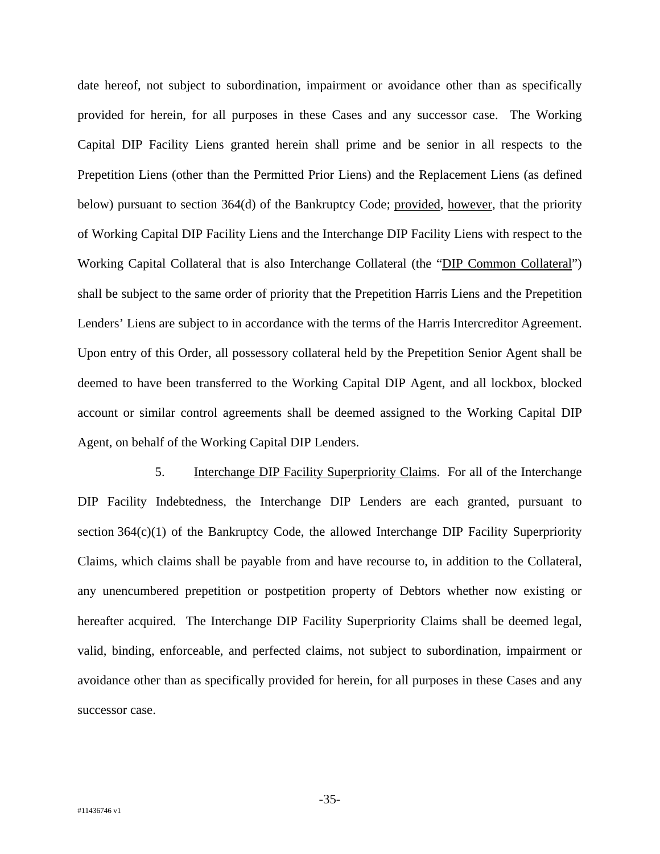date hereof, not subject to subordination, impairment or avoidance other than as specifically provided for herein, for all purposes in these Cases and any successor case. The Working Capital DIP Facility Liens granted herein shall prime and be senior in all respects to the Prepetition Liens (other than the Permitted Prior Liens) and the Replacement Liens (as defined below) pursuant to section 364(d) of the Bankruptcy Code; provided, however, that the priority of Working Capital DIP Facility Liens and the Interchange DIP Facility Liens with respect to the Working Capital Collateral that is also Interchange Collateral (the "DIP Common Collateral") shall be subject to the same order of priority that the Prepetition Harris Liens and the Prepetition Lenders' Liens are subject to in accordance with the terms of the Harris Intercreditor Agreement. Upon entry of this Order, all possessory collateral held by the Prepetition Senior Agent shall be deemed to have been transferred to the Working Capital DIP Agent, and all lockbox, blocked account or similar control agreements shall be deemed assigned to the Working Capital DIP Agent, on behalf of the Working Capital DIP Lenders.

5. Interchange DIP Facility Superpriority Claims. For all of the Interchange DIP Facility Indebtedness, the Interchange DIP Lenders are each granted, pursuant to section 364(c)(1) of the Bankruptcy Code, the allowed Interchange DIP Facility Superpriority Claims, which claims shall be payable from and have recourse to, in addition to the Collateral, any unencumbered prepetition or postpetition property of Debtors whether now existing or hereafter acquired. The Interchange DIP Facility Superpriority Claims shall be deemed legal, valid, binding, enforceable, and perfected claims, not subject to subordination, impairment or avoidance other than as specifically provided for herein, for all purposes in these Cases and any successor case.

-35-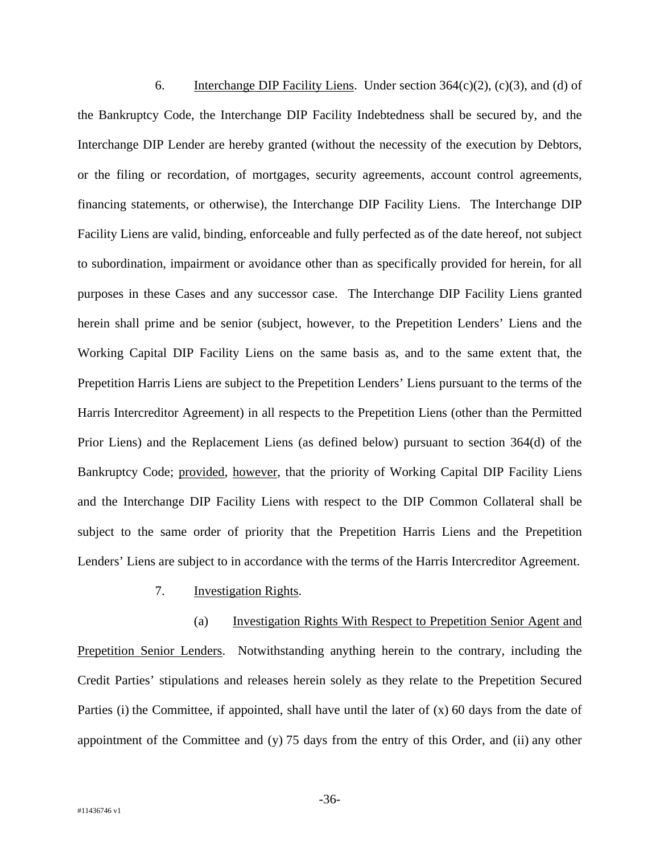6. Interchange DIP Facility Liens. Under section  $364(c)(2)$ , (c)(3), and (d) of the Bankruptcy Code, the Interchange DIP Facility Indebtedness shall be secured by, and the Interchange DIP Lender are hereby granted (without the necessity of the execution by Debtors, or the filing or recordation, of mortgages, security agreements, account control agreements, financing statements, or otherwise), the Interchange DIP Facility Liens. The Interchange DIP Facility Liens are valid, binding, enforceable and fully perfected as of the date hereof, not subject to subordination, impairment or avoidance other than as specifically provided for herein, for all purposes in these Cases and any successor case. The Interchange DIP Facility Liens granted herein shall prime and be senior (subject, however, to the Prepetition Lenders' Liens and the Working Capital DIP Facility Liens on the same basis as, and to the same extent that, the Prepetition Harris Liens are subject to the Prepetition Lenders' Liens pursuant to the terms of the Harris Intercreditor Agreement) in all respects to the Prepetition Liens (other than the Permitted Prior Liens) and the Replacement Liens (as defined below) pursuant to section 364(d) of the Bankruptcy Code; provided, however, that the priority of Working Capital DIP Facility Liens and the Interchange DIP Facility Liens with respect to the DIP Common Collateral shall be subject to the same order of priority that the Prepetition Harris Liens and the Prepetition Lenders' Liens are subject to in accordance with the terms of the Harris Intercreditor Agreement.

7. Investigation Rights.

(a) Investigation Rights With Respect to Prepetition Senior Agent and Prepetition Senior Lenders. Notwithstanding anything herein to the contrary, including the Credit Parties' stipulations and releases herein solely as they relate to the Prepetition Secured Parties (i) the Committee, if appointed, shall have until the later of (x) 60 days from the date of appointment of the Committee and (y) 75 days from the entry of this Order, and (ii) any other

-36-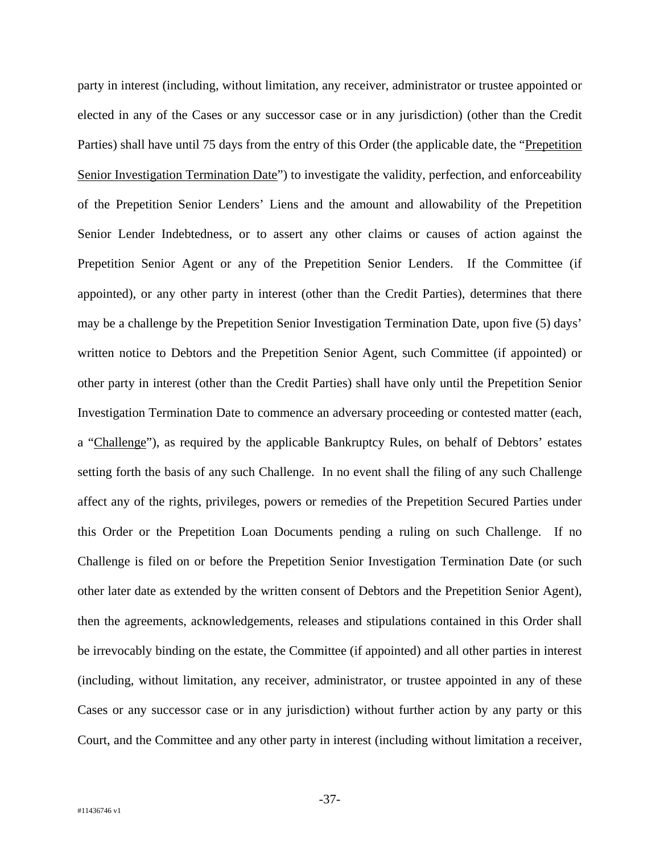party in interest (including, without limitation, any receiver, administrator or trustee appointed or elected in any of the Cases or any successor case or in any jurisdiction) (other than the Credit Parties) shall have until 75 days from the entry of this Order (the applicable date, the "Prepetition Senior Investigation Termination Date") to investigate the validity, perfection, and enforceability of the Prepetition Senior Lenders' Liens and the amount and allowability of the Prepetition Senior Lender Indebtedness, or to assert any other claims or causes of action against the Prepetition Senior Agent or any of the Prepetition Senior Lenders. If the Committee (if appointed), or any other party in interest (other than the Credit Parties), determines that there may be a challenge by the Prepetition Senior Investigation Termination Date, upon five (5) days' written notice to Debtors and the Prepetition Senior Agent, such Committee (if appointed) or other party in interest (other than the Credit Parties) shall have only until the Prepetition Senior Investigation Termination Date to commence an adversary proceeding or contested matter (each, a "Challenge"), as required by the applicable Bankruptcy Rules, on behalf of Debtors' estates setting forth the basis of any such Challenge. In no event shall the filing of any such Challenge affect any of the rights, privileges, powers or remedies of the Prepetition Secured Parties under this Order or the Prepetition Loan Documents pending a ruling on such Challenge. If no Challenge is filed on or before the Prepetition Senior Investigation Termination Date (or such other later date as extended by the written consent of Debtors and the Prepetition Senior Agent), then the agreements, acknowledgements, releases and stipulations contained in this Order shall be irrevocably binding on the estate, the Committee (if appointed) and all other parties in interest (including, without limitation, any receiver, administrator, or trustee appointed in any of these Cases or any successor case or in any jurisdiction) without further action by any party or this Court, and the Committee and any other party in interest (including without limitation a receiver,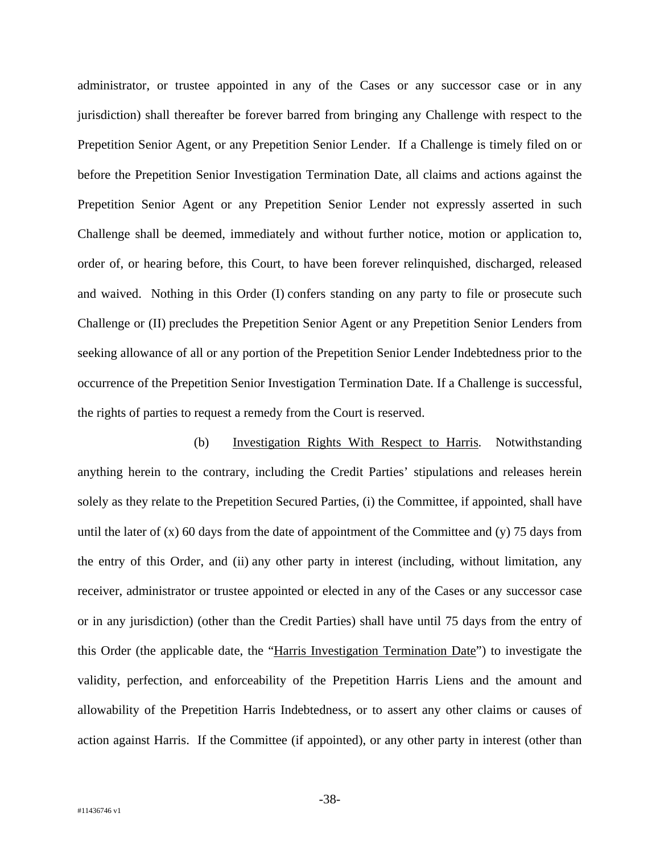administrator, or trustee appointed in any of the Cases or any successor case or in any jurisdiction) shall thereafter be forever barred from bringing any Challenge with respect to the Prepetition Senior Agent, or any Prepetition Senior Lender. If a Challenge is timely filed on or before the Prepetition Senior Investigation Termination Date, all claims and actions against the Prepetition Senior Agent or any Prepetition Senior Lender not expressly asserted in such Challenge shall be deemed, immediately and without further notice, motion or application to, order of, or hearing before, this Court, to have been forever relinquished, discharged, released and waived. Nothing in this Order (I) confers standing on any party to file or prosecute such Challenge or (II) precludes the Prepetition Senior Agent or any Prepetition Senior Lenders from seeking allowance of all or any portion of the Prepetition Senior Lender Indebtedness prior to the occurrence of the Prepetition Senior Investigation Termination Date. If a Challenge is successful, the rights of parties to request a remedy from the Court is reserved.

(b) Investigation Rights With Respect to Harris. Notwithstanding anything herein to the contrary, including the Credit Parties' stipulations and releases herein solely as they relate to the Prepetition Secured Parties, (i) the Committee, if appointed, shall have until the later of  $(x)$  60 days from the date of appointment of the Committee and  $(y)$  75 days from the entry of this Order, and (ii) any other party in interest (including, without limitation, any receiver, administrator or trustee appointed or elected in any of the Cases or any successor case or in any jurisdiction) (other than the Credit Parties) shall have until 75 days from the entry of this Order (the applicable date, the "Harris Investigation Termination Date") to investigate the validity, perfection, and enforceability of the Prepetition Harris Liens and the amount and allowability of the Prepetition Harris Indebtedness, or to assert any other claims or causes of action against Harris. If the Committee (if appointed), or any other party in interest (other than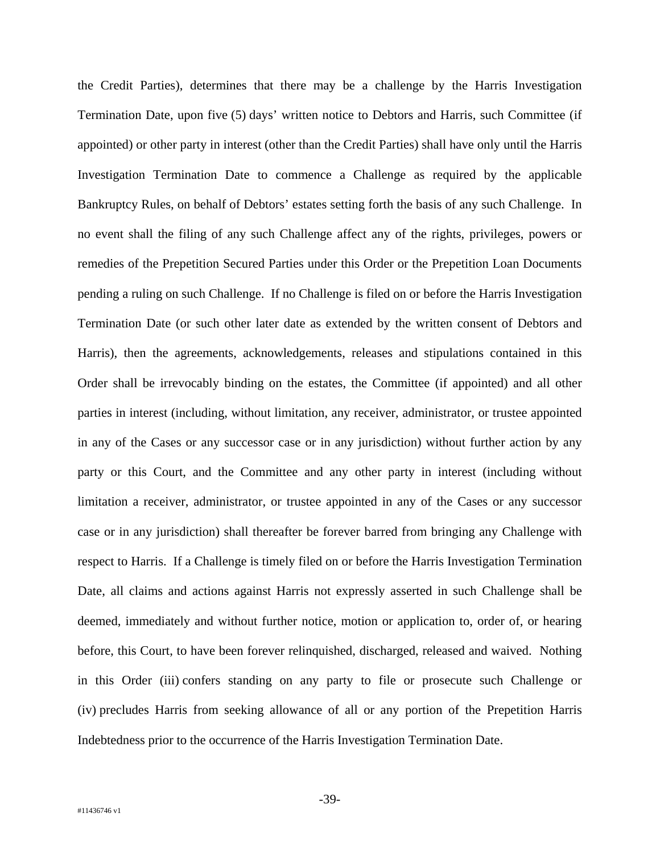the Credit Parties), determines that there may be a challenge by the Harris Investigation Termination Date, upon five (5) days' written notice to Debtors and Harris, such Committee (if appointed) or other party in interest (other than the Credit Parties) shall have only until the Harris Investigation Termination Date to commence a Challenge as required by the applicable Bankruptcy Rules, on behalf of Debtors' estates setting forth the basis of any such Challenge. In no event shall the filing of any such Challenge affect any of the rights, privileges, powers or remedies of the Prepetition Secured Parties under this Order or the Prepetition Loan Documents pending a ruling on such Challenge. If no Challenge is filed on or before the Harris Investigation Termination Date (or such other later date as extended by the written consent of Debtors and Harris), then the agreements, acknowledgements, releases and stipulations contained in this Order shall be irrevocably binding on the estates, the Committee (if appointed) and all other parties in interest (including, without limitation, any receiver, administrator, or trustee appointed in any of the Cases or any successor case or in any jurisdiction) without further action by any party or this Court, and the Committee and any other party in interest (including without limitation a receiver, administrator, or trustee appointed in any of the Cases or any successor case or in any jurisdiction) shall thereafter be forever barred from bringing any Challenge with respect to Harris. If a Challenge is timely filed on or before the Harris Investigation Termination Date, all claims and actions against Harris not expressly asserted in such Challenge shall be deemed, immediately and without further notice, motion or application to, order of, or hearing before, this Court, to have been forever relinquished, discharged, released and waived. Nothing in this Order (iii) confers standing on any party to file or prosecute such Challenge or (iv) precludes Harris from seeking allowance of all or any portion of the Prepetition Harris Indebtedness prior to the occurrence of the Harris Investigation Termination Date.

-39-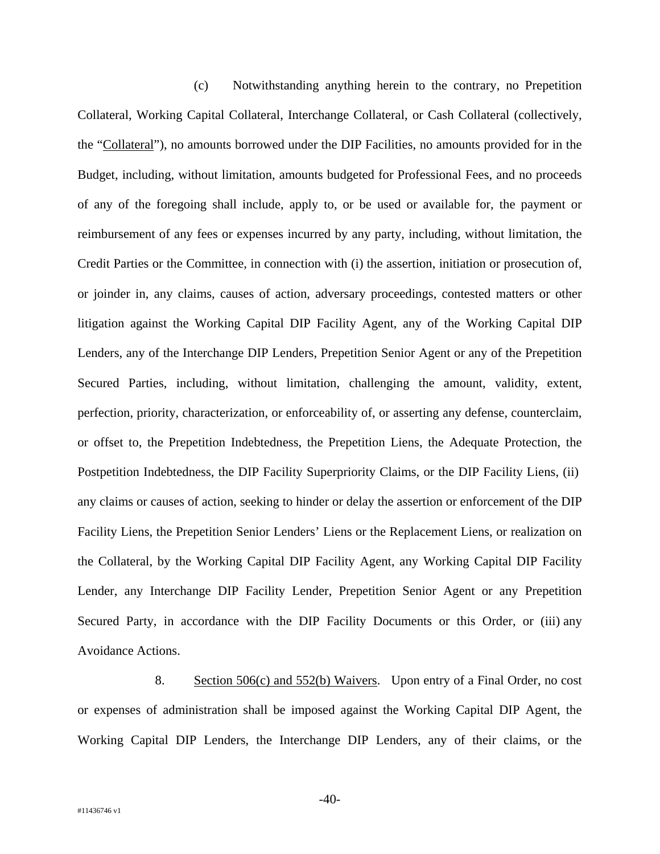(c) Notwithstanding anything herein to the contrary, no Prepetition Collateral, Working Capital Collateral, Interchange Collateral, or Cash Collateral (collectively, the "Collateral"), no amounts borrowed under the DIP Facilities, no amounts provided for in the Budget, including, without limitation, amounts budgeted for Professional Fees, and no proceeds of any of the foregoing shall include, apply to, or be used or available for, the payment or reimbursement of any fees or expenses incurred by any party, including, without limitation, the Credit Parties or the Committee, in connection with (i) the assertion, initiation or prosecution of, or joinder in, any claims, causes of action, adversary proceedings, contested matters or other litigation against the Working Capital DIP Facility Agent, any of the Working Capital DIP Lenders, any of the Interchange DIP Lenders, Prepetition Senior Agent or any of the Prepetition Secured Parties, including, without limitation, challenging the amount, validity, extent, perfection, priority, characterization, or enforceability of, or asserting any defense, counterclaim, or offset to, the Prepetition Indebtedness, the Prepetition Liens, the Adequate Protection, the Postpetition Indebtedness, the DIP Facility Superpriority Claims, or the DIP Facility Liens, (ii) any claims or causes of action, seeking to hinder or delay the assertion or enforcement of the DIP Facility Liens, the Prepetition Senior Lenders' Liens or the Replacement Liens, or realization on the Collateral, by the Working Capital DIP Facility Agent, any Working Capital DIP Facility Lender, any Interchange DIP Facility Lender, Prepetition Senior Agent or any Prepetition Secured Party, in accordance with the DIP Facility Documents or this Order, or (iii) any Avoidance Actions.

8. Section 506(c) and 552(b) Waivers. Upon entry of a Final Order, no cost or expenses of administration shall be imposed against the Working Capital DIP Agent, the Working Capital DIP Lenders, the Interchange DIP Lenders, any of their claims, or the

-40-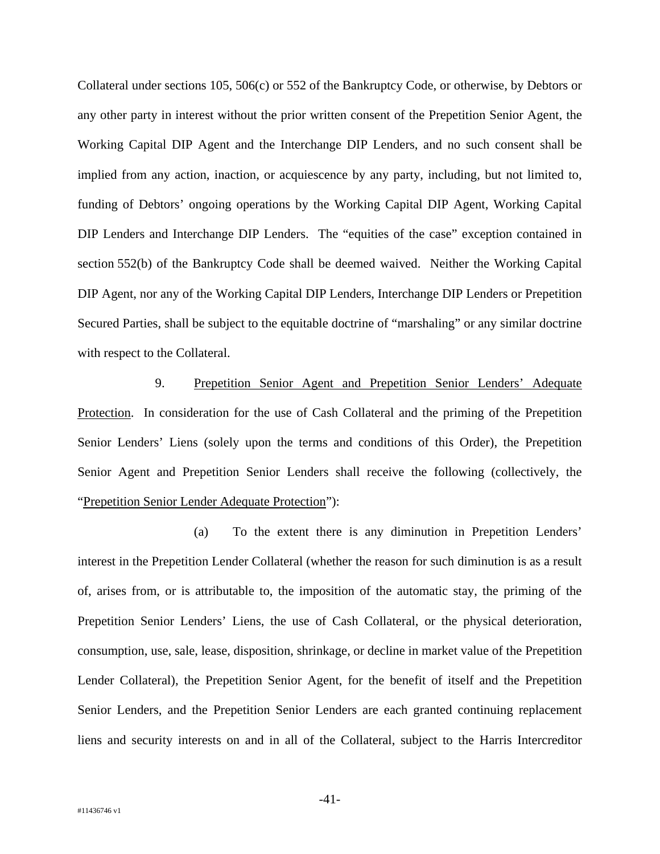Collateral under sections 105, 506(c) or 552 of the Bankruptcy Code, or otherwise, by Debtors or any other party in interest without the prior written consent of the Prepetition Senior Agent, the Working Capital DIP Agent and the Interchange DIP Lenders, and no such consent shall be implied from any action, inaction, or acquiescence by any party, including, but not limited to, funding of Debtors' ongoing operations by the Working Capital DIP Agent, Working Capital DIP Lenders and Interchange DIP Lenders. The "equities of the case" exception contained in section 552(b) of the Bankruptcy Code shall be deemed waived. Neither the Working Capital DIP Agent, nor any of the Working Capital DIP Lenders, Interchange DIP Lenders or Prepetition Secured Parties, shall be subject to the equitable doctrine of "marshaling" or any similar doctrine with respect to the Collateral.

9. Prepetition Senior Agent and Prepetition Senior Lenders' Adequate Protection. In consideration for the use of Cash Collateral and the priming of the Prepetition Senior Lenders' Liens (solely upon the terms and conditions of this Order), the Prepetition Senior Agent and Prepetition Senior Lenders shall receive the following (collectively, the "Prepetition Senior Lender Adequate Protection"):

(a) To the extent there is any diminution in Prepetition Lenders' interest in the Prepetition Lender Collateral (whether the reason for such diminution is as a result of, arises from, or is attributable to, the imposition of the automatic stay, the priming of the Prepetition Senior Lenders' Liens, the use of Cash Collateral, or the physical deterioration, consumption, use, sale, lease, disposition, shrinkage, or decline in market value of the Prepetition Lender Collateral), the Prepetition Senior Agent, for the benefit of itself and the Prepetition Senior Lenders, and the Prepetition Senior Lenders are each granted continuing replacement liens and security interests on and in all of the Collateral, subject to the Harris Intercreditor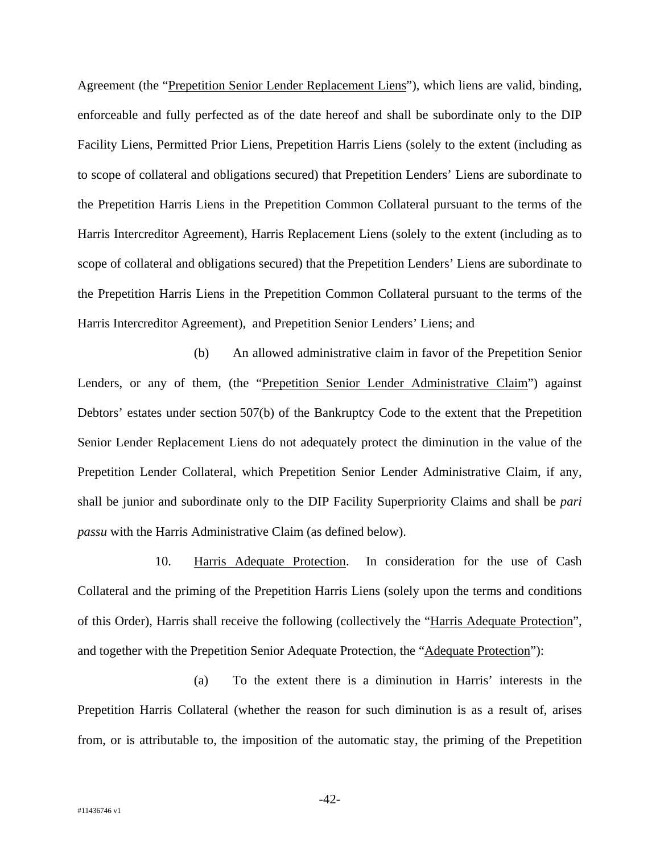Agreement (the "Prepetition Senior Lender Replacement Liens"), which liens are valid, binding, enforceable and fully perfected as of the date hereof and shall be subordinate only to the DIP Facility Liens, Permitted Prior Liens, Prepetition Harris Liens (solely to the extent (including as to scope of collateral and obligations secured) that Prepetition Lenders' Liens are subordinate to the Prepetition Harris Liens in the Prepetition Common Collateral pursuant to the terms of the Harris Intercreditor Agreement), Harris Replacement Liens (solely to the extent (including as to scope of collateral and obligations secured) that the Prepetition Lenders' Liens are subordinate to the Prepetition Harris Liens in the Prepetition Common Collateral pursuant to the terms of the Harris Intercreditor Agreement), and Prepetition Senior Lenders' Liens; and

(b) An allowed administrative claim in favor of the Prepetition Senior Lenders, or any of them, (the "Prepetition Senior Lender Administrative Claim") against Debtors' estates under section 507(b) of the Bankruptcy Code to the extent that the Prepetition Senior Lender Replacement Liens do not adequately protect the diminution in the value of the Prepetition Lender Collateral, which Prepetition Senior Lender Administrative Claim, if any, shall be junior and subordinate only to the DIP Facility Superpriority Claims and shall be *pari passu* with the Harris Administrative Claim (as defined below).

10. Harris Adequate Protection. In consideration for the use of Cash Collateral and the priming of the Prepetition Harris Liens (solely upon the terms and conditions of this Order), Harris shall receive the following (collectively the "Harris Adequate Protection", and together with the Prepetition Senior Adequate Protection, the "Adequate Protection"):

(a) To the extent there is a diminution in Harris' interests in the Prepetition Harris Collateral (whether the reason for such diminution is as a result of, arises from, or is attributable to, the imposition of the automatic stay, the priming of the Prepetition

-42-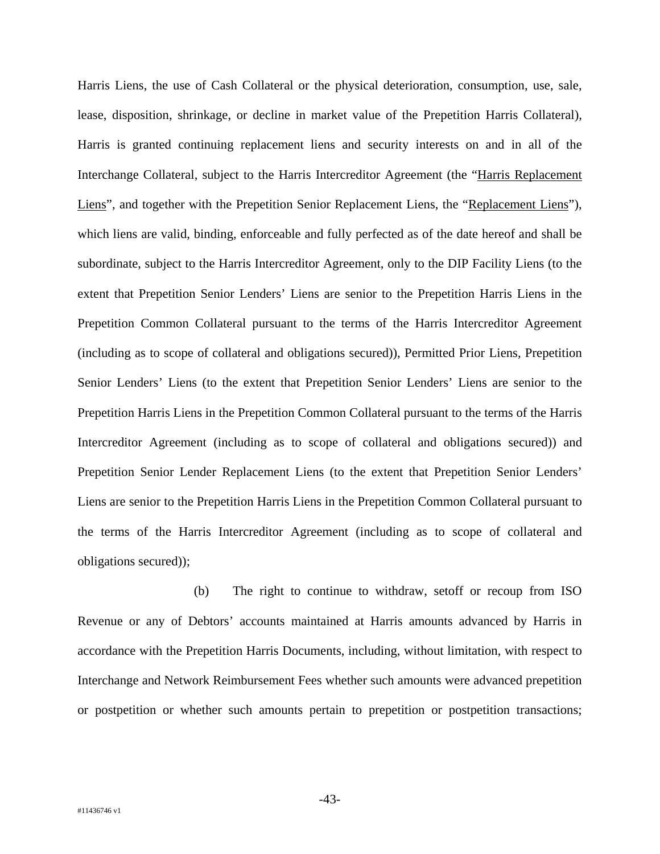Harris Liens, the use of Cash Collateral or the physical deterioration, consumption, use, sale, lease, disposition, shrinkage, or decline in market value of the Prepetition Harris Collateral), Harris is granted continuing replacement liens and security interests on and in all of the Interchange Collateral, subject to the Harris Intercreditor Agreement (the "Harris Replacement Liens", and together with the Prepetition Senior Replacement Liens, the "Replacement Liens"), which liens are valid, binding, enforceable and fully perfected as of the date hereof and shall be subordinate, subject to the Harris Intercreditor Agreement, only to the DIP Facility Liens (to the extent that Prepetition Senior Lenders' Liens are senior to the Prepetition Harris Liens in the Prepetition Common Collateral pursuant to the terms of the Harris Intercreditor Agreement (including as to scope of collateral and obligations secured)), Permitted Prior Liens, Prepetition Senior Lenders' Liens (to the extent that Prepetition Senior Lenders' Liens are senior to the Prepetition Harris Liens in the Prepetition Common Collateral pursuant to the terms of the Harris Intercreditor Agreement (including as to scope of collateral and obligations secured)) and Prepetition Senior Lender Replacement Liens (to the extent that Prepetition Senior Lenders' Liens are senior to the Prepetition Harris Liens in the Prepetition Common Collateral pursuant to the terms of the Harris Intercreditor Agreement (including as to scope of collateral and obligations secured));

(b) The right to continue to withdraw, setoff or recoup from ISO Revenue or any of Debtors' accounts maintained at Harris amounts advanced by Harris in accordance with the Prepetition Harris Documents, including, without limitation, with respect to Interchange and Network Reimbursement Fees whether such amounts were advanced prepetition or postpetition or whether such amounts pertain to prepetition or postpetition transactions;

-43-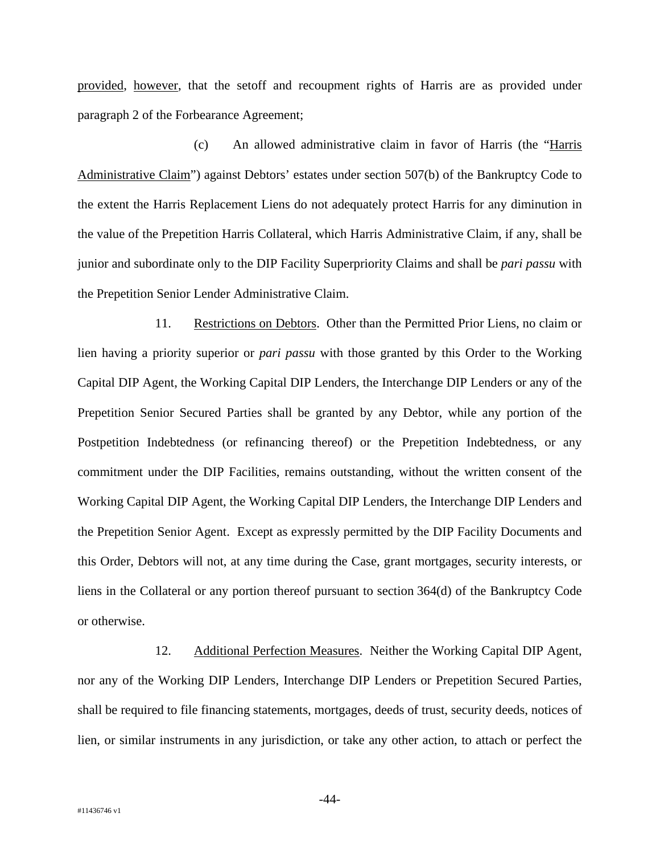provided, however, that the setoff and recoupment rights of Harris are as provided under paragraph 2 of the Forbearance Agreement;

(c) An allowed administrative claim in favor of Harris (the "Harris Administrative Claim") against Debtors' estates under section 507(b) of the Bankruptcy Code to the extent the Harris Replacement Liens do not adequately protect Harris for any diminution in the value of the Prepetition Harris Collateral, which Harris Administrative Claim, if any, shall be junior and subordinate only to the DIP Facility Superpriority Claims and shall be *pari passu* with the Prepetition Senior Lender Administrative Claim.

11. Restrictions on Debtors. Other than the Permitted Prior Liens, no claim or lien having a priority superior or *pari passu* with those granted by this Order to the Working Capital DIP Agent, the Working Capital DIP Lenders, the Interchange DIP Lenders or any of the Prepetition Senior Secured Parties shall be granted by any Debtor, while any portion of the Postpetition Indebtedness (or refinancing thereof) or the Prepetition Indebtedness, or any commitment under the DIP Facilities, remains outstanding, without the written consent of the Working Capital DIP Agent, the Working Capital DIP Lenders, the Interchange DIP Lenders and the Prepetition Senior Agent. Except as expressly permitted by the DIP Facility Documents and this Order, Debtors will not, at any time during the Case, grant mortgages, security interests, or liens in the Collateral or any portion thereof pursuant to section 364(d) of the Bankruptcy Code or otherwise.

12. Additional Perfection Measures. Neither the Working Capital DIP Agent, nor any of the Working DIP Lenders, Interchange DIP Lenders or Prepetition Secured Parties, shall be required to file financing statements, mortgages, deeds of trust, security deeds, notices of lien, or similar instruments in any jurisdiction, or take any other action, to attach or perfect the

-44-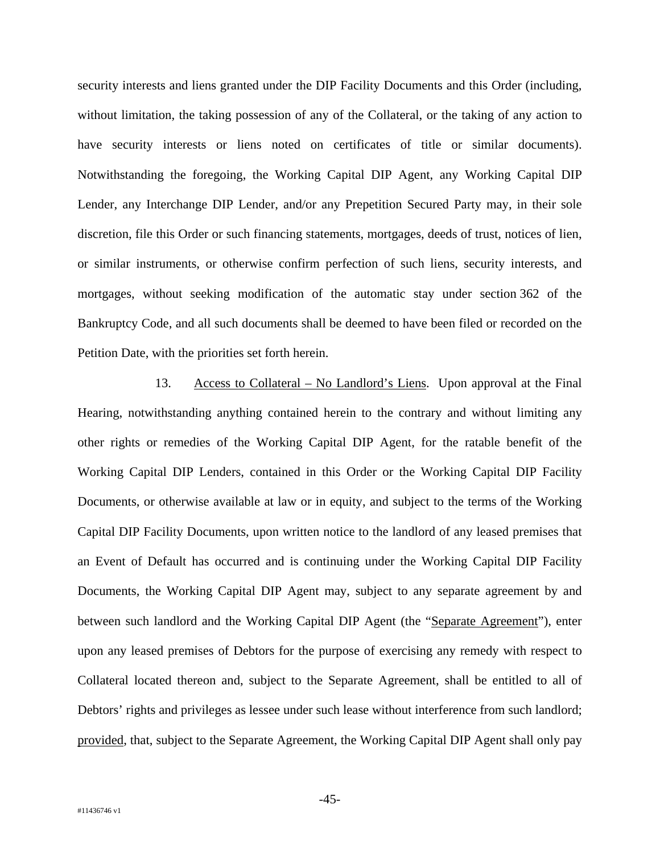security interests and liens granted under the DIP Facility Documents and this Order (including, without limitation, the taking possession of any of the Collateral, or the taking of any action to have security interests or liens noted on certificates of title or similar documents). Notwithstanding the foregoing, the Working Capital DIP Agent, any Working Capital DIP Lender, any Interchange DIP Lender, and/or any Prepetition Secured Party may, in their sole discretion, file this Order or such financing statements, mortgages, deeds of trust, notices of lien, or similar instruments, or otherwise confirm perfection of such liens, security interests, and mortgages, without seeking modification of the automatic stay under section 362 of the Bankruptcy Code, and all such documents shall be deemed to have been filed or recorded on the Petition Date, with the priorities set forth herein.

13. Access to Collateral – No Landlord's Liens. Upon approval at the Final Hearing, notwithstanding anything contained herein to the contrary and without limiting any other rights or remedies of the Working Capital DIP Agent, for the ratable benefit of the Working Capital DIP Lenders, contained in this Order or the Working Capital DIP Facility Documents, or otherwise available at law or in equity, and subject to the terms of the Working Capital DIP Facility Documents, upon written notice to the landlord of any leased premises that an Event of Default has occurred and is continuing under the Working Capital DIP Facility Documents, the Working Capital DIP Agent may, subject to any separate agreement by and between such landlord and the Working Capital DIP Agent (the "Separate Agreement"), enter upon any leased premises of Debtors for the purpose of exercising any remedy with respect to Collateral located thereon and, subject to the Separate Agreement, shall be entitled to all of Debtors' rights and privileges as lessee under such lease without interference from such landlord; provided, that, subject to the Separate Agreement, the Working Capital DIP Agent shall only pay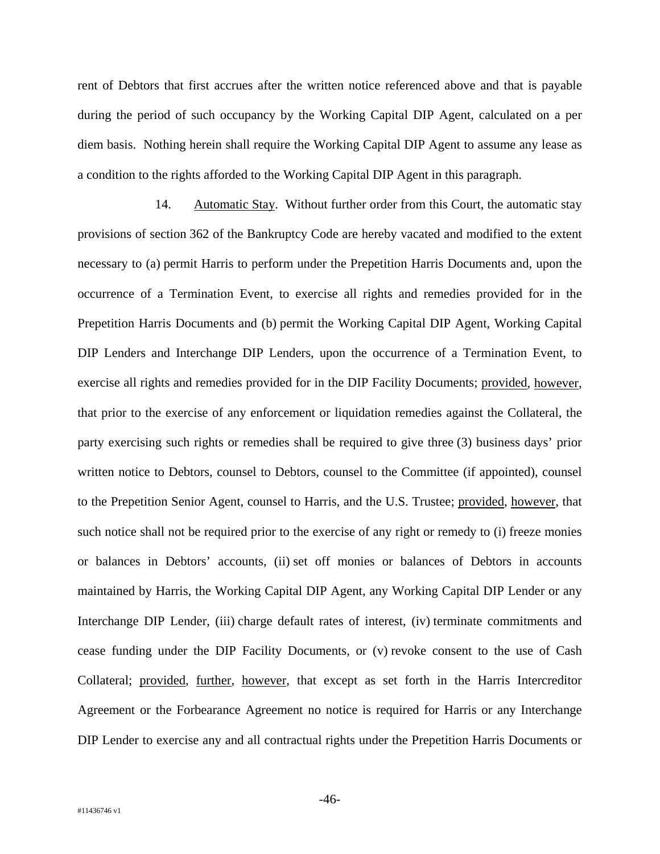rent of Debtors that first accrues after the written notice referenced above and that is payable during the period of such occupancy by the Working Capital DIP Agent, calculated on a per diem basis. Nothing herein shall require the Working Capital DIP Agent to assume any lease as a condition to the rights afforded to the Working Capital DIP Agent in this paragraph.

14. Automatic Stay. Without further order from this Court, the automatic stay provisions of section 362 of the Bankruptcy Code are hereby vacated and modified to the extent necessary to (a) permit Harris to perform under the Prepetition Harris Documents and, upon the occurrence of a Termination Event, to exercise all rights and remedies provided for in the Prepetition Harris Documents and (b) permit the Working Capital DIP Agent, Working Capital DIP Lenders and Interchange DIP Lenders, upon the occurrence of a Termination Event, to exercise all rights and remedies provided for in the DIP Facility Documents; provided*,* however, that prior to the exercise of any enforcement or liquidation remedies against the Collateral, the party exercising such rights or remedies shall be required to give three (3) business days' prior written notice to Debtors, counsel to Debtors, counsel to the Committee (if appointed), counsel to the Prepetition Senior Agent, counsel to Harris, and the U.S. Trustee; provided, however, that such notice shall not be required prior to the exercise of any right or remedy to (i) freeze monies or balances in Debtors' accounts, (ii) set off monies or balances of Debtors in accounts maintained by Harris, the Working Capital DIP Agent, any Working Capital DIP Lender or any Interchange DIP Lender, (iii) charge default rates of interest, (iv) terminate commitments and cease funding under the DIP Facility Documents, or (v) revoke consent to the use of Cash Collateral; provided, further, however, that except as set forth in the Harris Intercreditor Agreement or the Forbearance Agreement no notice is required for Harris or any Interchange DIP Lender to exercise any and all contractual rights under the Prepetition Harris Documents or

-46-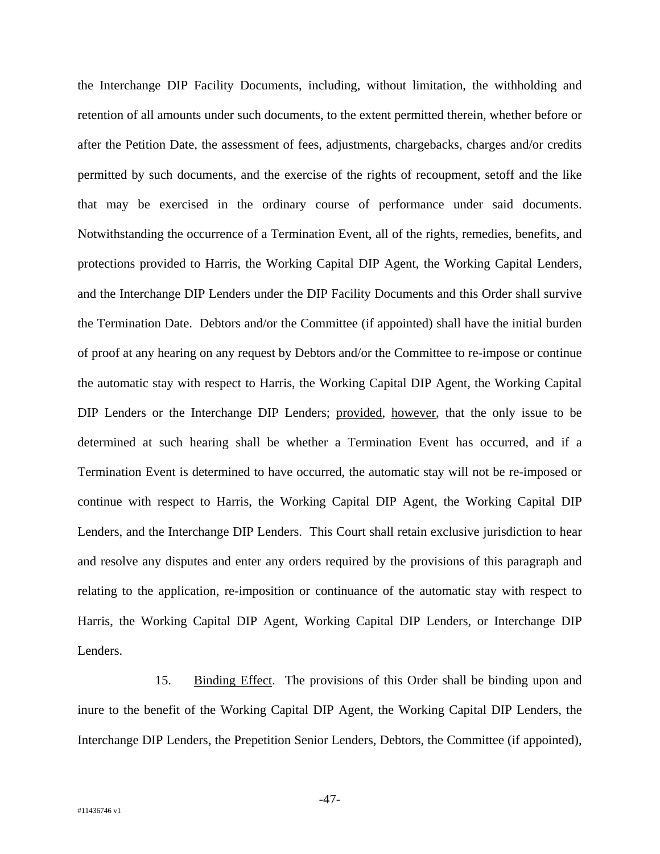the Interchange DIP Facility Documents, including, without limitation, the withholding and retention of all amounts under such documents, to the extent permitted therein, whether before or after the Petition Date, the assessment of fees, adjustments, chargebacks, charges and/or credits permitted by such documents, and the exercise of the rights of recoupment, setoff and the like that may be exercised in the ordinary course of performance under said documents. Notwithstanding the occurrence of a Termination Event, all of the rights, remedies, benefits, and protections provided to Harris, the Working Capital DIP Agent, the Working Capital Lenders, and the Interchange DIP Lenders under the DIP Facility Documents and this Order shall survive the Termination Date. Debtors and/or the Committee (if appointed) shall have the initial burden of proof at any hearing on any request by Debtors and/or the Committee to re-impose or continue the automatic stay with respect to Harris, the Working Capital DIP Agent, the Working Capital DIP Lenders or the Interchange DIP Lenders; provided, however, that the only issue to be determined at such hearing shall be whether a Termination Event has occurred, and if a Termination Event is determined to have occurred, the automatic stay will not be re-imposed or continue with respect to Harris, the Working Capital DIP Agent, the Working Capital DIP Lenders, and the Interchange DIP Lenders. This Court shall retain exclusive jurisdiction to hear and resolve any disputes and enter any orders required by the provisions of this paragraph and relating to the application, re-imposition or continuance of the automatic stay with respect to Harris, the Working Capital DIP Agent, Working Capital DIP Lenders, or Interchange DIP Lenders.

15. Binding Effect. The provisions of this Order shall be binding upon and inure to the benefit of the Working Capital DIP Agent, the Working Capital DIP Lenders, the Interchange DIP Lenders, the Prepetition Senior Lenders, Debtors, the Committee (if appointed),

-47-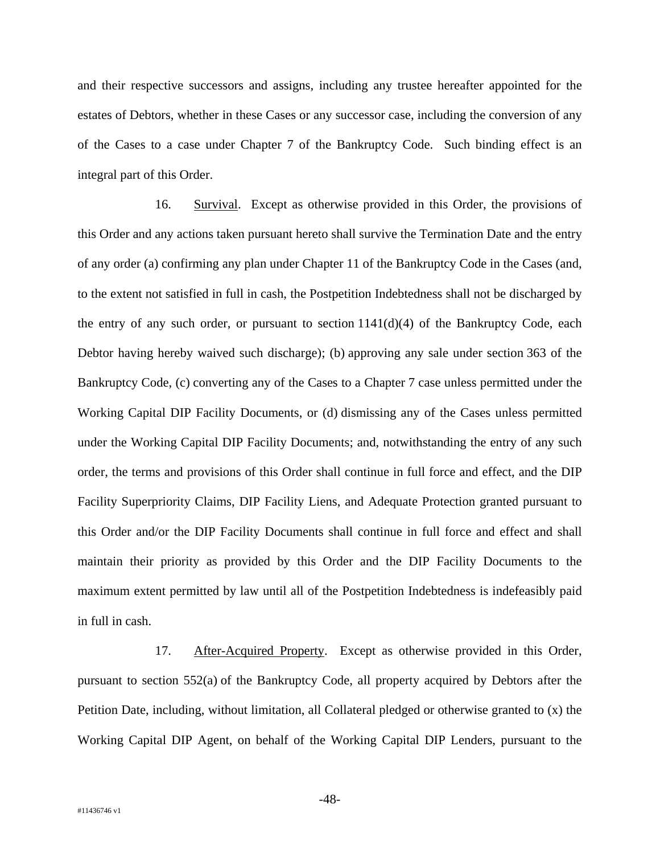and their respective successors and assigns, including any trustee hereafter appointed for the estates of Debtors, whether in these Cases or any successor case, including the conversion of any of the Cases to a case under Chapter 7 of the Bankruptcy Code. Such binding effect is an integral part of this Order.

16. Survival. Except as otherwise provided in this Order, the provisions of this Order and any actions taken pursuant hereto shall survive the Termination Date and the entry of any order (a) confirming any plan under Chapter 11 of the Bankruptcy Code in the Cases (and, to the extent not satisfied in full in cash, the Postpetition Indebtedness shall not be discharged by the entry of any such order, or pursuant to section  $1141(d)(4)$  of the Bankruptcy Code, each Debtor having hereby waived such discharge); (b) approving any sale under section 363 of the Bankruptcy Code, (c) converting any of the Cases to a Chapter 7 case unless permitted under the Working Capital DIP Facility Documents, or (d) dismissing any of the Cases unless permitted under the Working Capital DIP Facility Documents; and, notwithstanding the entry of any such order, the terms and provisions of this Order shall continue in full force and effect, and the DIP Facility Superpriority Claims, DIP Facility Liens, and Adequate Protection granted pursuant to this Order and/or the DIP Facility Documents shall continue in full force and effect and shall maintain their priority as provided by this Order and the DIP Facility Documents to the maximum extent permitted by law until all of the Postpetition Indebtedness is indefeasibly paid in full in cash.

17. After-Acquired Property. Except as otherwise provided in this Order, pursuant to section 552(a) of the Bankruptcy Code, all property acquired by Debtors after the Petition Date, including, without limitation, all Collateral pledged or otherwise granted to (x) the Working Capital DIP Agent, on behalf of the Working Capital DIP Lenders, pursuant to the

-48-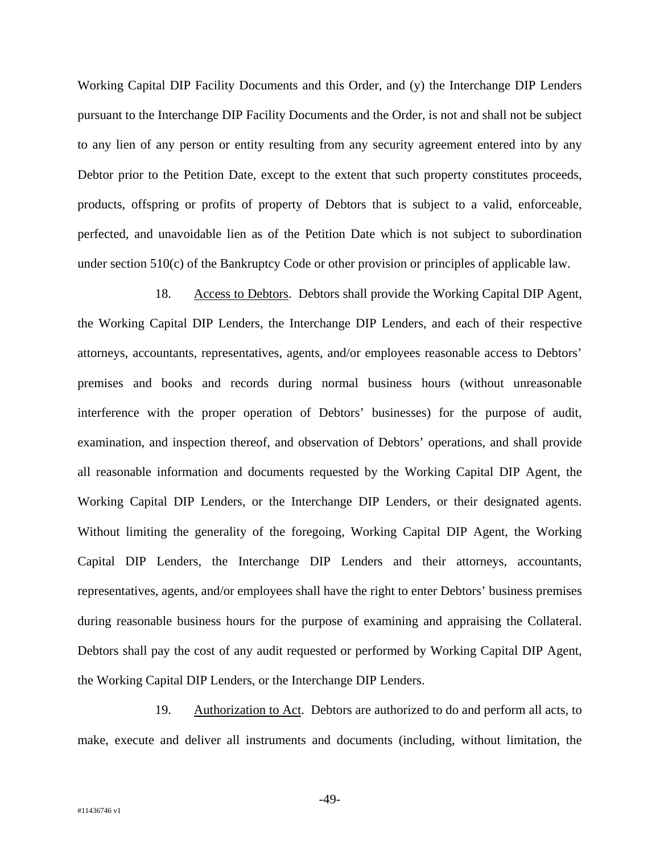Working Capital DIP Facility Documents and this Order, and (y) the Interchange DIP Lenders pursuant to the Interchange DIP Facility Documents and the Order, is not and shall not be subject to any lien of any person or entity resulting from any security agreement entered into by any Debtor prior to the Petition Date, except to the extent that such property constitutes proceeds, products, offspring or profits of property of Debtors that is subject to a valid, enforceable, perfected, and unavoidable lien as of the Petition Date which is not subject to subordination under section 510(c) of the Bankruptcy Code or other provision or principles of applicable law.

18. Access to Debtors. Debtors shall provide the Working Capital DIP Agent, the Working Capital DIP Lenders, the Interchange DIP Lenders, and each of their respective attorneys, accountants, representatives, agents, and/or employees reasonable access to Debtors' premises and books and records during normal business hours (without unreasonable interference with the proper operation of Debtors' businesses) for the purpose of audit, examination, and inspection thereof, and observation of Debtors' operations, and shall provide all reasonable information and documents requested by the Working Capital DIP Agent, the Working Capital DIP Lenders, or the Interchange DIP Lenders, or their designated agents. Without limiting the generality of the foregoing, Working Capital DIP Agent, the Working Capital DIP Lenders, the Interchange DIP Lenders and their attorneys, accountants, representatives, agents, and/or employees shall have the right to enter Debtors' business premises during reasonable business hours for the purpose of examining and appraising the Collateral. Debtors shall pay the cost of any audit requested or performed by Working Capital DIP Agent, the Working Capital DIP Lenders, or the Interchange DIP Lenders.

19. Authorization to Act. Debtors are authorized to do and perform all acts, to make, execute and deliver all instruments and documents (including, without limitation, the

-49-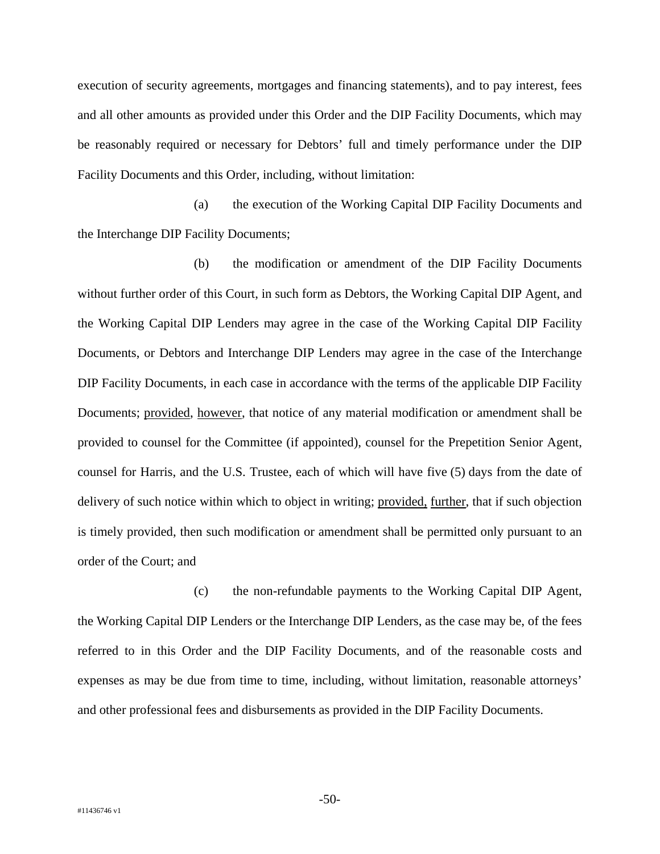execution of security agreements, mortgages and financing statements), and to pay interest, fees and all other amounts as provided under this Order and the DIP Facility Documents, which may be reasonably required or necessary for Debtors' full and timely performance under the DIP Facility Documents and this Order, including, without limitation:

(a) the execution of the Working Capital DIP Facility Documents and the Interchange DIP Facility Documents;

(b) the modification or amendment of the DIP Facility Documents without further order of this Court, in such form as Debtors, the Working Capital DIP Agent, and the Working Capital DIP Lenders may agree in the case of the Working Capital DIP Facility Documents, or Debtors and Interchange DIP Lenders may agree in the case of the Interchange DIP Facility Documents, in each case in accordance with the terms of the applicable DIP Facility Documents; provided, however, that notice of any material modification or amendment shall be provided to counsel for the Committee (if appointed), counsel for the Prepetition Senior Agent, counsel for Harris, and the U.S. Trustee, each of which will have five (5) days from the date of delivery of such notice within which to object in writing; provided, further, that if such objection is timely provided, then such modification or amendment shall be permitted only pursuant to an order of the Court; and

(c) the non-refundable payments to the Working Capital DIP Agent, the Working Capital DIP Lenders or the Interchange DIP Lenders, as the case may be, of the fees referred to in this Order and the DIP Facility Documents, and of the reasonable costs and expenses as may be due from time to time, including, without limitation, reasonable attorneys' and other professional fees and disbursements as provided in the DIP Facility Documents.

-50-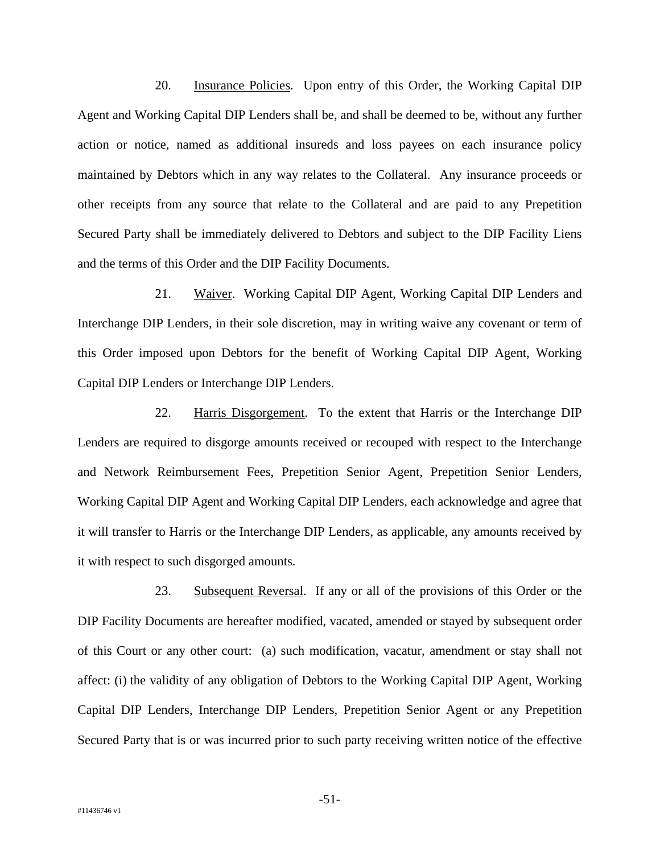20. Insurance Policies. Upon entry of this Order, the Working Capital DIP Agent and Working Capital DIP Lenders shall be, and shall be deemed to be, without any further action or notice, named as additional insureds and loss payees on each insurance policy maintained by Debtors which in any way relates to the Collateral. Any insurance proceeds or other receipts from any source that relate to the Collateral and are paid to any Prepetition Secured Party shall be immediately delivered to Debtors and subject to the DIP Facility Liens and the terms of this Order and the DIP Facility Documents.

21. Waiver. Working Capital DIP Agent, Working Capital DIP Lenders and Interchange DIP Lenders, in their sole discretion, may in writing waive any covenant or term of this Order imposed upon Debtors for the benefit of Working Capital DIP Agent, Working Capital DIP Lenders or Interchange DIP Lenders.

22. Harris Disgorgement. To the extent that Harris or the Interchange DIP Lenders are required to disgorge amounts received or recouped with respect to the Interchange and Network Reimbursement Fees, Prepetition Senior Agent, Prepetition Senior Lenders, Working Capital DIP Agent and Working Capital DIP Lenders, each acknowledge and agree that it will transfer to Harris or the Interchange DIP Lenders, as applicable, any amounts received by it with respect to such disgorged amounts.

23. Subsequent Reversal. If any or all of the provisions of this Order or the DIP Facility Documents are hereafter modified, vacated, amended or stayed by subsequent order of this Court or any other court: (a) such modification, vacatur, amendment or stay shall not affect: (i) the validity of any obligation of Debtors to the Working Capital DIP Agent, Working Capital DIP Lenders, Interchange DIP Lenders, Prepetition Senior Agent or any Prepetition Secured Party that is or was incurred prior to such party receiving written notice of the effective

-51-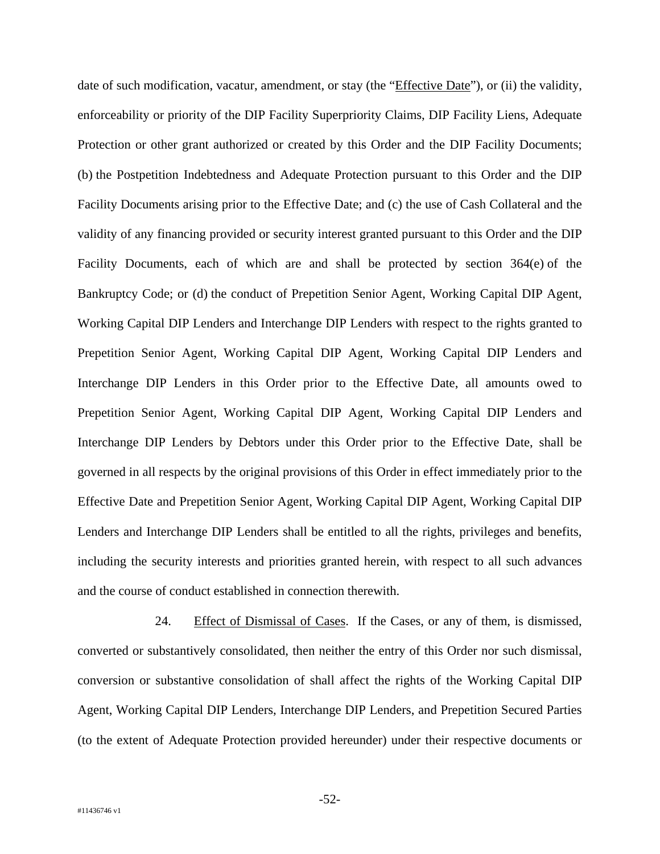date of such modification, vacatur, amendment, or stay (the "*Effective Date*"), or (ii) the validity, enforceability or priority of the DIP Facility Superpriority Claims, DIP Facility Liens, Adequate Protection or other grant authorized or created by this Order and the DIP Facility Documents; (b) the Postpetition Indebtedness and Adequate Protection pursuant to this Order and the DIP Facility Documents arising prior to the Effective Date; and (c) the use of Cash Collateral and the validity of any financing provided or security interest granted pursuant to this Order and the DIP Facility Documents, each of which are and shall be protected by section 364(e) of the Bankruptcy Code; or (d) the conduct of Prepetition Senior Agent, Working Capital DIP Agent, Working Capital DIP Lenders and Interchange DIP Lenders with respect to the rights granted to Prepetition Senior Agent, Working Capital DIP Agent, Working Capital DIP Lenders and Interchange DIP Lenders in this Order prior to the Effective Date, all amounts owed to Prepetition Senior Agent, Working Capital DIP Agent, Working Capital DIP Lenders and Interchange DIP Lenders by Debtors under this Order prior to the Effective Date, shall be governed in all respects by the original provisions of this Order in effect immediately prior to the Effective Date and Prepetition Senior Agent, Working Capital DIP Agent, Working Capital DIP Lenders and Interchange DIP Lenders shall be entitled to all the rights, privileges and benefits, including the security interests and priorities granted herein, with respect to all such advances and the course of conduct established in connection therewith.

24. Effect of Dismissal of Cases. If the Cases, or any of them, is dismissed, converted or substantively consolidated, then neither the entry of this Order nor such dismissal, conversion or substantive consolidation of shall affect the rights of the Working Capital DIP Agent, Working Capital DIP Lenders, Interchange DIP Lenders, and Prepetition Secured Parties (to the extent of Adequate Protection provided hereunder) under their respective documents or

-52-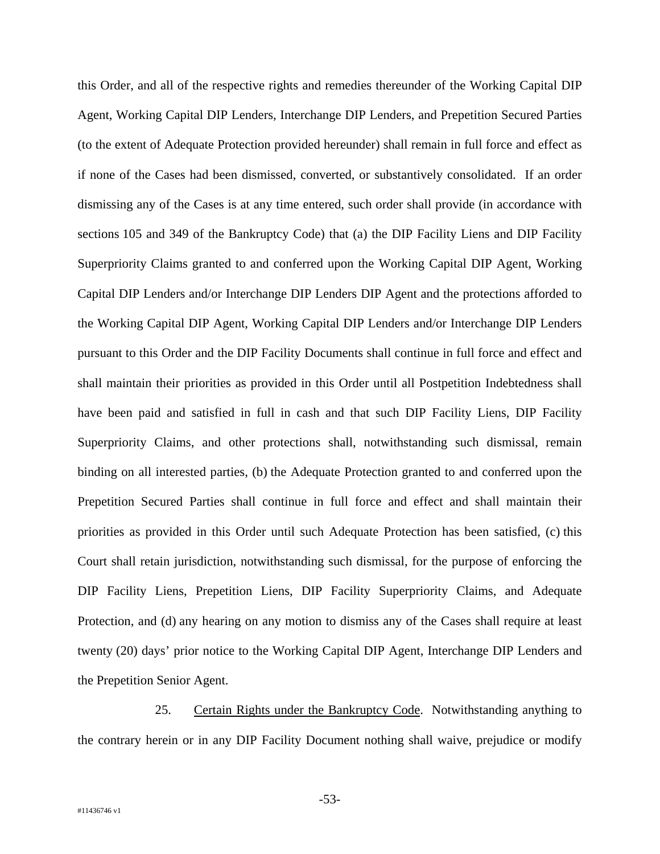this Order, and all of the respective rights and remedies thereunder of the Working Capital DIP Agent, Working Capital DIP Lenders, Interchange DIP Lenders, and Prepetition Secured Parties (to the extent of Adequate Protection provided hereunder) shall remain in full force and effect as if none of the Cases had been dismissed, converted, or substantively consolidated. If an order dismissing any of the Cases is at any time entered, such order shall provide (in accordance with sections 105 and 349 of the Bankruptcy Code) that (a) the DIP Facility Liens and DIP Facility Superpriority Claims granted to and conferred upon the Working Capital DIP Agent, Working Capital DIP Lenders and/or Interchange DIP Lenders DIP Agent and the protections afforded to the Working Capital DIP Agent, Working Capital DIP Lenders and/or Interchange DIP Lenders pursuant to this Order and the DIP Facility Documents shall continue in full force and effect and shall maintain their priorities as provided in this Order until all Postpetition Indebtedness shall have been paid and satisfied in full in cash and that such DIP Facility Liens, DIP Facility Superpriority Claims, and other protections shall, notwithstanding such dismissal, remain binding on all interested parties, (b) the Adequate Protection granted to and conferred upon the Prepetition Secured Parties shall continue in full force and effect and shall maintain their priorities as provided in this Order until such Adequate Protection has been satisfied, (c) this Court shall retain jurisdiction, notwithstanding such dismissal, for the purpose of enforcing the DIP Facility Liens, Prepetition Liens, DIP Facility Superpriority Claims, and Adequate Protection, and (d) any hearing on any motion to dismiss any of the Cases shall require at least twenty (20) days' prior notice to the Working Capital DIP Agent, Interchange DIP Lenders and the Prepetition Senior Agent.

25. Certain Rights under the Bankruptcy Code. Notwithstanding anything to the contrary herein or in any DIP Facility Document nothing shall waive, prejudice or modify

-53-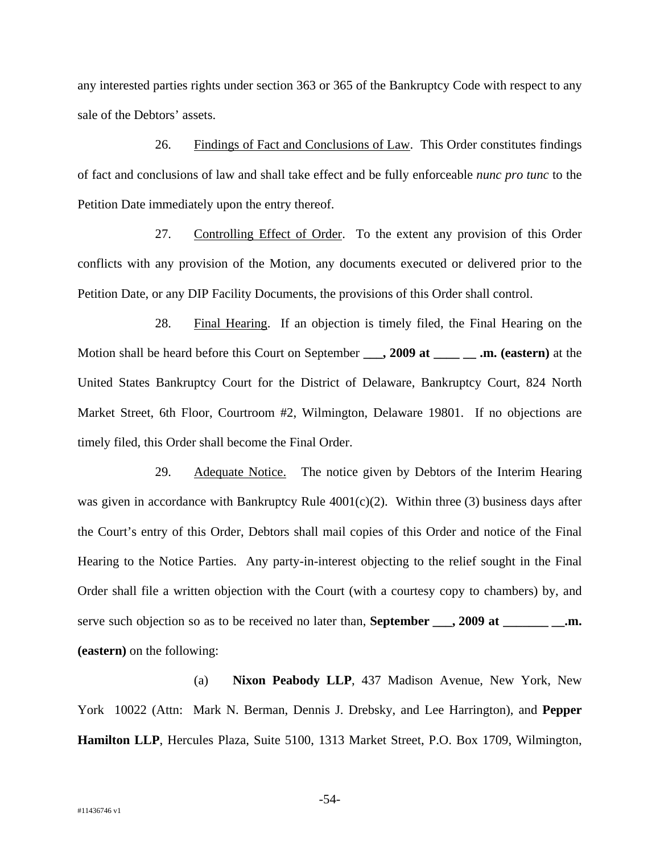any interested parties rights under section 363 or 365 of the Bankruptcy Code with respect to any sale of the Debtors' assets.

26. Findings of Fact and Conclusions of Law. This Order constitutes findings of fact and conclusions of law and shall take effect and be fully enforceable *nunc pro tunc* to the Petition Date immediately upon the entry thereof.

27. Controlling Effect of Order. To the extent any provision of this Order conflicts with any provision of the Motion, any documents executed or delivered prior to the Petition Date, or any DIP Facility Documents, the provisions of this Order shall control.

28. Final Hearing. If an objection is timely filed, the Final Hearing on the Motion shall be heard before this Court on September **\_\_\_, 2009 at \_\_\_\_ \_\_ .m. (eastern)** at the United States Bankruptcy Court for the District of Delaware, Bankruptcy Court, 824 North Market Street, 6th Floor, Courtroom #2, Wilmington, Delaware 19801. If no objections are timely filed, this Order shall become the Final Order.

29. Adequate Notice.The notice given by Debtors of the Interim Hearing was given in accordance with Bankruptcy Rule  $4001(c)(2)$ . Within three (3) business days after the Court's entry of this Order, Debtors shall mail copies of this Order and notice of the Final Hearing to the Notice Parties. Any party-in-interest objecting to the relief sought in the Final Order shall file a written objection with the Court (with a courtesy copy to chambers) by, and serve such objection so as to be received no later than, **September \_\_\_, 2009 at \_\_\_\_\_\_ \_\_.m. (eastern)** on the following:

(a) **Nixon Peabody LLP**, 437 Madison Avenue, New York, New York 10022 (Attn: Mark N. Berman, Dennis J. Drebsky, and Lee Harrington), and **Pepper Hamilton LLP**, Hercules Plaza, Suite 5100, 1313 Market Street, P.O. Box 1709, Wilmington,

-54-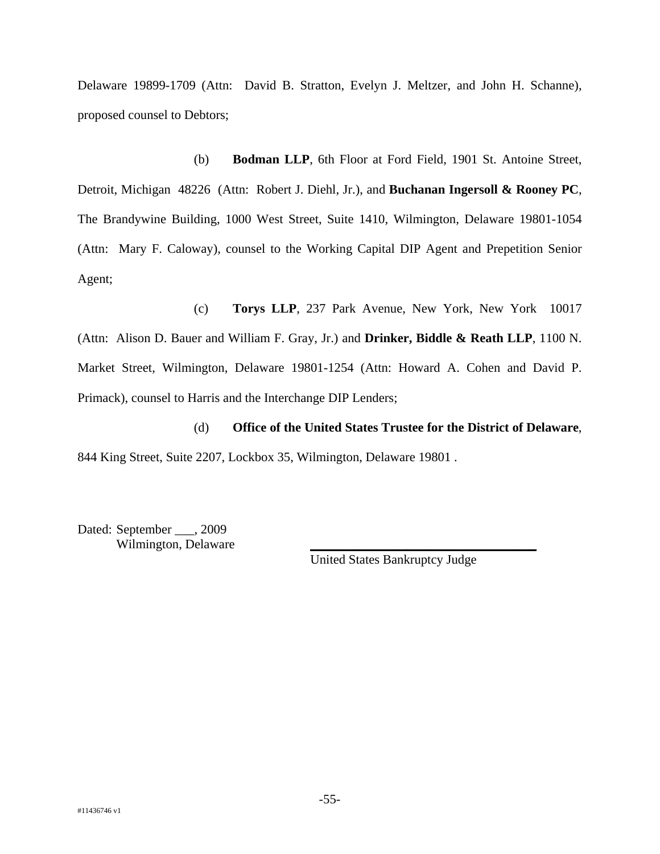Delaware 19899-1709 (Attn: David B. Stratton, Evelyn J. Meltzer, and John H. Schanne), proposed counsel to Debtors;

(b) **Bodman LLP**, 6th Floor at Ford Field, 1901 St. Antoine Street, Detroit, Michigan 48226 (Attn: Robert J. Diehl, Jr.), and **Buchanan Ingersoll & Rooney PC**, The Brandywine Building, 1000 West Street, Suite 1410, Wilmington, Delaware 19801-1054 (Attn: Mary F. Caloway), counsel to the Working Capital DIP Agent and Prepetition Senior Agent;

(c) **Torys LLP**, 237 Park Avenue, New York, New York 10017

(Attn: Alison D. Bauer and William F. Gray, Jr.) and **Drinker, Biddle & Reath LLP**, 1100 N. Market Street, Wilmington, Delaware 19801-1254 (Attn: Howard A. Cohen and David P. Primack), counsel to Harris and the Interchange DIP Lenders;

(d) **Office of the United States Trustee for the District of Delaware**, 844 King Street, Suite 2207, Lockbox 35, Wilmington, Delaware 19801 .

Dated: September \_\_\_, 2009 Wilmington, Delaware

United States Bankruptcy Judge